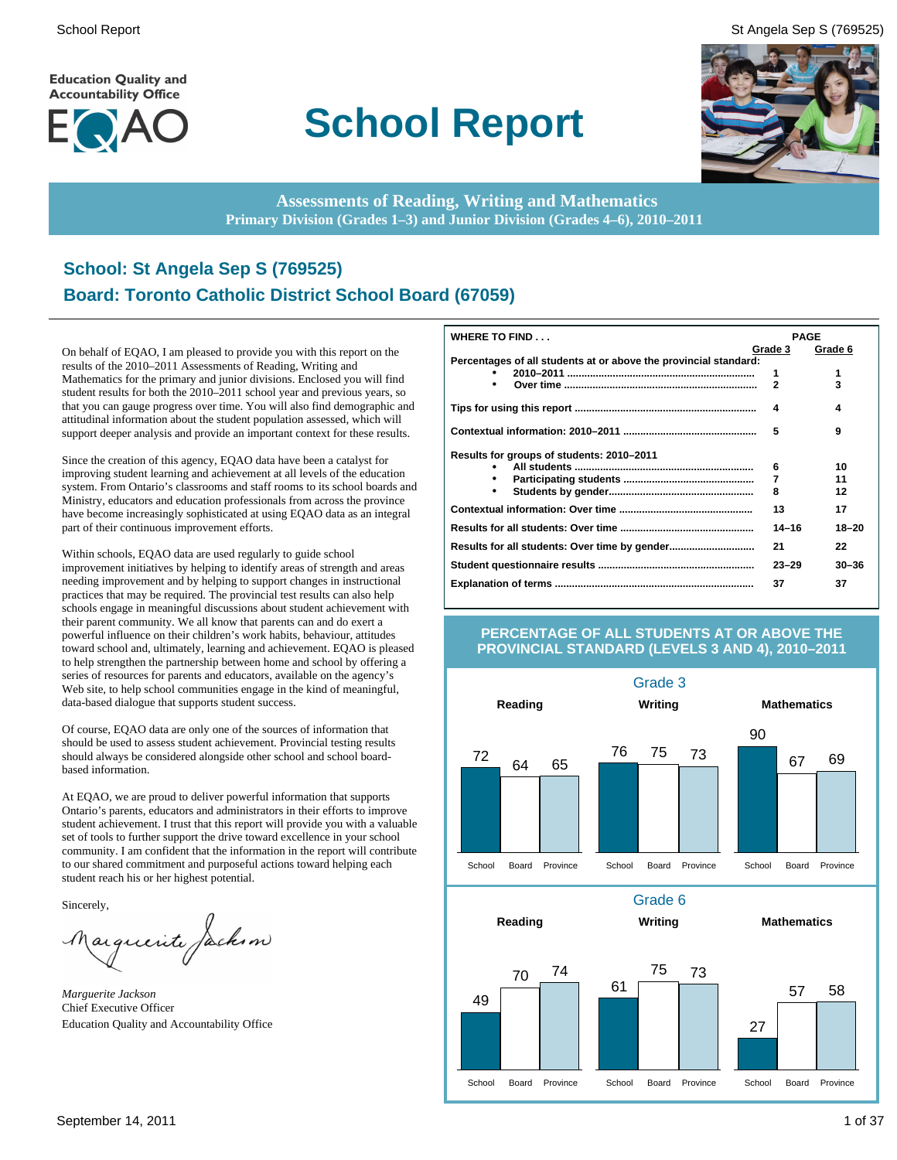**Education Quality and Accountability Office** 



# **School Report**

School Report St Angela Sep S (769525)



**Assessments of Reading, Writing and Mathematics Primary Division (Grades 1–3) and Junior Division (Grades 4–6), 2010–2011**

# **School: St Angela Sep S (769525) Board: Toronto Catholic District School Board (67059)**

On behalf of EQAO, I am pleased to provide you with this report on the results of the 2010–2011 Assessments of Reading, Writing and Mathematics for the primary and junior divisions. Enclosed you will find student results for both the 2010–2011 school year and previous years, so that you can gauge progress over time. You will also find demographic and attitudinal information about the student population assessed, which will support deeper analysis and provide an important context for these results.

Since the creation of this agency, EQAO data have been a catalyst for improving student learning and achievement at all levels of the education system. From Ontario's classrooms and staff rooms to its school boards and Ministry, educators and education professionals from across the province have become increasingly sophisticated at using EQAO data as an integral part of their continuous improvement efforts.

Within schools, EQAO data are used regularly to guide school improvement initiatives by helping to identify areas of strength and areas needing improvement and by helping to support changes in instructional practices that may be required. The provincial test results can also help schools engage in meaningful discussions about student achievement with their parent community. We all know that parents can and do exert a powerful influence on their children's work habits, behaviour, attitudes toward school and, ultimately, learning and achievement. EQAO is pleased to help strengthen the partnership between home and school by offering a series of resources for parents and educators, available on the agency's Web site, to help school communities engage in the kind of meaningful, data-based dialogue that supports student success.

Of course, EQAO data are only one of the sources of information that should be used to assess student achievement. Provincial testing results should always be considered alongside other school and school boardbased information.

At EQAO, we are proud to deliver powerful information that supports Ontario's parents, educators and administrators in their efforts to improve student achievement. I trust that this report will provide you with a valuable set of tools to further support the drive toward excellence in your school community. I am confident that the information in the report will contribute to our shared commitment and purposeful actions toward helping each student reach his or her highest potential.

Sincerely,

arguerite Jackson

*Marguerite Jackson* Chief Executive Officer Education Quality and Accountability Office

| <b>WHERE TO FIND</b>                                             | <b>PAGE</b>    |           |
|------------------------------------------------------------------|----------------|-----------|
|                                                                  | Grade 3        | Grade 6   |
| Percentages of all students at or above the provincial standard: |                |           |
|                                                                  | 1              | 1         |
|                                                                  | $\overline{2}$ | 3         |
|                                                                  | 4              | 4         |
|                                                                  | 5              | 9         |
| Results for groups of students: 2010–2011                        |                |           |
|                                                                  | 6              | 10        |
|                                                                  | 7              | 11        |
|                                                                  | 8              | 12        |
|                                                                  | 13             | 17        |
|                                                                  | $14 - 16$      | $18 - 20$ |
|                                                                  | 21             | 22        |
|                                                                  | $23 - 29$      | $30 - 36$ |
|                                                                  | 37             | 37        |

#### **PERCENTAGE OF ALL STUDENTS AT OR ABOVE THE PROVINCIAL STANDARD (LEVELS 3 AND 4), 2010–2011**

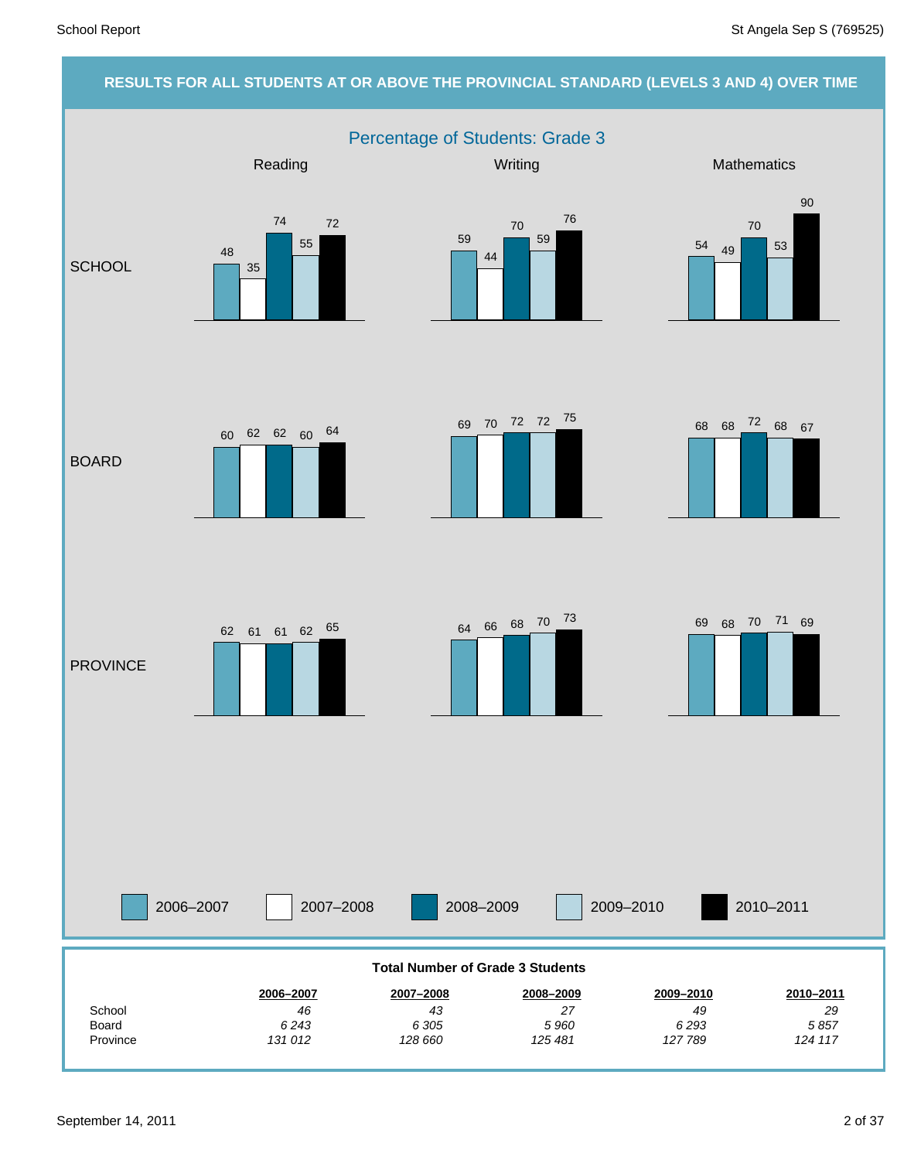# **RESULTS FOR ALL STUDENTS AT OR ABOVE THE PROVINCIAL STANDARD (LEVELS 3 AND 4) OVER TIME** Percentage of Students: Grade 3 Reading Mathematics **Mathematics** Mathematics **Mathematics SCHOOL** BOARD PROVINCE 48 35 74 55 72 59 44 70 59 76 <sup>54</sup> <sup>49</sup> 70 53 90 <sup>68</sup> <sup>68</sup> <sup>72</sup> <sup>69</sup> <sup>68</sup> <sup>67</sup> <sup>70</sup> <sup>72</sup> <sup>72</sup> <sup>75</sup> 60 62 62 60 64  $62 \quad 61 \quad 62 \quad 65$   $64 \quad 66 \quad 68 \quad 70 \quad 73$   $69 \quad 68 \quad 70 \quad 71 \quad 69$

| 2006-2007                               | 2007-2008 | 2008-2009 |           | 2009-2010 | 2010-2011 |  |  |  |
|-----------------------------------------|-----------|-----------|-----------|-----------|-----------|--|--|--|
| <b>Total Number of Grade 3 Students</b> |           |           |           |           |           |  |  |  |
|                                         | 2006-2007 | 2007-2008 | 2008-2009 | 2009-2010 | 2010-2011 |  |  |  |
| School                                  | 46        | 43        | 27        | 49        | 29        |  |  |  |
| Board                                   | 6243      | 6 30 5    | 5960      | 6293      | 5857      |  |  |  |
| Province                                | 131 012   | 128 660   | 125 481   | 127789    | 124 117   |  |  |  |

#### September 14, 2011 2 of 37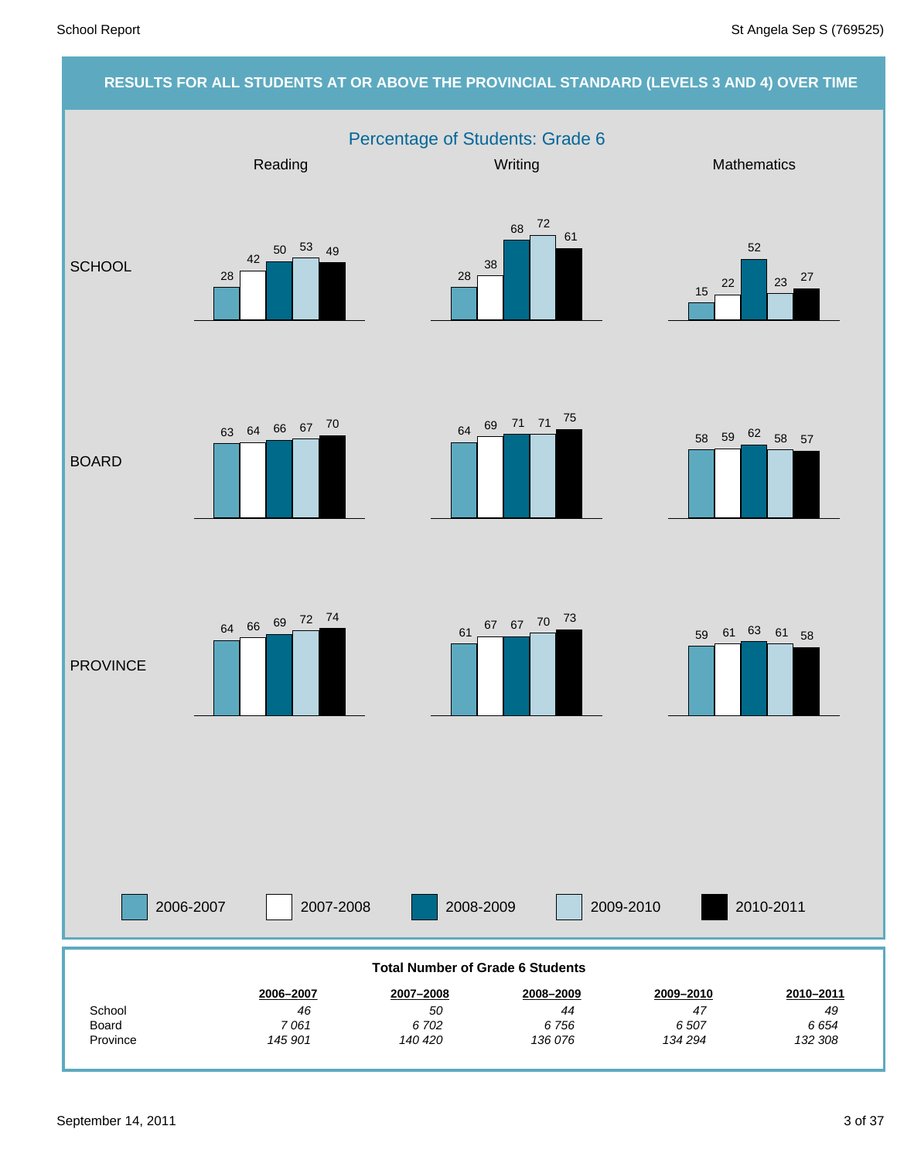#### **RESULTS FOR ALL STUDENTS AT OR ABOVE THE PROVINCIAL STANDARD (LEVELS 3 AND 4) OVER TIME** Percentage of Students: Grade 6 2006-2007 2007-2008 2008-2009 2009-2010 Reading Mathematics **Mathematics** Mathematics **Mathematics SCHOOL** BOARD **PROVINCE** 2010-2011 *132 308 6 654 49* **2010–2011** *134 294 6 507 47* **2009–2010** *136 076 6 756 44* **2008–2009** *140 420 6 702 50* **2007–2008** *145 901 7 061 46* **2006–2007** Province Board School **Total Number of Grade 6 Students** 28 42 50 53 49 28 38 68 72 61 15 22 52 23 27 <sup>58</sup> <sup>59</sup> <sup>62</sup> <sup>58</sup> <sup>57</sup> <sup>64</sup> <sup>69</sup> <sup>71</sup> <sup>71</sup> <sup>75</sup> <sup>63</sup> <sup>64</sup> <sup>66</sup> <sup>67</sup> <sup>70</sup> <sup>61</sup> <sup>67</sup> <sup>67</sup> <sup>70</sup> <sup>73</sup> <sup>64</sup> <sup>66</sup> <sup>69</sup> <sup>72</sup> <sup>74</sup> <sup>59</sup> <sup>61</sup> <sup>63</sup> <sup>61</sup> <sup>58</sup>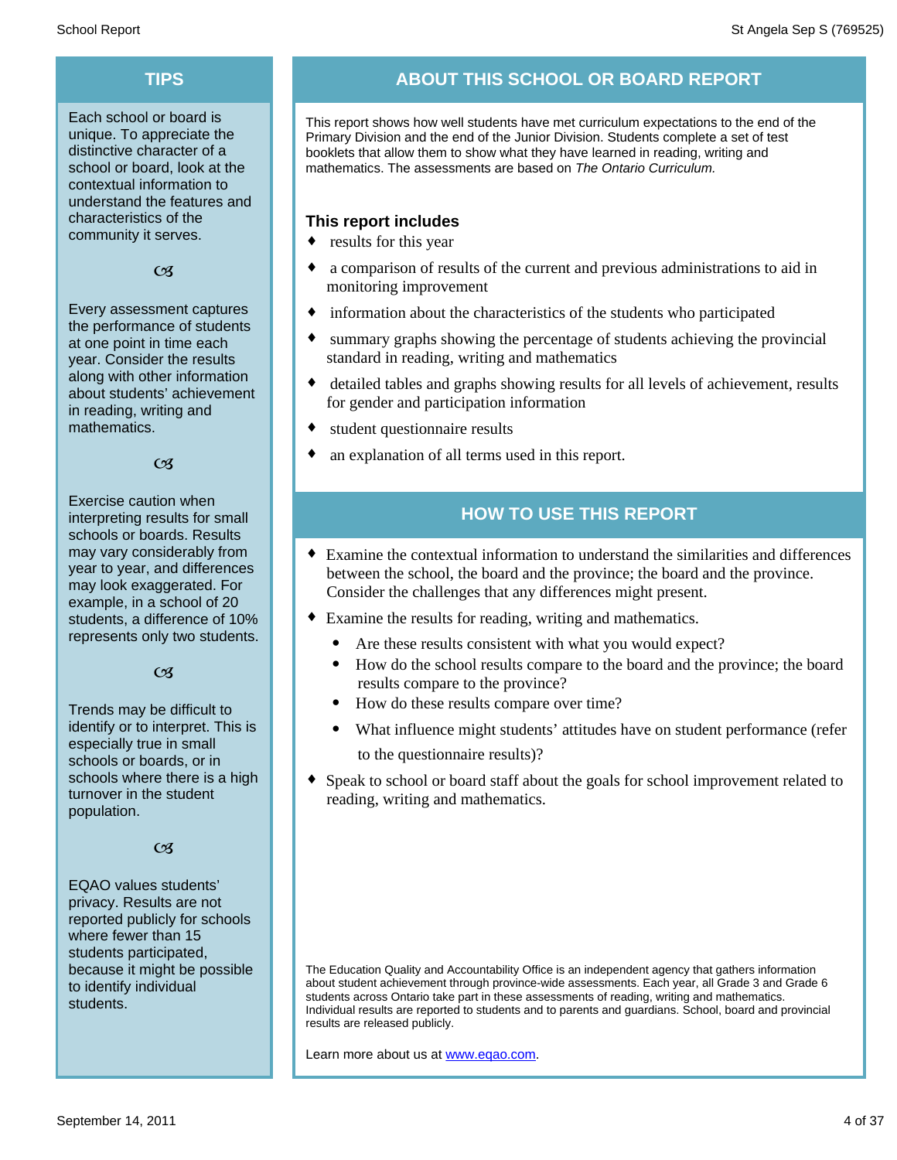Each school or board is unique. To appreciate the distinctive character of a school or board, look at the contextual information to understand the features and characteristics of the community it serves.

#### $C<sub>3</sub>$

Every assessment captures the performance of students at one point in time each year. Consider the results along with other information about students' achievement in reading, writing and mathematics.

#### $\alpha$

Exercise caution when interpreting results for small schools or boards. Results may vary considerably from year to year, and differences may look exaggerated. For example, in a school of 20 students, a difference of 10% represents only two students.

#### $C<sub>3</sub>$

Trends may be difficult to identify or to interpret. This is especially true in small schools or boards, or in schools where there is a high turnover in the student population.

#### $C<sub>3</sub>$

EQAO values students' privacy. Results are not reported publicly for schools where fewer than 15 students participated, because it might be possible to identify individual students.

# **TIPS ABOUT THIS SCHOOL OR BOARD REPORT**

This report shows how well students have met curriculum expectations to the end of the Primary Division and the end of the Junior Division. Students complete a set of test booklets that allow them to show what they have learned in reading, writing and mathematics. The assessments are based on *The Ontario Curriculum.*

#### **This report includes**

- $\bullet$  results for this year
- a comparison of results of the current and previous administrations to aid in monitoring improvement
- information about the characteristics of the students who participated
- summary graphs showing the percentage of students achieving the provincial standard in reading, writing and mathematics
- detailed tables and graphs showing results for all levels of achievement, results for gender and participation information
- $\bullet$  student questionnaire results
- an explanation of all terms used in this report.

## **HOW TO USE THIS REPORT**

- ¨ Examine the contextual information to understand the similarities and differences between the school, the board and the province; the board and the province. Consider the challenges that any differences might present.
- Examine the results for reading, writing and mathematics.
	- Are these results consistent with what you would expect?
	- · How do the school results compare to the board and the province; the board results compare to the province?
	- · How do these results compare over time?
	- · What influence might students' attitudes have on student performance (refer to the questionnaire results)?
- Speak to school or board staff about the goals for school improvement related to reading, writing and mathematics.

The Education Quality and Accountability Office is an independent agency that gathers information about student achievement through province-wide assessments. Each year, all Grade 3 and Grade 6 students across Ontario take part in these assessments of reading, writing and mathematics. Individual results are reported to students and to parents and guardians. School, board and provincial results are released publicly.

Learn more about us at www.eqao.com.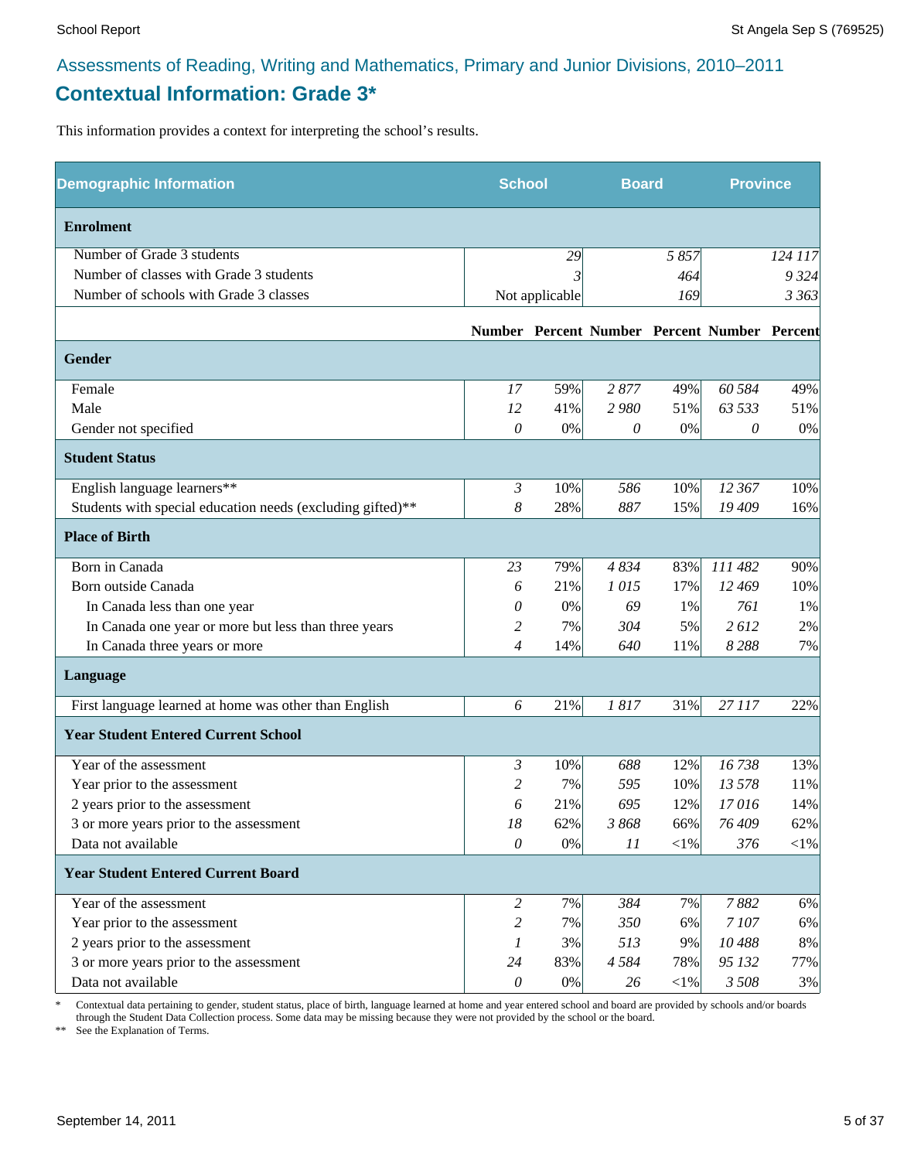# **Contextual Information: Grade 3\***

This information provides a context for interpreting the school's results.

| <b>Demographic Information</b>                             | <b>School</b>         |                | <b>Board</b> |          | <b>Province</b>                              |         |
|------------------------------------------------------------|-----------------------|----------------|--------------|----------|----------------------------------------------|---------|
| <b>Enrolment</b>                                           |                       |                |              |          |                                              |         |
| Number of Grade 3 students                                 |                       | 29             |              | 5857     |                                              | 124 117 |
| Number of classes with Grade 3 students                    |                       |                |              | 464      |                                              | 9 3 2 4 |
| Number of schools with Grade 3 classes                     |                       | Not applicable |              | 169      |                                              | 3 36 3  |
|                                                            |                       |                |              |          | Number Percent Number Percent Number Percent |         |
| Gender                                                     |                       |                |              |          |                                              |         |
| Female                                                     | 17                    | 59%            | 2877         | 49%      | 60 584                                       | 49%     |
| Male                                                       | 12                    | 41%            | 2980         | 51%      | 63 533                                       | 51%     |
| Gender not specified                                       | 0                     | 0%             | 0            | $0\%$    | 0                                            | 0%      |
| <b>Student Status</b>                                      |                       |                |              |          |                                              |         |
| English language learners**                                | $\mathfrak{Z}$        | 10%            | 586          | 10%      | 12 367                                       | 10%     |
| Students with special education needs (excluding gifted)** | 8                     | 28%            | 887          | 15%      | 19 409                                       | 16%     |
| <b>Place of Birth</b>                                      |                       |                |              |          |                                              |         |
| Born in Canada                                             | 23                    | 79%            | 4834         | 83%      | 111 482                                      | 90%     |
| Born outside Canada                                        | 6                     | 21%            | 1015         | 17%      | 12 469                                       | 10%     |
| In Canada less than one year                               | 0                     | $0\%$          | 69           | 1%       | 761                                          | 1%      |
| In Canada one year or more but less than three years       | 2                     | 7%             | 304          | 5%       | 2612                                         | 2%      |
| In Canada three years or more                              | $\overline{4}$        | 14%            | 640          | 11%      | 8288                                         | 7%      |
| Language                                                   |                       |                |              |          |                                              |         |
| First language learned at home was other than English      | 6                     | 21%            | 1817         | 31%      | 27 117                                       | 22%     |
| <b>Year Student Entered Current School</b>                 |                       |                |              |          |                                              |         |
| Year of the assessment                                     | 3                     | 10%            | 688          | 12%      | 16738                                        | 13%     |
| Year prior to the assessment                               | 2                     | 7%             | 595          | 10%      | 13 578                                       | 11%     |
| 2 years prior to the assessment                            | 6                     | 21%            | 695          | 12%      | 17016                                        | 14%     |
| 3 or more years prior to the assessment                    | 18                    | 62%            | 3868         | 66%      | 76 409                                       | 62%     |
| Data not available                                         | 0                     | 0%             | 11           | $<$ 1%   | 376                                          | $<$ 1%  |
| <b>Year Student Entered Current Board</b>                  |                       |                |              |          |                                              |         |
| Year of the assessment                                     | $\overline{c}$        | 7%             | 384          | 7%       | 7882                                         | 6%      |
| Year prior to the assessment                               | 2                     | 7%             | 350          | 6%       | 7107                                         | 6%      |
| 2 years prior to the assessment                            | 1                     | 3%             | 513          | 9%       | 10488                                        | $8\%$   |
| 3 or more years prior to the assessment                    | 24                    | 83%            | 4 5 8 4      | 78%      | 95 132                                       | 77%     |
| Data not available                                         | $\boldsymbol{\theta}$ | $0\%$          | 26           | ${<}1\%$ | 3 5 0 8                                      | 3%      |

\* Contextual data pertaining to gender, student status, place of birth, language learned at home and year entered school and board are provided by schools and/or boards through the Student Data Collection process. Some data may be missing because they were not provided by the school or the board.

\*\* See the Explanation of Terms.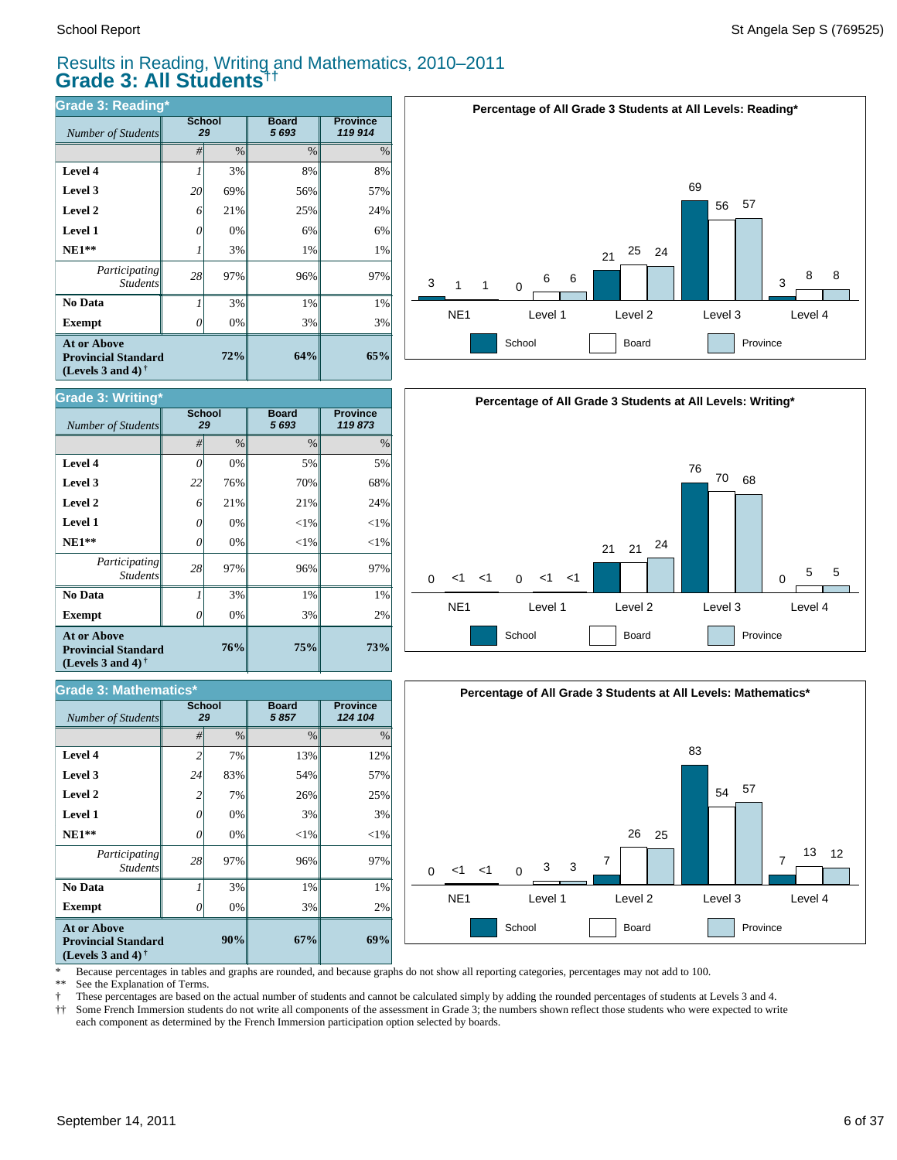**Grade 3: Writing\***

### Results in Reading, Writing and Mathematics, 2010–2011 **Grade 3: All Students††**

| <b>Grade 3: Reading*</b>                                                                             |    |                     |                         |                            |  |  |  |  |
|------------------------------------------------------------------------------------------------------|----|---------------------|-------------------------|----------------------------|--|--|--|--|
| Number of Students                                                                                   |    | <b>School</b><br>29 | <b>Board</b><br>5 6 9 3 | <b>Province</b><br>119 914 |  |  |  |  |
|                                                                                                      | #  | $\frac{0}{0}$       | $\frac{0}{0}$           | $\%$                       |  |  |  |  |
| Level 4                                                                                              |    | 3%                  | 8%                      | 8%                         |  |  |  |  |
| Level 3                                                                                              | 20 | 69%                 | 56%                     | 57%                        |  |  |  |  |
| Level 2                                                                                              | 6  | 21%                 | 25%                     | 24%                        |  |  |  |  |
| <b>Level 1</b>                                                                                       | 0  | 0%                  | 6%                      | 6%                         |  |  |  |  |
| $NE1**$                                                                                              |    | 3%                  | 1%                      | 1%                         |  |  |  |  |
| Participating<br><b>Students</b>                                                                     | 28 | 97%                 | 96%                     | 97%                        |  |  |  |  |
| No Data                                                                                              | 1  | 3%                  | 1%                      | 1%                         |  |  |  |  |
| <b>Exempt</b>                                                                                        | 0  | 0%                  | 3%                      | 3%                         |  |  |  |  |
| <b>At or Above</b><br><b>Provincial Standard</b><br>(Levels 3 and 4) <sup><math>\dagger</math></sup> |    | 72%                 | 64%                     | 65%                        |  |  |  |  |







#### \* Because percentages in tables and graphs are rounded, and because graphs do not show all reporting categories, percentages may not add to 100.

See the Explanation of Terms.

† These percentages are based on the actual number of students and cannot be calculated simply by adding the rounded percentages of students at Levels 3 and 4.

Some French Immersion students do not write all components of the assessment in Grade 3; the numbers shown reflect those students who were expected to write each component as determined by the French Immersion participation option selected by boards.

| Number of Students                                                             |    | School<br>29 | Board<br>5693 | <b>Province</b><br>119873 |
|--------------------------------------------------------------------------------|----|--------------|---------------|---------------------------|
|                                                                                | #  | %            | $\%$          | $\%$                      |
| <b>Level 4</b>                                                                 | 0  | 0%           | 5%            | 5%                        |
| Level 3                                                                        | 22 | 76%          | 70%           | 68%                       |
| <b>Level 2</b>                                                                 | 6  | 21%          | 21%           | 24%                       |
| <b>Level 1</b>                                                                 | 0  | 0%           | $<$ 1%        | $<$ 1%                    |
| $NE1**$                                                                        | 0  | 0%           | $<$ 1%        | $<$ 1%                    |
| Participating<br><b>Students</b>                                               | 28 | 97%          | 96%           | 97%                       |
| No Data                                                                        |    | 3%           | 1%            | 1%                        |
| <b>Exempt</b>                                                                  |    | 0%           | 3%            | 2%                        |
| <b>At or Above</b><br><b>Provincial Standard</b><br>(Levels 3 and 4) $\dagger$ |    | 76%          | 75%           | 73%                       |

| <b>Grade 3: Mathematics*</b>                                                   |                |                     |                      |                            |  |  |  |  |
|--------------------------------------------------------------------------------|----------------|---------------------|----------------------|----------------------------|--|--|--|--|
| Number of Students                                                             |                | <b>School</b><br>29 | <b>Board</b><br>5857 | <b>Province</b><br>124 104 |  |  |  |  |
|                                                                                | #              | $\%$                | $\frac{0}{0}$        | $\%$                       |  |  |  |  |
| Level 4                                                                        | $\overline{c}$ | 7%                  | 13%                  | 12%                        |  |  |  |  |
| Level 3                                                                        | 24             | 83%                 | 54%                  | 57%                        |  |  |  |  |
| Level 2                                                                        | 2              | 7%                  | 26%                  | 25%                        |  |  |  |  |
| Level 1                                                                        | 0              | 0%                  | 3%                   | 3%                         |  |  |  |  |
| $NE1**$                                                                        | 0              | 0%                  | $<$ 1%               | $<$ 1%                     |  |  |  |  |
| Participating<br><b>Students</b>                                               | 28             | 97%                 | 96%                  | 97%                        |  |  |  |  |
| No Data                                                                        |                | 3%                  | 1%                   | 1%                         |  |  |  |  |
| <b>Exempt</b>                                                                  | 0              | 0%                  | 3%                   | 2%                         |  |  |  |  |
| <b>At or Above</b><br><b>Provincial Standard</b><br>(Levels 3 and 4) $\dagger$ |                | 67%                 | 69%                  |                            |  |  |  |  |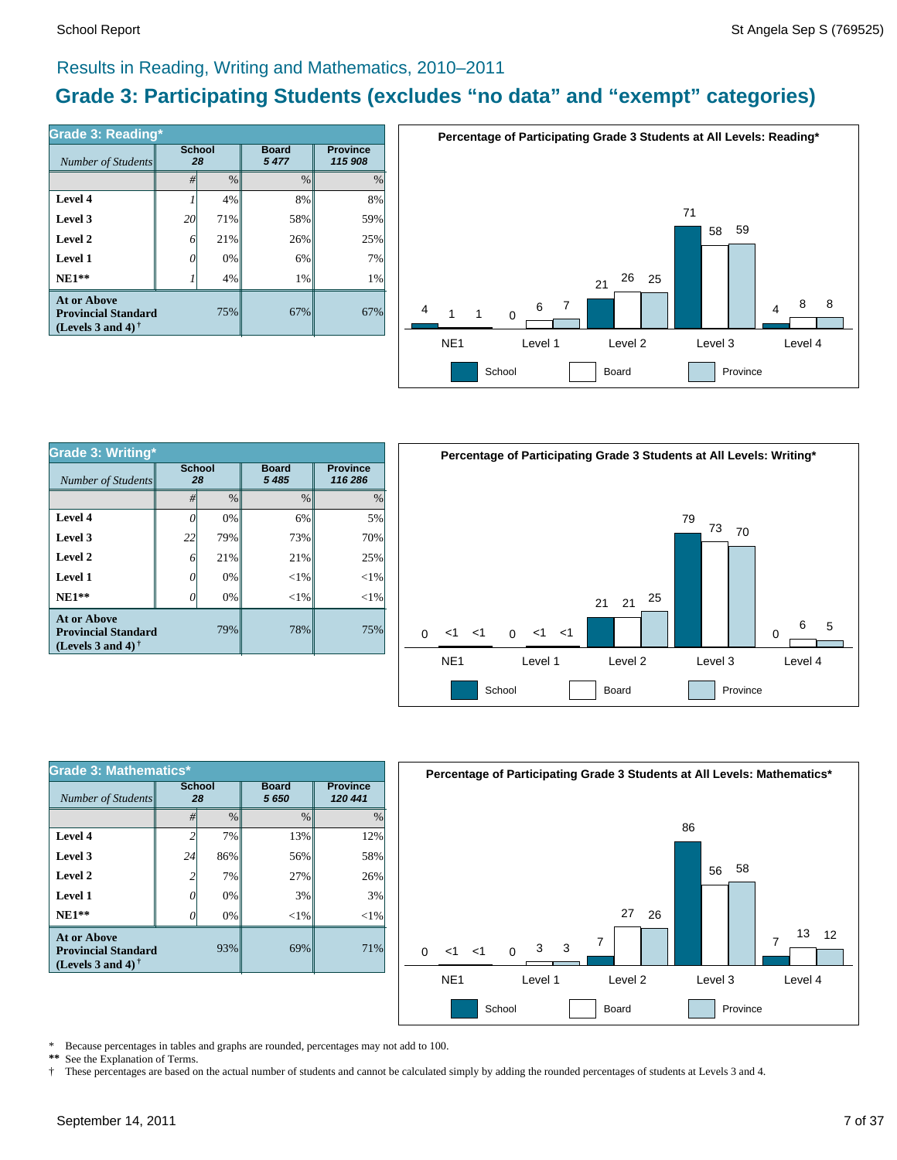### Results in Reading, Writing and Mathematics, 2010–2011

# **Grade 3: Participating Students (excludes "no data" and "exempt" categories)**

| Number of Students                                                             | <b>School</b><br>28 |               | <b>Board</b><br>5477 | <b>Province</b><br>115 908 |  |
|--------------------------------------------------------------------------------|---------------------|---------------|----------------------|----------------------------|--|
|                                                                                | #                   | $\frac{0}{0}$ | $\frac{0}{0}$        | $\frac{0}{0}$              |  |
| Level 4                                                                        |                     | 4%            | 8%                   | 8%                         |  |
| Level 3                                                                        | 20                  | 71%           | 58%                  | 59%                        |  |
| Level 2                                                                        | 6                   | 21%           | 26%                  | 25%                        |  |
| Level 1                                                                        |                     | 0%            | 6%                   | 7%                         |  |
| $NE1**$                                                                        |                     | 4%            | 1%                   | 1%                         |  |
| <b>At or Above</b><br><b>Provincial Standard</b><br>(Levels 3 and 4) $\dagger$ |                     | 75%           | 67%                  | 67%                        |  |



| <b>Grade 3: Writing*</b>                                                                                    |                     |               |                         |                            |  |  |  |  |
|-------------------------------------------------------------------------------------------------------------|---------------------|---------------|-------------------------|----------------------------|--|--|--|--|
| Number of Students                                                                                          | <b>School</b><br>28 |               | <b>Board</b><br>5 4 8 5 | <b>Province</b><br>116 286 |  |  |  |  |
|                                                                                                             | #                   | $\frac{0}{0}$ | $\frac{0}{0}$           | $\%$                       |  |  |  |  |
| Level 4                                                                                                     | 0                   | 0%            | 6%                      | 5%                         |  |  |  |  |
| Level 3                                                                                                     | 22                  | 79%           | 73%                     | 70%                        |  |  |  |  |
| Level 2                                                                                                     | 6                   | 21%           | 21%                     | 25%                        |  |  |  |  |
| Level 1                                                                                                     | 0                   | 0%            | ${<}1\%$                | $<$ 1%                     |  |  |  |  |
| $NE1**$                                                                                                     | 0                   | 0%            | ${<}1\%$                | $<$ 1%                     |  |  |  |  |
| <b>At or Above</b><br>79%<br><b>Provincial Standard</b><br>(Levels 3 and 4) <sup><math>\dagger</math></sup> |                     |               | 78%                     | 75%                        |  |  |  |  |



| <b>Grade 3: Mathematics*</b>                                                          |                     |               |                      |                            |  |  |  |
|---------------------------------------------------------------------------------------|---------------------|---------------|----------------------|----------------------------|--|--|--|
| Number of Students                                                                    | <b>School</b><br>28 |               | <b>Board</b><br>5650 | <b>Province</b><br>120 441 |  |  |  |
|                                                                                       | #                   | $\frac{0}{0}$ | $\frac{0}{0}$        | $\frac{0}{0}$              |  |  |  |
| Level 4                                                                               |                     | 7%            | 13%                  | 12%                        |  |  |  |
| Level 3                                                                               | 24                  | 86%           | 56%                  | 58%                        |  |  |  |
| Level 2                                                                               |                     | 7%            | 27%                  | 26%                        |  |  |  |
| Level 1                                                                               | 0                   | 0%            | 3%                   | 3%                         |  |  |  |
| $NE1**$                                                                               |                     | 0%            | $<$ 1%               | $<$ 1%                     |  |  |  |
| <b>At or Above</b><br>93%<br><b>Provincial Standard</b><br>(Levels 3 and 4) $\dagger$ |                     |               | 69%                  | 71%                        |  |  |  |



\* Because percentages in tables and graphs are rounded, percentages may not add to 100.<br>\*\* See the Explanation of Terms See the Explanation of Terms.

† These percentages are based on the actual number of students and cannot be calculated simply by adding the rounded percentages of students at Levels 3 and 4.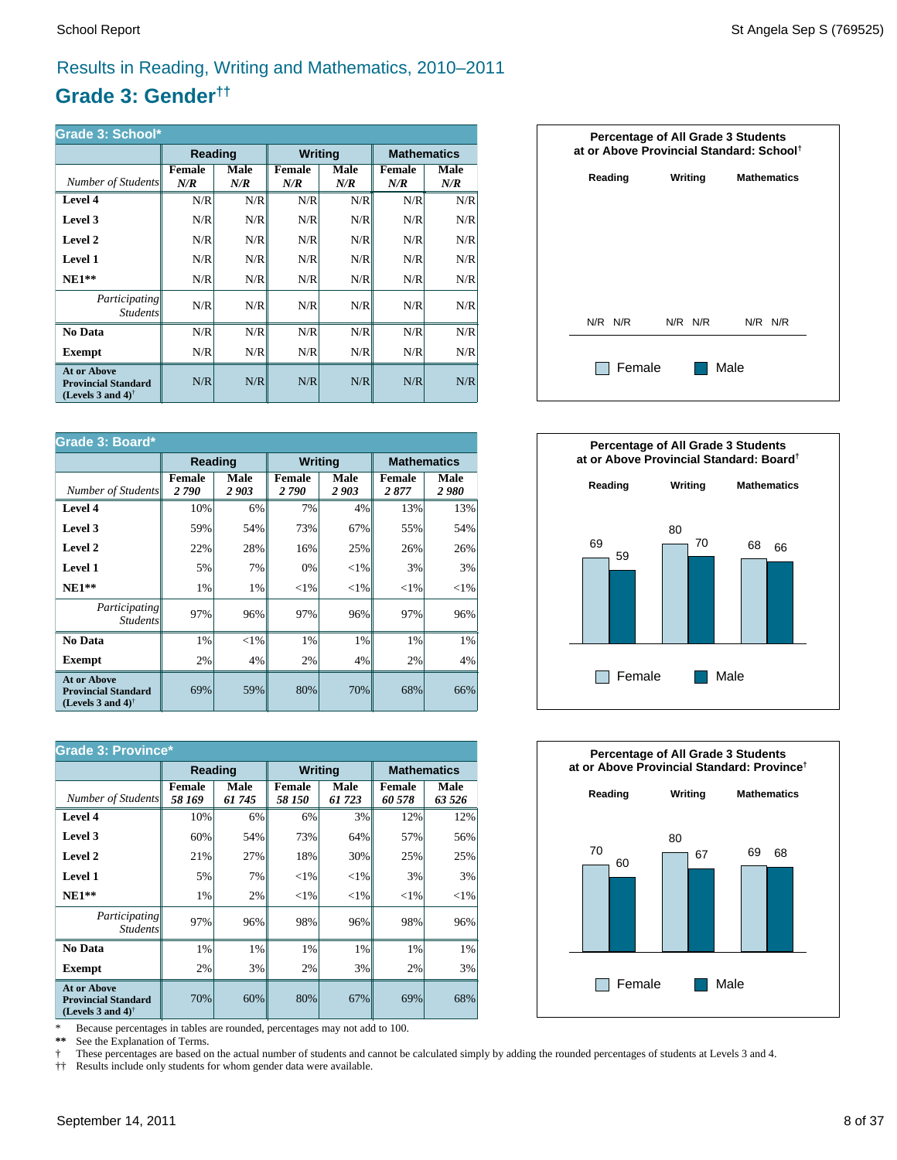# Results in Reading, Writing and Mathematics, 2010–2011

# **Grade 3: Gender††**

| Grade 3: School*                                                                                     |                      |             |                      |             |                      |                    |  |  |
|------------------------------------------------------------------------------------------------------|----------------------|-------------|----------------------|-------------|----------------------|--------------------|--|--|
|                                                                                                      | Reading              |             | <b>Writing</b>       |             |                      | <b>Mathematics</b> |  |  |
| Number of Students                                                                                   | <b>Female</b><br>N/R | Male<br>N/R | <b>Female</b><br>N/R | Male<br>N/R | <b>Female</b><br>N/R | Male<br>N/R        |  |  |
| Level 4                                                                                              | N/R                  | N/R         | N/R                  | N/R         | N/R                  | N/R                |  |  |
| Level 3                                                                                              | N/R                  | N/R         | N/R                  | N/R         | N/R                  | N/R                |  |  |
| Level 2                                                                                              | N/R                  | N/R         | N/R                  | N/R         | N/R                  | N/R                |  |  |
| Level 1                                                                                              | N/R                  | N/R         | N/R                  | N/R         | N/R                  | N/R                |  |  |
| $NE1**$                                                                                              | N/R                  | N/R         | N/R                  | N/R         | N/R                  | N/R                |  |  |
| <i>Participating</i><br><i>Students</i>                                                              | N/R                  | N/R         | N/R                  | N/R         | N/R                  | N/R                |  |  |
| No Data                                                                                              | N/R                  | N/R         | N/R                  | N/R         | N/R                  | N/R                |  |  |
| Exempt                                                                                               | N/R                  | N/R         | N/R                  | N/R         | N/R                  | N/R                |  |  |
| <b>At or Above</b><br><b>Provincial Standard</b><br>(Levels 3 and 4) <sup><math>\dagger</math></sup> | N/R                  | N/R         | N/R                  | N/R         | N/R                  | N/R                |  |  |

| <b>Grade 3: Board*</b>                                                                               |                       |              |                       |                |                       |                    |  |
|------------------------------------------------------------------------------------------------------|-----------------------|--------------|-----------------------|----------------|-----------------------|--------------------|--|
|                                                                                                      |                       | Reading      |                       | <b>Writing</b> |                       | <b>Mathematics</b> |  |
| Number of Students                                                                                   | <b>Female</b><br>2790 | Male<br>2903 | <b>Female</b><br>2790 | Male<br>2903   | <b>Female</b><br>2877 | Male<br>2980       |  |
| Level 4                                                                                              | 10%                   | 6%           | 7%                    | 4%             | 13%                   | 13%                |  |
| Level 3                                                                                              | 59%                   | 54%          | 73%                   | 67%            | 55%                   | 54%                |  |
| Level 2                                                                                              | 22%                   | 28%          | 16%                   | 25%            | 26%                   | 26%                |  |
| Level 1                                                                                              | 5%                    | 7%           | 0%                    | ${<}1\%$       | 3%                    | 3%                 |  |
| $NE1**$                                                                                              | 1%                    | 1%           | ${<}1\%$              | ${<}1\%$       | ${<}1\%$              | ${<}1\%$           |  |
| <i>Participating</i><br><b>Students</b>                                                              | 97%                   | 96%          | 97%                   | 96%            | 97%                   | 96%                |  |
| No Data                                                                                              | 1%                    | ${<}1\%$     | 1%                    | 1%             | 1%                    | 1%                 |  |
| <b>Exempt</b>                                                                                        | 2%                    | 4%           | 2%                    | 4%             | 2%                    | 4%                 |  |
| <b>At or Above</b><br><b>Provincial Standard</b><br>(Levels 3 and 4) <sup><math>\dagger</math></sup> | 69%                   | 59%          | 80%                   | 70%            | 68%                   | 66%                |  |

| <b>Grade 3: Province*</b>                                                      |                         |                |                         |                |                         |                    |  |
|--------------------------------------------------------------------------------|-------------------------|----------------|-------------------------|----------------|-------------------------|--------------------|--|
|                                                                                | Reading                 |                | <b>Writing</b>          |                |                         | <b>Mathematics</b> |  |
| Number of Students                                                             | <b>Female</b><br>58 169 | Male<br>61 745 | <b>Female</b><br>58 150 | Male<br>61 723 | <b>Female</b><br>60 578 | Male<br>63 526     |  |
| Level 4                                                                        | 10%                     | 6%             | 6%                      | 3%             | 12%                     | 12%                |  |
| Level 3                                                                        | 60%                     | 54%            | 73%                     | 64%            | 57%                     | 56%                |  |
| Level 2                                                                        | 21%                     | 27%            | 18%                     | 30%            | 25%                     | 25%                |  |
| Level 1                                                                        | 5%                      | 7%             | ${<}1\%$                | ${<}1\%$       | 3%                      | 3%                 |  |
| $NE1**$                                                                        | 1%                      | 2%             | ${<}1\%$                | ${<}1\%$       | ${<}1\%$                | ${<}1\%$           |  |
| <i>Participating</i><br><i>Students</i>                                        | 97%                     | 96%            | 98%                     | 96%            | 98%                     | 96%                |  |
| No Data                                                                        | 1%                      | 1%             | 1%                      | 1%             | 1%                      | 1%                 |  |
| <b>Exempt</b>                                                                  | 2%                      | 3%             | 2%                      | 3%             | 2%                      | 3%                 |  |
| <b>At or Above</b><br><b>Provincial Standard</b><br>(Levels 3 and 4) $\dagger$ | 70%                     | 60%            | 80%                     | 67%            | 69%                     | 68%                |  |

\* Because percentages in tables are rounded, percentages may not add to 100.<br>\*\* See the Explanation of Terms.

See the Explanation of Terms.

† These percentages are based on the actual number of students and cannot be calculated simply by adding the rounded percentages of students at Levels 3 and 4.<br>†† Results include only students for whom gender data were ava

†† Results include only students for whom gender data were available.





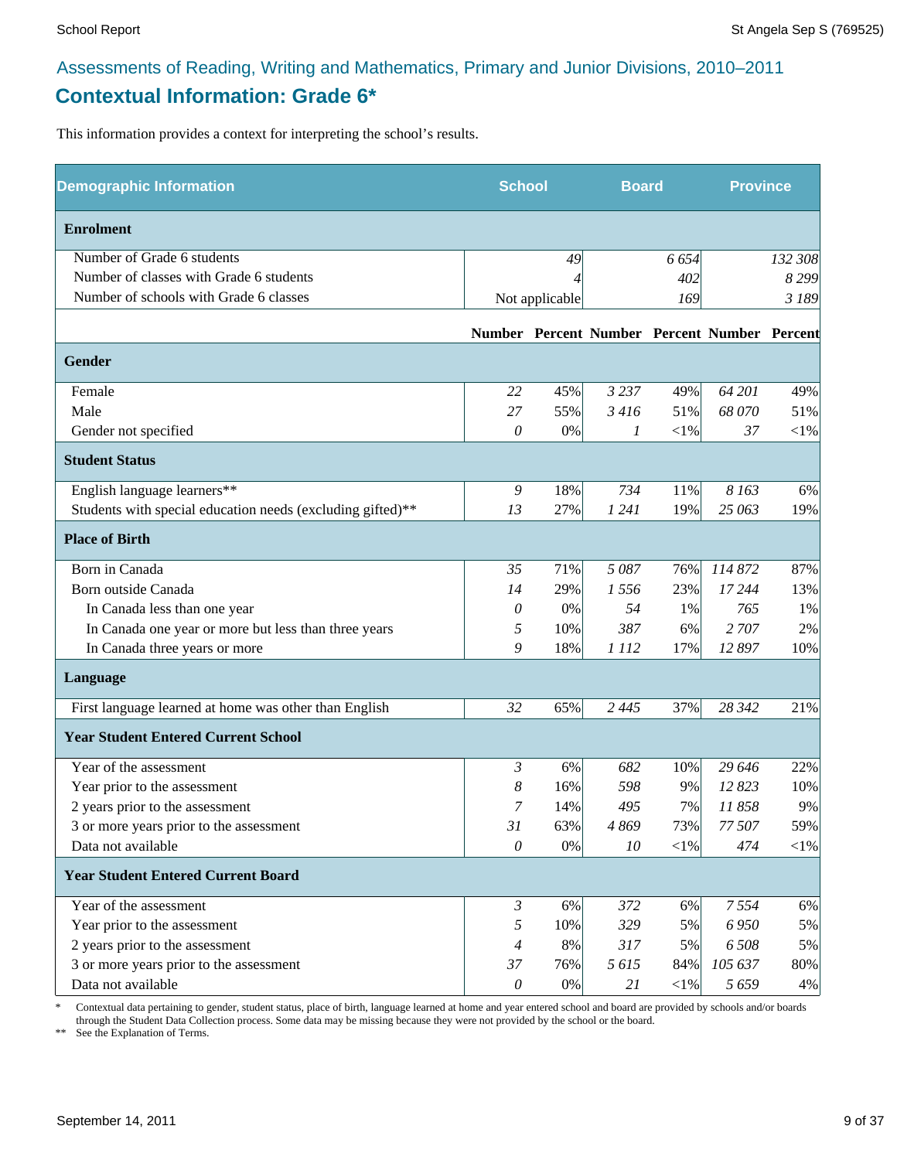# Assessments of Reading, Writing and Mathematics, Primary and Junior Divisions, 2010–2011 **Contextual Information: Grade 6\***

This information provides a context for interpreting the school's results.

| <b>Demographic Information</b>                             | <b>School</b>         |                | <b>Board</b> |            | <b>Province</b>                              |            |
|------------------------------------------------------------|-----------------------|----------------|--------------|------------|----------------------------------------------|------------|
| <b>Enrolment</b>                                           |                       |                |              |            |                                              |            |
| Number of Grade 6 students                                 |                       | 49             |              | 6 6 5 4    |                                              | 132 308    |
| Number of classes with Grade 6 students                    |                       |                |              | 402        |                                              | 8 2 9 9    |
| Number of schools with Grade 6 classes                     |                       | Not applicable |              | 169        |                                              | 3 189      |
|                                                            |                       |                |              |            | Number Percent Number Percent Number Percent |            |
| <b>Gender</b>                                              |                       |                |              |            |                                              |            |
| Female                                                     | 22                    | 45%            | 3 2 3 7      | 49%        | 64 201                                       | 49%        |
| Male                                                       | 27                    | 55%            | 3416         | 51%        | 68 070                                       | 51%        |
| Gender not specified                                       | 0                     | 0%             | 1            | $<\!\!1\%$ | 37                                           | $<$ 1%     |
| <b>Student Status</b>                                      |                       |                |              |            |                                              |            |
| English language learners**                                | $\mathfrak g$         | 18%            | 734          | 11%        | 8 1 6 3                                      | 6%         |
| Students with special education needs (excluding gifted)** | 13                    | 27%            | 1 2 4 1      | 19%        | 25 063                                       | 19%        |
| <b>Place of Birth</b>                                      |                       |                |              |            |                                              |            |
| Born in Canada                                             | 35                    | 71%            | 5087         | 76%        | 114 872                                      | 87%        |
| Born outside Canada                                        | 14                    | 29%            | 1556         | 23%        | 17 244                                       | 13%        |
| In Canada less than one year                               | 0                     | 0%             | 54           | 1%         | 765                                          | 1%         |
| In Canada one year or more but less than three years       | 5                     | 10%            | 387          | 6%         | 2 707                                        | 2%         |
| In Canada three years or more                              | 9                     | 18%            | 1 1 1 2      | 17%        | 12 897                                       | 10%        |
| Language                                                   |                       |                |              |            |                                              |            |
| First language learned at home was other than English      | 32                    | 65%            | 2 4 4 5      | 37%        | 28 342                                       | 21%        |
| <b>Year Student Entered Current School</b>                 |                       |                |              |            |                                              |            |
| Year of the assessment                                     | 3                     | 6%             | 682          | 10%        | 29 646                                       | 22%        |
| Year prior to the assessment                               | 8                     | 16%            | 598          | 9%         | 12823                                        | 10%        |
| 2 years prior to the assessment                            | 7                     | 14%            | 495          | 7%         | 11858                                        | 9%         |
| 3 or more years prior to the assessment                    | 31                    | 63%            | 4869         | 73%        | 77 507                                       | 59%        |
| Data not available                                         | $\mathcal O$          | $0\%$          | 10           | $<\!\!1\%$ | 474                                          | $<\!\!1\%$ |
| <b>Year Student Entered Current Board</b>                  |                       |                |              |            |                                              |            |
| Year of the assessment                                     | $\mathfrak{Z}$        | 6%             | 372          | 6%         | 7554                                         | 6%         |
| Year prior to the assessment                               | 5                     | 10%            | 329          | 5%         | 6 9 5 0                                      | 5%         |
| 2 years prior to the assessment                            | $\overline{4}$        | 8%             | 317          | 5%         | 6 508                                        | 5%         |
| 3 or more years prior to the assessment                    | 37                    | 76%            | 5615         | 84%        | 105 637                                      | 80%        |
| Data not available                                         | $\boldsymbol{\theta}$ | $0\%$          | 21           | $<$ 1%     | 5659                                         | 4%         |

\* Contextual data pertaining to gender, student status, place of birth, language learned at home and year entered school and board are provided by schools and/or boards through the Student Data Collection process. Some data may be missing because they were not provided by the school or the board.

\*\* See the Explanation of Terms.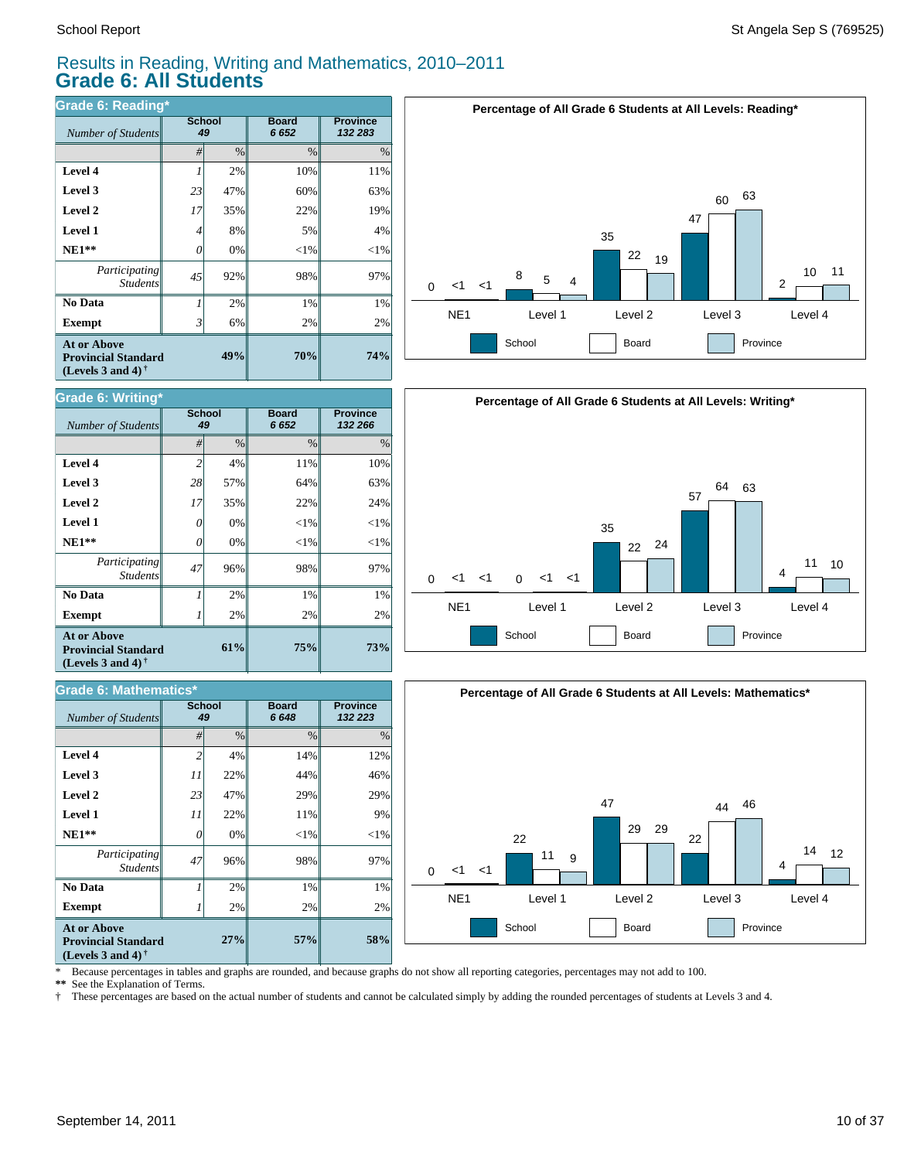#### Results in Reading, Writing and Mathematics, 2010–2011 **Grade 6: All Students**

| <b>Grade 6: Reading*</b>                                                                                    |              |      |                      |                            |  |  |  |  |
|-------------------------------------------------------------------------------------------------------------|--------------|------|----------------------|----------------------------|--|--|--|--|
| Number of Students                                                                                          | School<br>49 |      | <b>Board</b><br>6652 | <b>Province</b><br>132 283 |  |  |  |  |
|                                                                                                             | #            | $\%$ | $\frac{0}{0}$        | $\%$                       |  |  |  |  |
| Level 4                                                                                                     | 1            | 2%   | 10%                  | 11%                        |  |  |  |  |
| Level 3                                                                                                     | 23           | 47%  | 60%                  | 63%                        |  |  |  |  |
| Level 2                                                                                                     | 17           | 35%  | 22%                  | 19%                        |  |  |  |  |
| Level 1                                                                                                     | 4            | 8%   | 5%                   | 4%                         |  |  |  |  |
| $NE1**$                                                                                                     | 0            | 0%   | $<$ 1%               | $<$ 1%                     |  |  |  |  |
| Participating<br><b>Students</b>                                                                            | 45           | 92%  | 98%                  | 97%                        |  |  |  |  |
| No Data                                                                                                     | 1            | 2%   | 1%                   | 1%                         |  |  |  |  |
| <b>Exempt</b>                                                                                               | 3            | 6%   | 2%                   | 2%                         |  |  |  |  |
| <b>At or Above</b><br>49%<br><b>Provincial Standard</b><br>(Levels 3 and 4) <sup><math>\dagger</math></sup> |              |      | 70%                  | 74%                        |  |  |  |  |



| <b>Grade 6: Writing*</b>                                                       |                     |      |                      |                            |  |  |  |  |
|--------------------------------------------------------------------------------|---------------------|------|----------------------|----------------------------|--|--|--|--|
| Number of Students                                                             | <b>School</b><br>49 |      | <b>Board</b><br>6652 | <b>Province</b><br>132 266 |  |  |  |  |
|                                                                                | #                   | $\%$ | $\frac{0}{0}$        | $\frac{0}{0}$              |  |  |  |  |
| Level 4                                                                        | $\overline{c}$      | 4%   | 11%                  | 10%                        |  |  |  |  |
| Level 3                                                                        | 28                  | 57%  | 64%                  | 63%                        |  |  |  |  |
| Level 2                                                                        | 17                  | 35%  | 22%                  | 24%                        |  |  |  |  |
| <b>Level 1</b>                                                                 | 0                   | 0%   | $<$ 1%               | $<$ 1%                     |  |  |  |  |
| $NE1**$                                                                        | 0                   | 0%   | $<$ 1%               | $<$ 1%                     |  |  |  |  |
| Participating<br><b>Students</b>                                               | 47                  | 96%  | 98%                  | 97%                        |  |  |  |  |
| No Data                                                                        |                     | 2%   | 1%                   | 1%                         |  |  |  |  |
| <b>Exempt</b>                                                                  |                     | 2%   | 2%                   | 2%                         |  |  |  |  |
| <b>At or Above</b><br><b>Provincial Standard</b><br>(Levels 3 and 4) $\bar{ }$ |                     | 61%  | 75%                  | <b>73%</b>                 |  |  |  |  |

| <b>Grade 6: Mathematics*</b>                                                                                |                     |               |                      |                            |  |  |  |  |
|-------------------------------------------------------------------------------------------------------------|---------------------|---------------|----------------------|----------------------------|--|--|--|--|
| <b>Number of Students</b>                                                                                   | <b>School</b><br>49 |               | <b>Board</b><br>6648 | <b>Province</b><br>132 223 |  |  |  |  |
|                                                                                                             | #                   | $\frac{0}{0}$ | $\%$                 | $\%$                       |  |  |  |  |
| Level 4                                                                                                     | $\overline{c}$      | 4%            | 14%                  | 12%                        |  |  |  |  |
| Level 3                                                                                                     | 11                  | 22%           | 44%                  | 46%                        |  |  |  |  |
| Level 2                                                                                                     | 23                  | 47%           | 29%                  | 29%                        |  |  |  |  |
| <b>Level 1</b>                                                                                              | 11                  | 22%           | 11%                  | 9%                         |  |  |  |  |
| $NE1**$                                                                                                     | 0                   | 0%            | $<$ 1%               | $<$ 1%                     |  |  |  |  |
| Participating<br><b>Students</b>                                                                            | 47                  | 96%           | 98%                  | 97%                        |  |  |  |  |
| No Data                                                                                                     |                     | 2%            | 1%                   | 1%                         |  |  |  |  |
| <b>Exempt</b>                                                                                               |                     | 2%            | 2%                   | 2%                         |  |  |  |  |
| <b>At or Above</b><br>27%<br><b>Provincial Standard</b><br>(Levels 3 and 4) <sup><math>\dagger</math></sup> |                     |               | 57%                  | 58%                        |  |  |  |  |





\* Because percentages in tables and graphs are rounded, and because graphs do not show all reporting categories, percentages may not add to 100.

**\*\*** See the Explanation of Terms.

† These percentages are based on the actual number of students and cannot be calculated simply by adding the rounded percentages of students at Levels 3 and 4.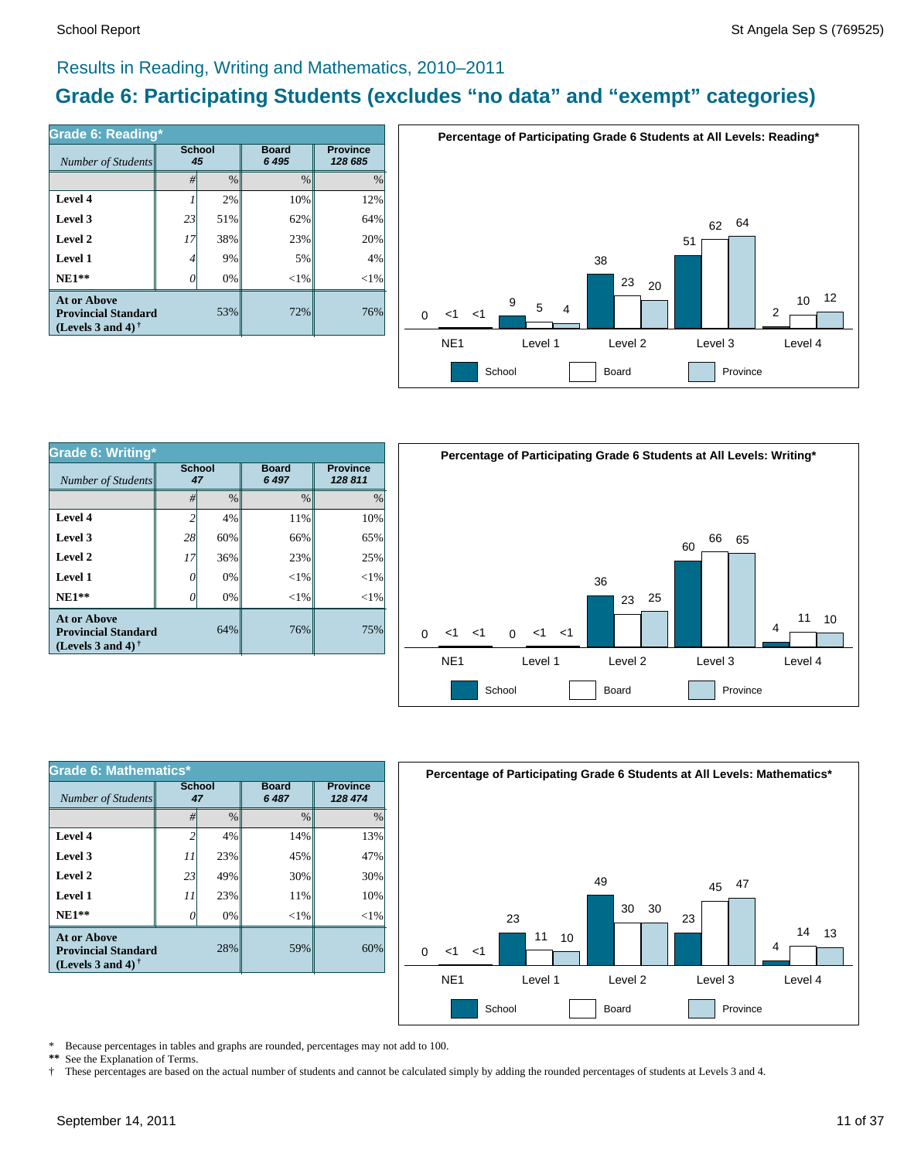#### Results in Reading, Writing and Mathematics, 2010–2011

# **Grade 6: Participating Students (excludes "no data" and "exempt" categories)**

| Number of Students                                                             | <b>School</b><br>45 |      | <b>Board</b><br>6 4 9 5 | <b>Province</b><br>128 685 |  |
|--------------------------------------------------------------------------------|---------------------|------|-------------------------|----------------------------|--|
|                                                                                | #                   | $\%$ | $\frac{0}{0}$           | $\frac{0}{0}$              |  |
| Level 4                                                                        |                     | 2%   | 10%                     | 12%                        |  |
| Level 3                                                                        | 23                  | 51%  | 62%                     | 64%                        |  |
| Level 2                                                                        | 17                  | 38%  | 23%                     | 20%                        |  |
| Level 1                                                                        | 4                   | 9%   | 5%                      | 4%                         |  |
| $NE1**$                                                                        |                     | 0%   | ${<}1\%$                | ${<}1\%$                   |  |
| <b>At or Above</b><br><b>Provincial Standard</b><br>(Levels 3 and 4) $\dagger$ |                     | 53%  | 72%                     | 76%                        |  |



| Grade 6: Writing*                                                              |                     |               |                         |                            |  |  |  |  |
|--------------------------------------------------------------------------------|---------------------|---------------|-------------------------|----------------------------|--|--|--|--|
| Number of Students                                                             | <b>School</b><br>47 |               | <b>Board</b><br>6 4 9 7 | <b>Province</b><br>128 811 |  |  |  |  |
|                                                                                | #                   | $\frac{0}{0}$ | $\frac{0}{0}$           | $\%$                       |  |  |  |  |
| Level 4                                                                        | $\mathfrak{D}$      | 4%            | 11%                     | 10%                        |  |  |  |  |
| Level 3                                                                        | 28                  | 60%           | 66%                     | 65%                        |  |  |  |  |
| Level 2                                                                        | 17                  | 36%           | 23%                     | 25%                        |  |  |  |  |
| Level 1                                                                        | 0                   | 0%            | $<$ 1%                  | $<$ 1%                     |  |  |  |  |
| $NE1**$                                                                        |                     | 0%            | $<$ 1%                  | ${<}1\%$                   |  |  |  |  |
| <b>At or Above</b><br><b>Provincial Standard</b><br>(Levels 3 and 4) $\dagger$ |                     | 64%           | 76%                     | 75%                        |  |  |  |  |



| Grade 6: Mathematics*                                                                 |                     |               |                         |                            |  |  |  |  |
|---------------------------------------------------------------------------------------|---------------------|---------------|-------------------------|----------------------------|--|--|--|--|
| Number of Students                                                                    | <b>School</b><br>47 |               | <b>Board</b><br>6 4 8 7 | <b>Province</b><br>128 474 |  |  |  |  |
|                                                                                       | #                   | $\frac{0}{0}$ | $\frac{0}{0}$           | $\frac{0}{0}$              |  |  |  |  |
| Level 4                                                                               | 2                   | 4%            | 14%                     | 13%                        |  |  |  |  |
| Level 3                                                                               | 11                  | 23%           | 45%                     | 47%                        |  |  |  |  |
| Level 2                                                                               | 23                  | 49%           | 30%                     | 30%                        |  |  |  |  |
| Level 1                                                                               | 11                  | 23%           | 11%                     | 10%                        |  |  |  |  |
| $NE1**$                                                                               | 7                   | 0%            | ${<}1\%$                | ${<}1\%$                   |  |  |  |  |
| <b>At or Above</b><br>28%<br><b>Provincial Standard</b><br>(Levels 3 and 4) $\dagger$ |                     |               | 59%                     | 60%                        |  |  |  |  |



\* Because percentages in tables and graphs are rounded, percentages may not add to 100.<br>\*\* See the Explanation of Terms See the Explanation of Terms.

† These percentages are based on the actual number of students and cannot be calculated simply by adding the rounded percentages of students at Levels 3 and 4.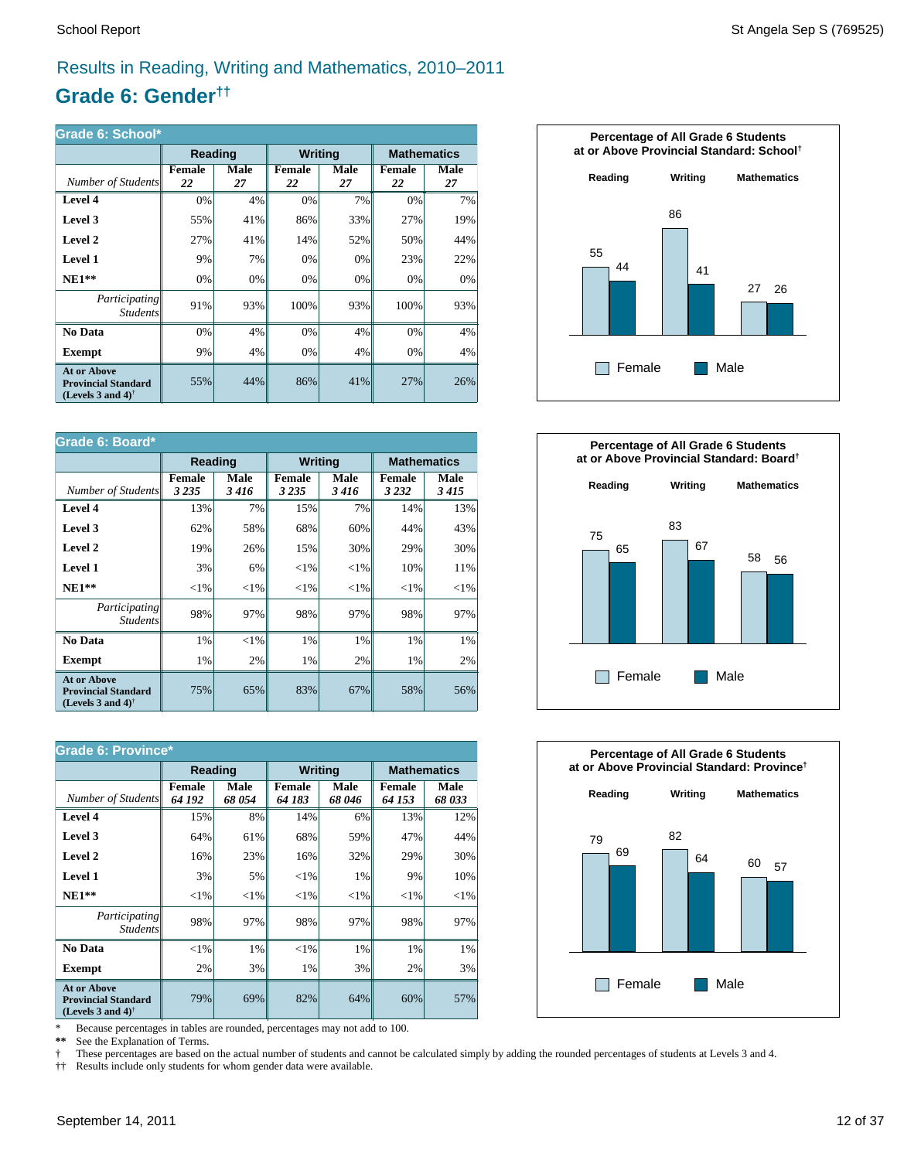# Results in Reading, Writing and Mathematics, 2010–2011

# **Grade 6: Gender††**

| Grade 6: School*                                                                                     |                |            |              |                |                     |                    |  |  |
|------------------------------------------------------------------------------------------------------|----------------|------------|--------------|----------------|---------------------|--------------------|--|--|
|                                                                                                      | <b>Reading</b> |            |              | <b>Writing</b> |                     | <b>Mathematics</b> |  |  |
| Number of Students                                                                                   | Female<br>22   | Male<br>27 | Female<br>22 | Male<br>27     | <b>Female</b><br>22 | Male<br>27         |  |  |
| Level 4                                                                                              | 0%             | 4%         | 0%           | 7%             | 0%                  | 7%                 |  |  |
| Level 3                                                                                              | 55%            | 41%        | 86%          | 33%            | 27%                 | 19%                |  |  |
| Level 2                                                                                              | 27%            | 41%        | 14%          | 52%            | 50%                 | 44%                |  |  |
| Level 1                                                                                              | 9%             | 7%         | 0%           | 0%             | 23%                 | 22%                |  |  |
| $NE1**$                                                                                              | 0%             | 0%         | 0%           | 0%             | 0%                  | 0%                 |  |  |
| Participating<br><b>Students</b>                                                                     | 91%            | 93%        | 100%         | 93%            | 100%                | 93%                |  |  |
| No Data                                                                                              | 0%             | 4%         | 0%           | 4%             | 0%                  | 4%                 |  |  |
| Exempt                                                                                               | 9%             | 4%         | 0%           | 4%             | 0%                  | 4%                 |  |  |
| <b>At or Above</b><br><b>Provincial Standard</b><br>(Levels 3 and 4) <sup><math>\dagger</math></sup> | 55%            | 44%        | 86%          | 41%            | 27%                 | 26%                |  |  |

| Grade 6: Board*                                                                |                   |              |                          |              |                          |              |  |  |
|--------------------------------------------------------------------------------|-------------------|--------------|--------------------------|--------------|--------------------------|--------------|--|--|
|                                                                                | Reading           |              | <b>Writing</b>           |              | <b>Mathematics</b>       |              |  |  |
| Number of Students                                                             | Female<br>3 2 3 5 | Male<br>3416 | <b>Female</b><br>3 2 3 5 | Male<br>3416 | <b>Female</b><br>3 2 3 2 | Male<br>3415 |  |  |
| Level 4                                                                        | 13%               | 7%           | 15%                      | 7%           | 14%                      | 13%          |  |  |
| Level 3                                                                        | 62%               | 58%          | 68%                      | 60%          | 44%                      | 43%          |  |  |
| Level 2                                                                        | 19%               | 26%          | 15%                      | 30%          | 29%                      | 30%          |  |  |
| Level 1                                                                        | 3%                | 6%           | ${<}1\%$                 | ${<}1\%$     | 10%                      | 11%          |  |  |
| $NE1**$                                                                        | ${<}1\%$          | ${<}1\%$     | ${<}1\%$                 | ${<}1\%$     | ${<}1\%$                 | ${<}1\%$     |  |  |
| Participating<br><b>Students</b>                                               | 98%               | 97%          | 98%                      | 97%          | 98%                      | 97%          |  |  |
| No Data                                                                        | 1%                | $<$ 1%       | 1%                       | 1%           | 1%                       | 1%           |  |  |
| <b>Exempt</b>                                                                  | 1%                | 2%           | 1%                       | 2%           | 1%                       | 2%           |  |  |
| <b>At or Above</b><br><b>Provincial Standard</b><br>(Levels 3 and 4) $\dagger$ | 75%               | 65%          | 83%                      | 67%          | 58%                      | 56%          |  |  |

| <b>Grade 6: Province*</b>                                                                            |                         |               |                         |                |                         |               |  |  |
|------------------------------------------------------------------------------------------------------|-------------------------|---------------|-------------------------|----------------|-------------------------|---------------|--|--|
|                                                                                                      | <b>Reading</b>          |               |                         | <b>Writing</b> | <b>Mathematics</b>      |               |  |  |
| Number of Students                                                                                   | <b>Female</b><br>64 192 | Male<br>68054 | <b>Female</b><br>64 183 | Male<br>68 046 | <b>Female</b><br>64 153 | Male<br>68033 |  |  |
| Level 4                                                                                              | 15%                     | 8%            | 14%                     | 6%             | 13%                     | 12%           |  |  |
| Level 3                                                                                              | 64%                     | 61%           | 68%                     | 59%            | 47%                     | 44%           |  |  |
| Level 2                                                                                              | 16%                     | 23%           | 16%                     | 32%            | 29%                     | 30%           |  |  |
| Level 1                                                                                              | 3%                      | 5%            | ${<}1\%$                | 1%             | 9%                      | 10%           |  |  |
| $NE1**$                                                                                              | ${<}1\%$                | ${<}1\%$      | ${<}1\%$                | ${<}1\%$       | ${<}1\%$                | ${<}1\%$      |  |  |
| <i>Participating</i><br><i>Students</i>                                                              | 98%                     | 97%           | 98%                     | 97%            | 98%                     | 97%           |  |  |
| No Data                                                                                              | ${<}1\%$                | $1\%$         | $<$ 1%                  | 1%             | 1%                      | 1%            |  |  |
| <b>Exempt</b>                                                                                        | 2%                      | 3%            | 1%                      | 3%             | 2%                      | 3%            |  |  |
| <b>At or Above</b><br><b>Provincial Standard</b><br>(Levels 3 and 4) <sup><math>\dagger</math></sup> | 79%                     | 69%           | 82%                     | 64%            | 60%                     | 57%           |  |  |

\* Because percentages in tables are rounded, percentages may not add to 100.<br>\*\* See the Explanation of Terms.

See the Explanation of Terms.

† These percentages are based on the actual number of students and cannot be calculated simply by adding the rounded percentages of students at Levels 3 and 4.<br>†† Results include only students for whom gender data were ava

†† Results include only students for whom gender data were available.





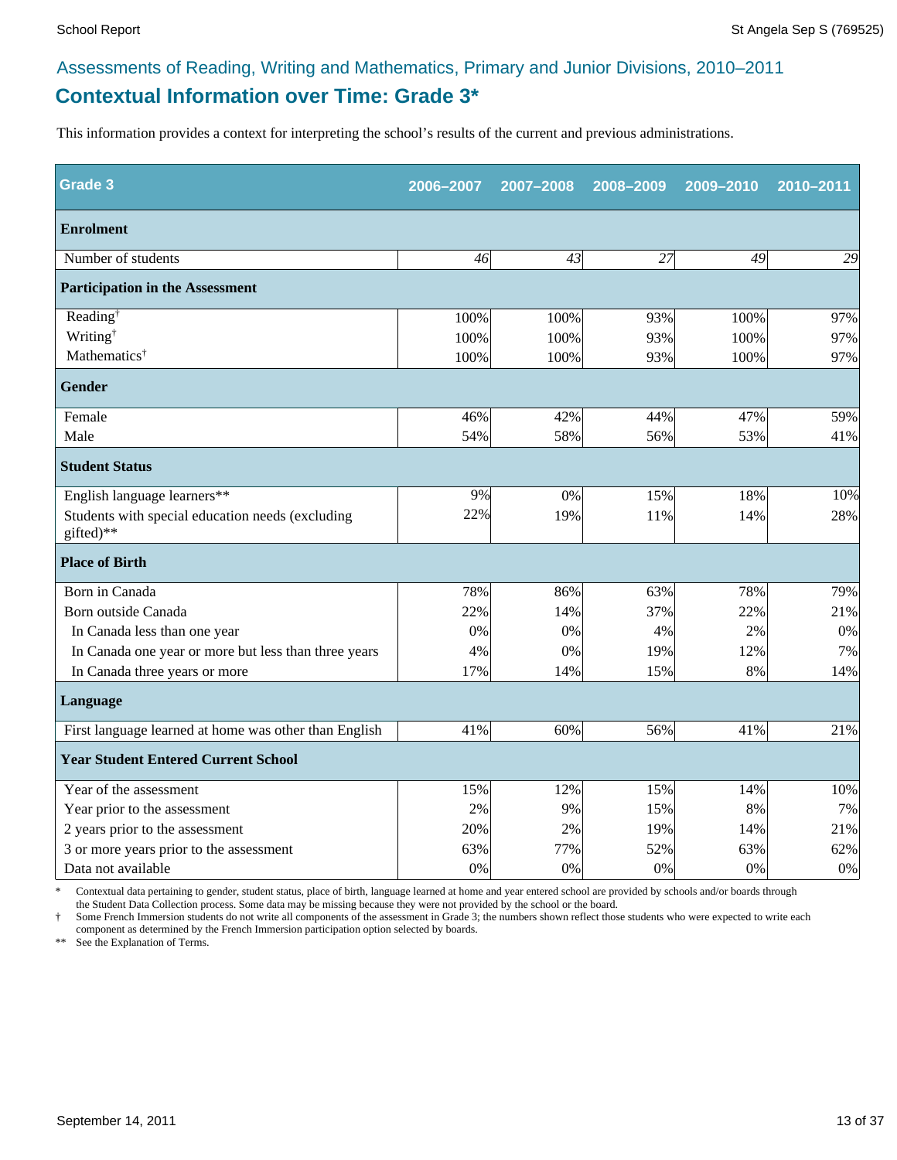# **Contextual Information over Time: Grade 3\*** Assessments of Reading, Writing and Mathematics, Primary and Junior Divisions, 2010–2011

This information provides a context for interpreting the school's results of the current and previous administrations.

| <b>Grade 3</b>                                                | 2006-2007 | 2007-2008 | 2008-2009 | 2009-2010 | 2010-2011 |
|---------------------------------------------------------------|-----------|-----------|-----------|-----------|-----------|
| <b>Enrolment</b>                                              |           |           |           |           |           |
| Number of students                                            | 46        | 43        | 27        | 49        | 29        |
| <b>Participation in the Assessment</b>                        |           |           |           |           |           |
| Reading <sup>†</sup>                                          | 100%      | 100%      | 93%       | 100%      | 97%       |
| Writing <sup>†</sup>                                          | 100%      | 100%      | 93%       | 100%      | 97%       |
| Mathematics <sup>†</sup>                                      | 100%      | 100%      | 93%       | 100%      | 97%       |
| <b>Gender</b>                                                 |           |           |           |           |           |
| Female                                                        | 46%       | 42%       | 44%       | 47%       | 59%       |
| Male                                                          | 54%       | 58%       | 56%       | 53%       | 41%       |
| <b>Student Status</b>                                         |           |           |           |           |           |
| English language learners**                                   | 9%        | 0%        | 15%       | 18%       | 10%       |
| Students with special education needs (excluding<br>gifted)** | 22%       | 19%       | 11%       | 14%       | 28%       |
| <b>Place of Birth</b>                                         |           |           |           |           |           |
| Born in Canada                                                | 78%       | 86%       | 63%       | 78%       | 79%       |
| Born outside Canada                                           | 22%       | 14%       | 37%       | 22%       | 21%       |
| In Canada less than one year                                  | 0%        | 0%        | 4%        | 2%        | 0%        |
| In Canada one year or more but less than three years          | 4%        | 0%        | 19%       | 12%       | 7%        |
| In Canada three years or more                                 | 17%       | 14%       | 15%       | 8%        | 14%       |
| Language                                                      |           |           |           |           |           |
| First language learned at home was other than English         | 41%       | 60%       | 56%       | 41%       | 21%       |
| <b>Year Student Entered Current School</b>                    |           |           |           |           |           |
| Year of the assessment                                        | 15%       | 12%       | 15%       | 14%       | 10%       |
| Year prior to the assessment                                  | 2%        | 9%        | 15%       | 8%        | 7%        |
| 2 years prior to the assessment                               | 20%       | 2%        | 19%       | 14%       | 21%       |
| 3 or more years prior to the assessment                       | 63%       | 77%       | 52%       | 63%       | 62%       |
| Data not available                                            | 0%        | 0%        | 0%        | 0%        | $0\%$     |

\* Contextual data pertaining to gender, student status, place of birth, language learned at home and year entered school are provided by schools and/or boards through the Student Data Collection process. Some data may be missing because they were not provided by the school or the board.

† Some French Immersion students do not write all components of the assessment in Grade 3; the numbers shown reflect those students who were expected to write each component as determined by the French Immersion participation option selected by boards.

\*\* See the Explanation of Terms.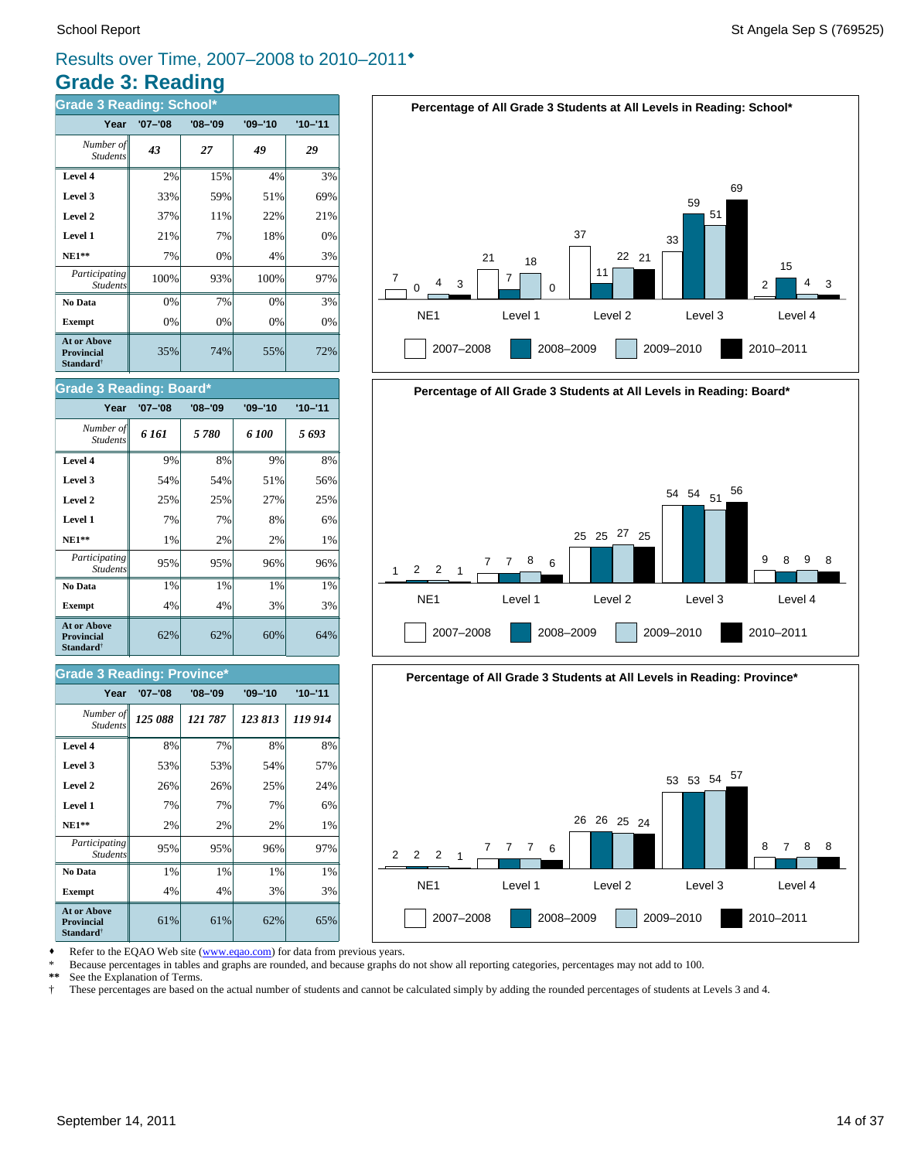## **Grade 3: Reading** Results over Time, 2007–2008 to 2010–2011®

| <b>Grade 3 Reading: School*</b>                                         |             |             |             |             |  |  |  |  |
|-------------------------------------------------------------------------|-------------|-------------|-------------|-------------|--|--|--|--|
| Year                                                                    | $'07 - '08$ | $'08 - '09$ | $'09 - '10$ | $'10 - '11$ |  |  |  |  |
| Number of<br><b>Students</b>                                            | 43          | 27          | 49          | 29          |  |  |  |  |
| Level 4                                                                 | 2%          | 15%         | 4%          | 3%          |  |  |  |  |
| Level 3                                                                 | 33%         | 59%         | 51%         | 69%         |  |  |  |  |
| Level 2                                                                 | 37%         | 11%         | 22%         | 21%         |  |  |  |  |
| Level 1                                                                 | 21%         | 7%          | 18%         | 0%          |  |  |  |  |
| <b>NE1**</b>                                                            | 7%          | 0%          | 4%          | 3%          |  |  |  |  |
| Participating<br><b>Students</b>                                        | 100%        | 93%         | 100%        | 97%         |  |  |  |  |
| No Data                                                                 | 0%          | 7%          | 0%          | 3%          |  |  |  |  |
| <b>Exempt</b>                                                           | 0%          | 0%          | 0%          | 0%          |  |  |  |  |
| <b>At or Above</b><br><b>Provincial</b><br><b>Standard</b> <sup>†</sup> | 35%         | 74%         | 55%         | 72%         |  |  |  |  |









**Exempt**  $\begin{vmatrix} 4\% & 4\% \end{vmatrix}$  4% 3% 3% **No Data**  $\begin{array}{|c|c|c|c|} \hline \textbf{No Data} & 1\% & 1\% & 1\% \hline \end{array}$ *Participating* 95% 95% 96% 97%

**NE1\*\***  $\begin{vmatrix} 2\% & 2\% \end{vmatrix}$  2% 2% 1% **Level 1** 7% 7% 7% 6% **Level 2**  $\begin{array}{|c|c|c|c|c|} \hline \end{array}$  26% 26% 25% 24% **Level 3**  $\begin{vmatrix} 53\% & 53\% \end{vmatrix}$  53% 54% 57% **Level 4** 8% 7% 8% 8%

 $61\%$  61% 62% 65%

62% 62% 60% 64%

**Exempt**  $\begin{array}{|c|c|c|c|} \hline \end{array}$  4% 4% 3% 3% **No Data**  $\begin{array}{|c|c|c|c|} \hline \textbf{No Data} & 1\% & 1\% & 1\% \hline \end{array}$ *Participating* 95% 95% 96% 96%

*125 088 121 787 123 813 119 914 Number of*

**Year '07–'08 '08–'09 '09–'10 '10–'11**

**NE1\*\***  $\begin{vmatrix} 1\% & 2\% \end{vmatrix}$  2% 2% 1% **Level 1** 7% 7% 8% 6% **Level 2**  $\begin{vmatrix} 25\% & 25\% \end{vmatrix}$  25% 27% 25% **Level 3 1** 54% **54% 54% 51% 56% Level 4** 9% 8% 9% 8% *6 161 5 780 6 100 5 693 Number of*

**Year '07–'08 '08–'09 '09–'10 '10–'11**

\* Because percentages in tables and graphs are rounded, and because graphs do not show all reporting categories, percentages may not add to 100.

**\*\*** See the Explanation of Terms.

*Student* 

**At or Above Provincial Standard**†

*Students*

**Grade 3 Reading: Province\***

Students

**At or Above Provincial Standard**†

Student.

**Grade 3 Reading: Board\***

† These percentages are based on the actual number of students and cannot be calculated simply by adding the rounded percentages of students at Levels 3 and 4.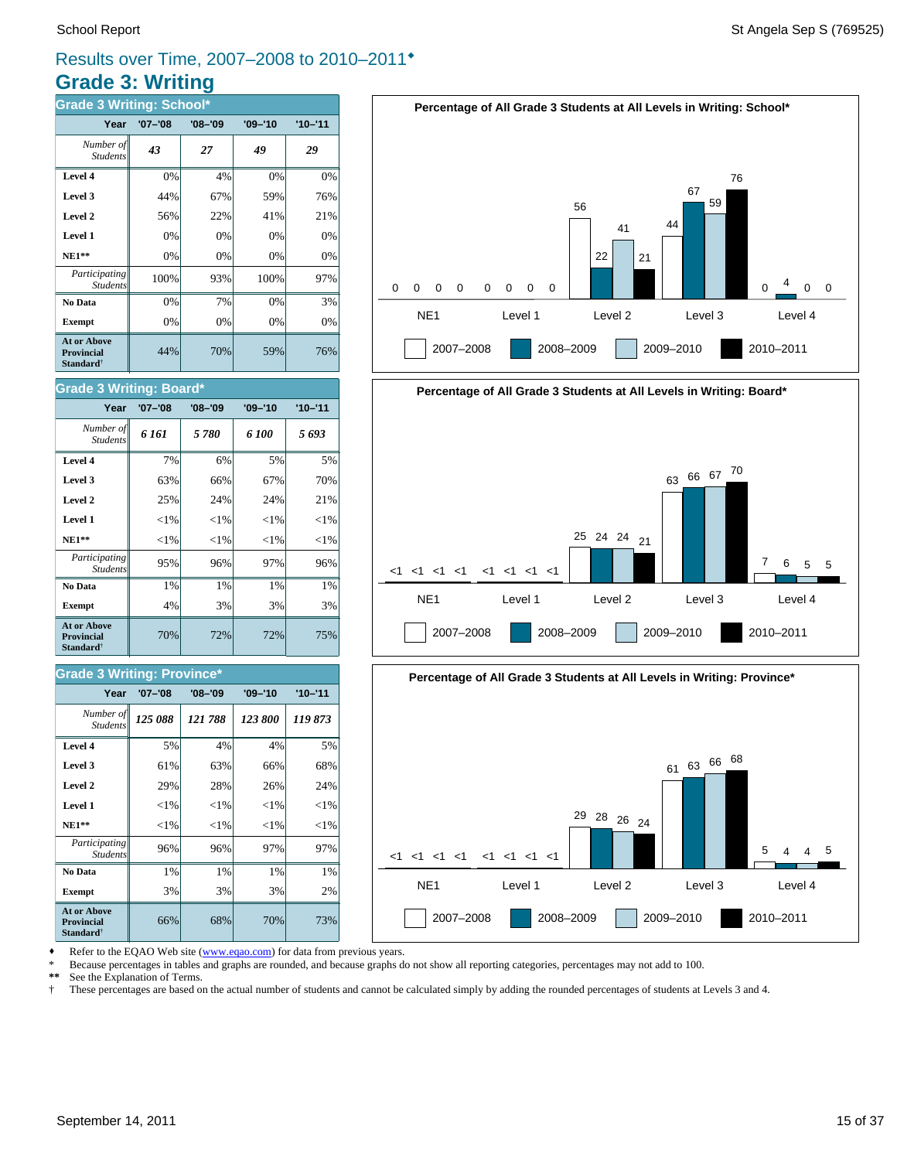## **Grade 3: Writing** Results over Time, 2007–2008 to 2010–2011®

| <b>Grade 3 Writing: School*</b>                                         |             |             |             |             |  |
|-------------------------------------------------------------------------|-------------|-------------|-------------|-------------|--|
| Year                                                                    | $'07 - '08$ | $'08 - '09$ | $'09 - '10$ | $'10 - '11$ |  |
| Number of<br><b>Students</b>                                            | 43          | 27          | 49          | 29          |  |
| Level 4                                                                 | 0%          | 4%          | 0%          | 0%          |  |
| Level 3                                                                 | 44%         | 67%         | 59%         | 76%         |  |
| Level 2                                                                 | 56%         | 22%         | 41%         | 21%         |  |
| Level 1                                                                 | 0%          | 0%          | 0%          | 0%          |  |
| $NE1**$                                                                 | 0%          | 0%          | 0%          | 0%          |  |
| Participating<br><b>Students</b>                                        | 100%        | 93%         | 100%        | 97%         |  |
| No Data                                                                 | 0%          | 7%          | 0%          | 3%          |  |
| <b>Exempt</b>                                                           | 0%          | 0%          | 0%          | 0%          |  |
| <b>At or Above</b><br><b>Provincial</b><br><b>Standard</b> <sup>†</sup> | 44%         | 70%         | 59%         | 76%         |  |





# **Percentage of All Grade 3 Students at All Levels in Writing: Board\*** NE1 Level 1 Level 2 Level 3 Level 4  $<1$   $<1$   $<1$   $<1$ 2007–2008 2008–2009 2009–2010 2010–2011 <1 <1 <1 <1 <1 <1 <1 <sup>25</sup> <sup>24</sup> <sup>24</sup> <sup>21</sup> <sup>63</sup> <sup>66</sup> <sup>67</sup> <sup>70</sup> 7 6 5 5



Refer to the EQAO Web site (www.eqao.com) for data from previous years.

\* Because percentages in tables and graphs are rounded, and because graphs do not show all reporting categories, percentages may not add to 100.

**\*\*** See the Explanation of Terms.

† These percentages are based on the actual number of students and cannot be calculated simply by adding the rounded percentages of students at Levels 3 and 4.

#### **Level 3**  $\begin{vmatrix} 63\% & 66\% \end{vmatrix}$  67% 67% 70% **Level 4** 7% 6% 5% 5% Student.

**Grade 3 Writing: Board\***

| At or Above<br><b>Provincial</b><br><b>Standard</b> <sup>†</sup> | 70%      | 72%      | 72%      | 75%      |
|------------------------------------------------------------------|----------|----------|----------|----------|
| <b>Exempt</b>                                                    | 4%       | 3%       | 3%       | 3%       |
| No Data                                                          | 1%       | 1%       | 1%       | 1%       |
| Participating<br><b>Students</b>                                 | 95%      | 96%      | 97%      | 96%      |
| <b>NE1**</b>                                                     | ${<}1\%$ | ${<}1\%$ | ${<}1\%$ | ${<}1\%$ |
| Level 1                                                          | ${<}1\%$ | ${<}1\%$ | ${<}1\%$ | $<$ 1%   |
| Level 2                                                          | 25%      | 24%      | 24%      | 21%      |

*6 161 5 780 6 100 5 693 Number of*

**Year '07–'08 '08–'09 '09–'10 '10–'11**

#### **Grade 3 Writing: Province\***

| Year                                                                    | $'07 - '08$ | $'08 - '09$ | $'09 - '10$ | $'10 - '11$ |
|-------------------------------------------------------------------------|-------------|-------------|-------------|-------------|
| Number of<br><b>Students</b>                                            | 125 088     | 121788      | 123 800     | 119873      |
| Level 4                                                                 | 5%          | 4%          | 4%          | 5%          |
| Level 3                                                                 | 61%         | 63%         | 66%         | 68%         |
| Level 2                                                                 | 29%         | 28%         | 26%         | 24%         |
| Level 1                                                                 | ${<}1\%$    | ${<}1\%$    | ${<}1\%$    | ${<}1\%$    |
| $NE1**$                                                                 | ${<}1\%$    | ${<}1\%$    | ${<}1\%$    | ${<}1\%$    |
| Participating<br><b>Students</b>                                        | 96%         | 96%         | 97%         | 97%         |
| No Data                                                                 | 1%          | 1%          | 1%          | 1%          |
| <b>Exempt</b>                                                           | 3%          | 3%          | 3%          | 2%          |
| <b>At or Above</b><br><b>Provincial</b><br><b>Standard</b> <sup>†</sup> | 66%         | 68%         | 70%         | 73%         |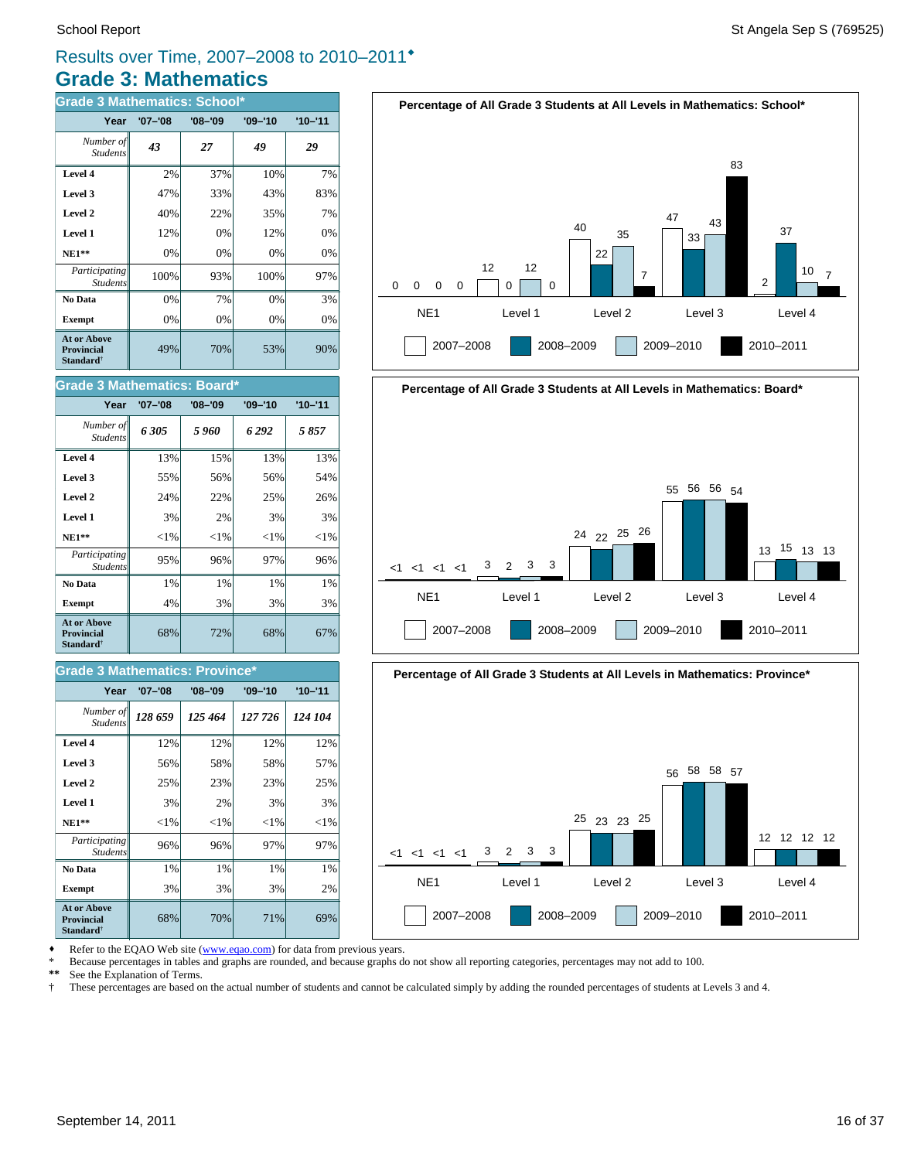# **Grade 3: Mathematics** Results over Time, 2007–2008 to 2010–2011®

| <b>Grade 3 Mathematics: School*</b>                                     |             |             |             |             |  |
|-------------------------------------------------------------------------|-------------|-------------|-------------|-------------|--|
| Year                                                                    | $'07 - '08$ | $'08 - '09$ | $'09 - '10$ | $'10 - '11$ |  |
| Number of<br><b>Students</b>                                            | 43          | 27          | 49          | 29          |  |
| Level 4                                                                 | 2%          | 37%         | 10%         | 7%          |  |
| Level 3                                                                 | 47%         | 33%         | 43%         | 83%         |  |
| Level 2                                                                 | 40%         | 22%         | 35%         | 7%          |  |
| Level 1                                                                 | 12%         | 0%          | 12%         | 0%          |  |
| <b>NE1**</b>                                                            | 0%          | 0%          | 0%          | 0%          |  |
| Participating<br><b>Students</b>                                        | 100%        | 93%         | 100%        | 97%         |  |
| No Data                                                                 | 0%          | 7%          | 0%          | 3%          |  |
| <b>Exempt</b>                                                           | 0%          | 0%          | 0%          | $0\%$       |  |
| <b>At or Above</b><br><b>Provincial</b><br><b>Standard</b> <sup>†</sup> | 49%         | 70%         | 53%         | 90%         |  |

| <b>Grade 3 Mathematics: Board*</b>                               |             |             |             |             |  |  |
|------------------------------------------------------------------|-------------|-------------|-------------|-------------|--|--|
| Year                                                             | $'07 - '08$ | $'08 - '09$ | $'09 - '10$ | $'10 - '11$ |  |  |
| Number of<br><b>Students</b>                                     | 6305        | 5 960       | 6292        | 5857        |  |  |
| Level 4                                                          | 13%         | 15%         | 13%         | 13%         |  |  |
| Level 3                                                          | 55%         | 56%         | 56%         | .54%        |  |  |
| Level 2                                                          | 24%         | 22%         | 25%         | 26%         |  |  |
| Level 1                                                          | 3%          | 2%          | 3%          | 3%          |  |  |
| $NE1**$                                                          | ${<}1\%$    | ${<}1\%$    | ${<}1\%$    | ${<}1\%$    |  |  |
| Participating<br><b>Students</b>                                 | 95%         | 96%         | 97%         | 96%         |  |  |
| No Data                                                          | 1%          | 1%          | 1%          | 1%          |  |  |
| <b>Exempt</b>                                                    | 4%          | 3%          | 3%          | 3%          |  |  |
| At or Above<br><b>Provincial</b><br><b>Standard</b> <sup>†</sup> | 68%         | 72%         | 68%         | 67%         |  |  |

#### **Grade 3 Mathematics: Province\***

| Year                                                             | $'07 - '08$ | $'08 - '09$ | $'09 - '10$ | $'10 - '11$ |
|------------------------------------------------------------------|-------------|-------------|-------------|-------------|
| Number of<br><b>Students</b>                                     | 128 659     | 125 464     | 127 726     | 124 104     |
| Level 4                                                          | 12%         | 12%         | 12%         | 12%         |
| Level 3                                                          | 56%         | 58%         | 58%         | 57%         |
| Level 2                                                          | 25%         | 23%         | 23%         | 25%         |
| Level 1                                                          | 3%          | 2%          | 3%          | 3%          |
| <b>NE1**</b>                                                     | ${<}1\%$    | ${<}1\%$    | ${<}1\%$    | ${<}1\%$    |
| Participating<br><b>Students</b>                                 | 96%         | 96%         | 97%         | 97%         |
| No Data                                                          | 1%          | 1%          | 1%          | 1%          |
| <b>Exempt</b>                                                    | 3%          | 3%          | 3%          | 2%          |
| At or Above<br><b>Provincial</b><br><b>Standard</b> <sup>†</sup> | 68%         | 70%         | 71%         | 69%         |







Refer to the EQAO Web site (www.eqao.com) for data from previous years.

\* Because percentages in tables and graphs are rounded, and because graphs do not show all reporting categories, percentages may not add to 100.<br>\*\* See the Explanation of Terms

\*\* See the Explanation of Terms.<br><sup>†</sup> These percentages are based on

† These percentages are based on the actual number of students and cannot be calculated simply by adding the rounded percentages of students at Levels 3 and 4.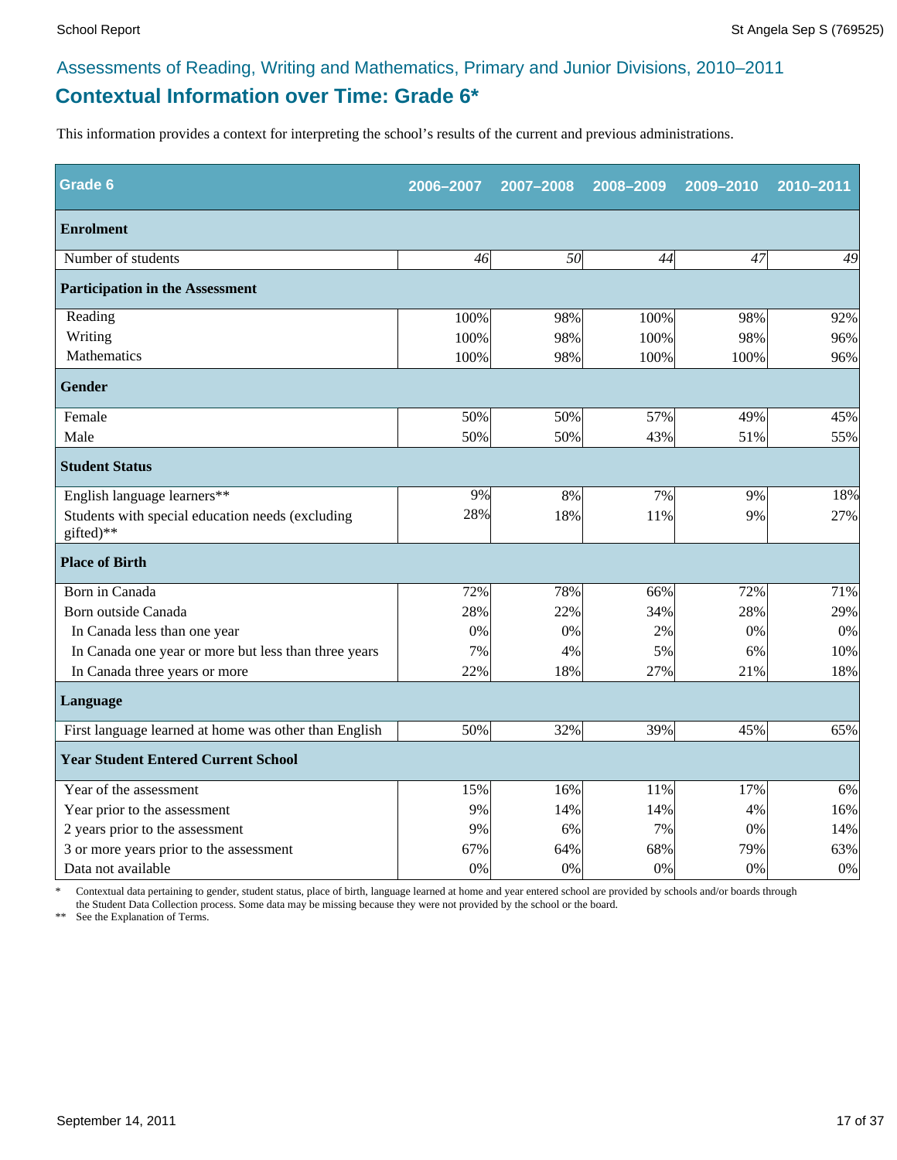# **Contextual Information over Time: Grade 6\*** Assessments of Reading, Writing and Mathematics, Primary and Junior Divisions, 2010–2011

This information provides a context for interpreting the school's results of the current and previous administrations.

| Grade 6                                                       | 2006-2007 | 2007-2008 | 2008-2009 | 2009-2010 | 2010-2011 |
|---------------------------------------------------------------|-----------|-----------|-----------|-----------|-----------|
| <b>Enrolment</b>                                              |           |           |           |           |           |
| Number of students                                            | 46        | 50        | 44        | 47        | 49        |
| <b>Participation in the Assessment</b>                        |           |           |           |           |           |
| Reading                                                       | 100%      | 98%       | 100%      | 98%       | 92%       |
| Writing                                                       | 100%      | 98%       | 100%      | 98%       | 96%       |
| Mathematics                                                   | 100%      | 98%       | 100%      | 100%      | 96%       |
| <b>Gender</b>                                                 |           |           |           |           |           |
| Female                                                        | 50%       | 50%       | 57%       | 49%       | 45%       |
| Male                                                          | 50%       | 50%       | 43%       | 51%       | 55%       |
| <b>Student Status</b>                                         |           |           |           |           |           |
| English language learners**                                   | 9%        | 8%        | 7%        | 9%        | 18%       |
| Students with special education needs (excluding<br>gifted)** | 28%       | 18%       | 11%       | 9%        | 27%       |
| <b>Place of Birth</b>                                         |           |           |           |           |           |
| Born in Canada                                                | 72%       | 78%       | 66%       | 72%       | 71%       |
| Born outside Canada                                           | 28%       | 22%       | 34%       | 28%       | 29%       |
| In Canada less than one year                                  | $0\%$     | 0%        | 2%        | 0%        | 0%        |
| In Canada one year or more but less than three years          | 7%        | 4%        | 5%        | 6%        | 10%       |
| In Canada three years or more                                 | 22%       | 18%       | 27%       | 21%       | 18%       |
| <b>Language</b>                                               |           |           |           |           |           |
| First language learned at home was other than English         | 50%       | 32%       | 39%       | 45%       | 65%       |
| <b>Year Student Entered Current School</b>                    |           |           |           |           |           |
| Year of the assessment                                        | 15%       | 16%       | 11%       | 17%       | 6%        |
| Year prior to the assessment                                  | 9%        | 14%       | 14%       | 4%        | 16%       |
| 2 years prior to the assessment                               | 9%        | 6%        | 7%        | 0%        | 14%       |
| 3 or more years prior to the assessment                       | 67%       | 64%       | 68%       | 79%       | 63%       |
| Data not available                                            | 0%        | 0%        | 0%        | 0%        | $0\%$     |

\* Contextual data pertaining to gender, student status, place of birth, language learned at home and year entered school are provided by schools and/or boards through the Student Data Collection process. Some data may be missing because they were not provided by the school or the board.

\*\* See the Explanation of Terms.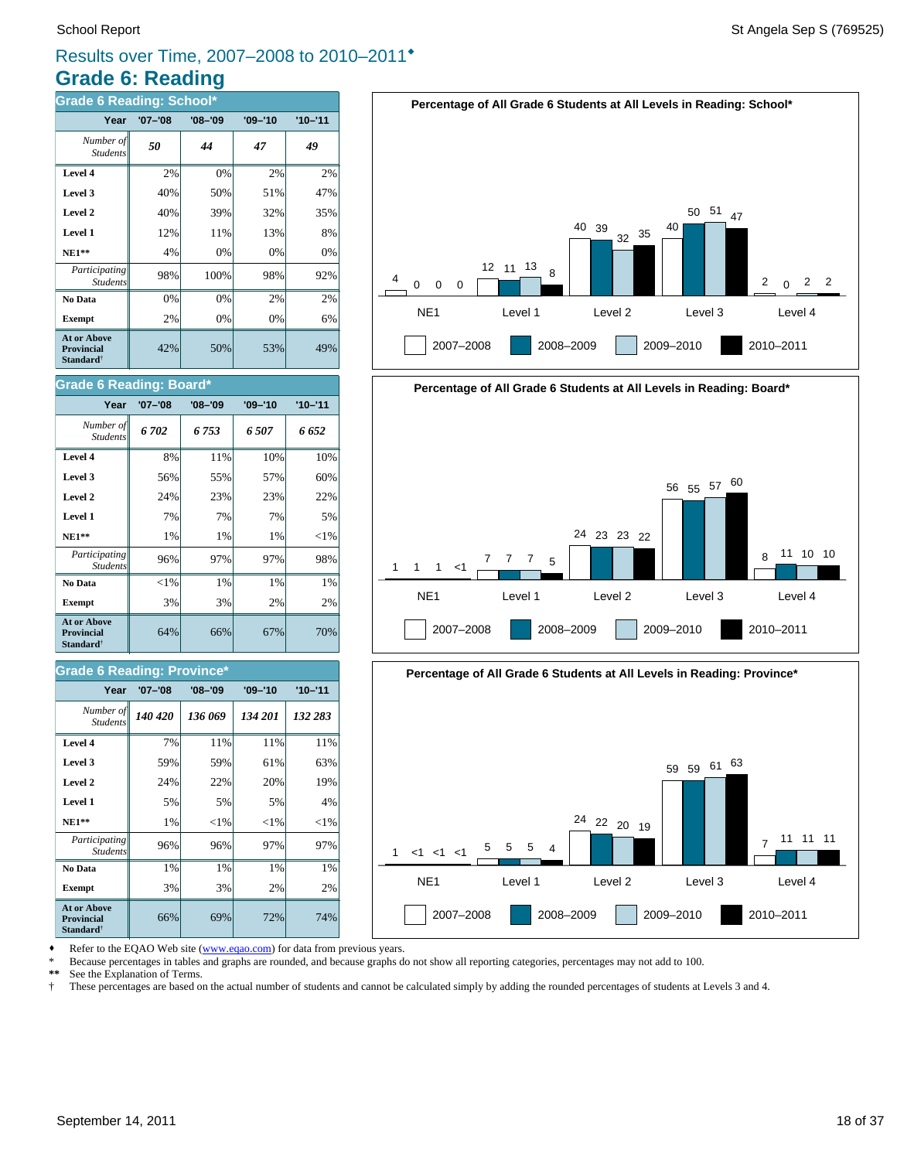# **Grade 6: Reading** Results over Time, 2007–2008 to 2010–2011®

| <b>Grade 6 Reading: School*</b>                           |             |             |             |             |  |  |
|-----------------------------------------------------------|-------------|-------------|-------------|-------------|--|--|
| Year                                                      | $'07 - '08$ | $'08 - '09$ | $'09 - '10$ | $'10 - '11$ |  |  |
| Number of<br><b>Students</b>                              | 50          | 44          | 47          | 49          |  |  |
| Level 4                                                   | 2%          | 0%          | 2%          | 2%          |  |  |
| Level 3                                                   | 40%         | 50%         | 51%         | 47%         |  |  |
| Level 2                                                   | 40%         | 39%         | 32%         | 35%         |  |  |
| Level 1                                                   | 12%         | 11%         | 13%         | 8%          |  |  |
| $NE1**$                                                   | 4%          | 0%          | 0%          | 0%          |  |  |
| Participating<br><b>Students</b>                          | 98%         | 100%        | 98%         | 92%         |  |  |
| No Data                                                   | 0%          | 0%          | 2%          | 2%          |  |  |
| <b>Exempt</b>                                             | 2%          | 0%          | 0%          | 6%          |  |  |
| <b>At or Above</b><br>Provincial<br>Standard <sup>†</sup> | 42%         | 50%         | 53%         | 49%         |  |  |



# **Percentage of All Grade 6 Students at All Levels in Reading: Board\*** NE1 Level 1 Level 2 Level 3 Level 4 1 2007–2008 2008–2009 2009–2010 2010–2011 1 1 <1 7 7 7 5 24 23 23 22 <sup>56</sup> <sup>55</sup> <sup>57</sup> <sup>60</sup> 8 11 10 10



Refer to the EQAO Web site (www.eqao.com) for data from previous years.

\* Because percentages in tables and graphs are rounded, and because graphs do not show all reporting categories, percentages may not add to 100.

**\*\*** See the Explanation of Terms.

† These percentages are based on the actual number of students and cannot be calculated simply by adding the rounded percentages of students at Levels 3 and 4.

#### **Level 4 8%** 11% 10% 10% *Students*

**Grade 6 Reading: Board\***

| Level 3                                                                 | 56%      | 55% | 57% | 60%      |
|-------------------------------------------------------------------------|----------|-----|-----|----------|
| Level 2                                                                 | 24%      | 23% | 23% | 22%      |
| Level 1                                                                 | 7%       | 7%  | 7%  | 5%       |
| $NE1**$                                                                 | 1%       | 1%  | 1%  | ${<}1\%$ |
| Participating<br><b>Students</b>                                        | 96%      | 97% | 97% | 98%      |
| No Data                                                                 | ${<}1\%$ | 1%  | 1%  | 1%       |
| <b>Exempt</b>                                                           | 3%       | 3%  | 2%  | 2%       |
| <b>At or Above</b><br><b>Provincial</b><br><b>Standard</b> <sup>†</sup> | 64%      | 66% | 67% | 70%      |

*6 702 6 753 6 507 6 652 Number of*

**Year '07–'08 '08–'09 '09–'10 '10–'11**

#### **Grade 6 Reading: Province\***

| Year<br>$'07 - '08$                                              |         | $'08 - '09$ | $'09 - '10$ | $'10 - '11$ |
|------------------------------------------------------------------|---------|-------------|-------------|-------------|
| Number of<br><b>Students</b>                                     | 140 420 | 136 069     | 134 201     | 132 283     |
| Level 4                                                          | 7%      | 11%         | 11%         | 11%         |
| Level 3                                                          | 59%     | 59%         | 61%         | 63%         |
| Level 2                                                          | 24%     | 22%         | 20%         | 19%         |
| Level 1                                                          | 5%      | 5%          | 5%          | 4%          |
| $NE1**$                                                          | 1%      | ${<}1\%$    | ${<}1\%$    | ${<}1\%$    |
| Participating<br><b>Students</b>                                 | 96%     | 96%         | 97%         | 97%         |
| No Data                                                          | 1%      | 1%          | 1%          | 1%          |
| <b>Exempt</b>                                                    | 3%      | 3%          | 2%          | 2%          |
| At or Above<br><b>Provincial</b><br><b>Standard</b> <sup>†</sup> | 66%     | 69%         | 72%         | 74%         |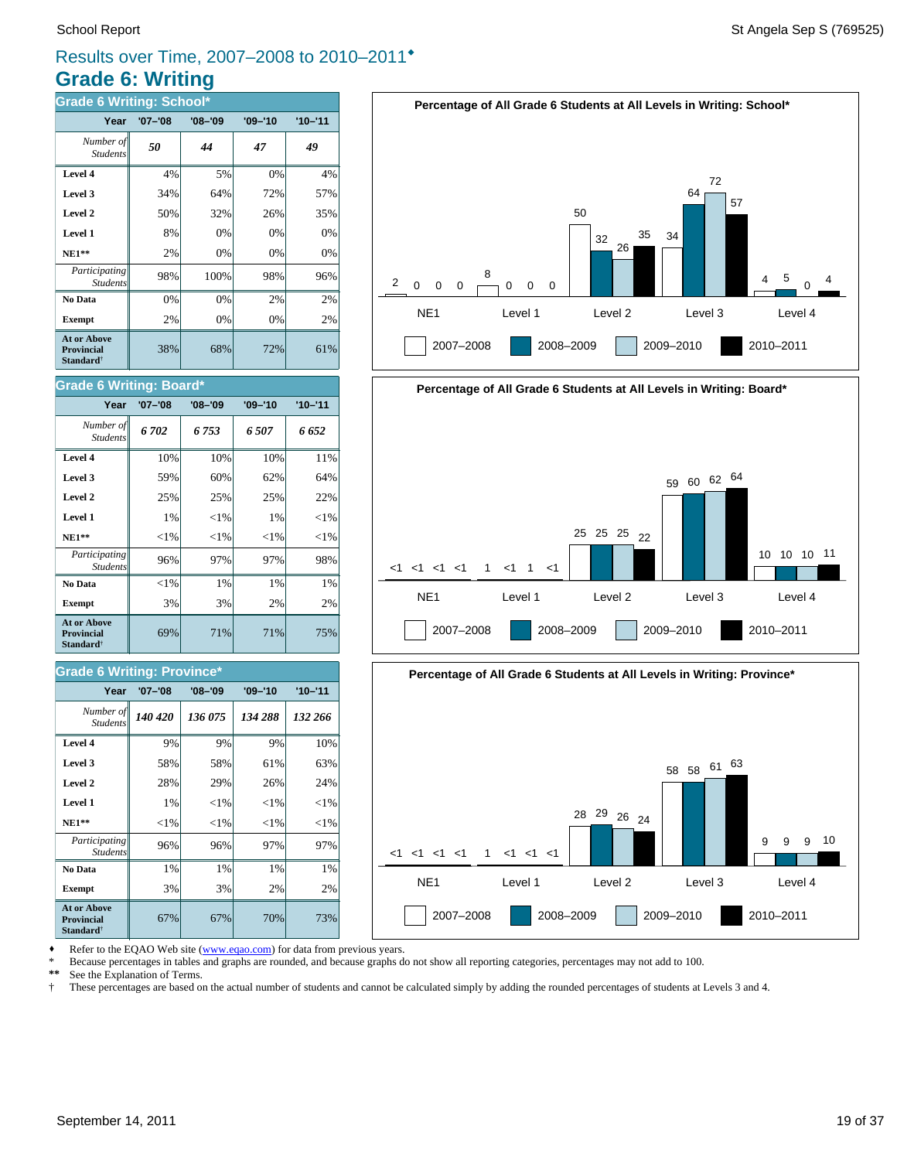### **Grade 6: Writing** Results over Time, 2007–2008 to 2010–2011®

| <b>Grade 6 Writing: School*</b>                                         |             |             |             |             |  |  |
|-------------------------------------------------------------------------|-------------|-------------|-------------|-------------|--|--|
| Year                                                                    | $'07 - '08$ | $'08 - '09$ | $'09 - '10$ | $'10 - '11$ |  |  |
| Number of<br><b>Students</b>                                            | 50          | 44          | 47          | 49          |  |  |
| Level 4                                                                 | 4%          | 5%          | 0%          | 4%          |  |  |
| Level 3                                                                 | 34%         | 64%         | 72%         | 57%         |  |  |
| Level 2                                                                 | 50%         | 32%         | 26%         | 35%         |  |  |
| Level 1                                                                 | 8%          | 0%          | 0%          | 0%          |  |  |
| <b>NE1**</b>                                                            | 2%          | 0%          | 0%          | 0%          |  |  |
| Participating<br><b>Students</b>                                        | 98%         | 100%        | 98%         | 96%         |  |  |
| No Data                                                                 | 0%          | 0%          | 2%          | 2%          |  |  |
| <b>Exempt</b>                                                           | 2%          | 0%          | 0%          | 2%          |  |  |
| <b>At or Above</b><br><b>Provincial</b><br><b>Standard</b> <sup>†</sup> | 38%         | 68%         | 72%         | 61%         |  |  |



# **Percentage of All Grade 6 Students at All Levels in Writing: Board\*** NE1 Level 1 Level 2 Level 3 Level 4 <1 <1 <1 <1 1 <1 1 <1 2007–2008 2008–2009 2009–2010 2010–2011 25 25 25 22 <sup>59</sup> <sup>60</sup> <sup>62</sup> <sup>64</sup> 10 10 10 11



Refer to the EQAO Web site (www.eqao.com) for data from previous years.

\* Because percentages in tables and graphs are rounded, and because graphs do not show all reporting categories, percentages may not add to 100.<br>\*\* See the Explanation of Terms

\*\* See the Explanation of Terms.<br><sup>†</sup> These percentages are based on

† These percentages are based on the actual number of students and cannot be calculated simply by adding the rounded percentages of students at Levels 3 and 4.

# **NE1\*\***  $|\hspace{-.1cm}1\%| \hspace{-.1cm}|\hspace{-.1cm}|\hspace{-.1cm}|\hspace{-.1cm}|\hspace{-.1cm}|\hspace{-.1cm}|\hspace{-.1cm}|\hspace{-.1cm}|\hspace{-.1cm}|\hspace{-.1cm}|\hspace{-.1cm}|\hspace{-.1cm}|\hspace{-.1cm}|\hspace{-.1cm}|\hspace{-.1cm}|\hspace{-.1cm}|\hspace{-.1cm}|\hspace{-.1cm}|\hspace{-.1cm}|\hspace{-.1cm}|\hspace{-.1cm}|\hspace{-.1cm}|\hspace{-.1cm}|\hspace{-.1cm}|\hspace{-.1cm}$

**Grade 6 Writing: Board\***

Student.

| Participating<br>Students                                 | 96%      | 97% | 97% | 98% |
|-----------------------------------------------------------|----------|-----|-----|-----|
| No Data                                                   | ${<}1\%$ | 1%  | 1%  | 1%  |
| <b>Exempt</b>                                             | 3%       | 3%  | 2%  | 2%  |
| At or Above<br>Provincial<br><b>Standard</b> <sup>†</sup> | 69%      | 71% | 71% | 75% |

**Level 1** 1%  $\begin{vmatrix} 1 & 1 \end{vmatrix}$   $\begin{vmatrix} 1 \end{vmatrix}$   $\begin{vmatrix} 1 \end{vmatrix}$   $\begin{vmatrix} 1 \end{vmatrix}$   $\begin{vmatrix} 1 \end{vmatrix}$   $\begin{vmatrix} 1 \end{vmatrix}$ **Level 2**  $\begin{array}{ccc} \hline \end{array}$  25% 25% 25% 22% **Level 3**  $\begin{vmatrix} 59\% & 60\% & 62\% \end{vmatrix}$  64% **Level 4** 10% 10% 10% 11% *6 702 6 753 6 507 6 652 Number of*

**Year '07–'08 '08–'09 '09–'10 '10–'11**

#### **Grade 6 Writing: Province\***

| Year                                                             | $'07 - '08$ | $'08 - '09$ | $'09 - '10$ | $'10 - '11$ |
|------------------------------------------------------------------|-------------|-------------|-------------|-------------|
| Number of<br><b>Students</b>                                     | 140 420     | 136 075     | 134 288     | 132 266     |
| Level 4                                                          | 9%          | 9%          | 9%          | 10%         |
| Level 3                                                          | 58%         | 58%         | 61%         | 63%         |
| Level 2                                                          | 28%         | 29%         | 26%         | 24%         |
| Level 1                                                          | 1%          | ${<}1\%$    | ${<}1\%$    | ${<}1\%$    |
| <b>NE1**</b>                                                     | ${<}1\%$    | ${<}1\%$    | ${<}1\%$    | ${<}1\%$    |
| <i>Participating</i><br><b>Students</b>                          | 96%         | 96%         | 97%         | 97%         |
| No Data                                                          | 1%          | 1%          | 1%          | 1%          |
| <b>Exempt</b>                                                    | 3%          | 3%          | 2%          | 2%          |
| At or Above<br><b>Provincial</b><br><b>Standard</b> <sup>†</sup> | 67%         | 67%         | 70%         | 73%         |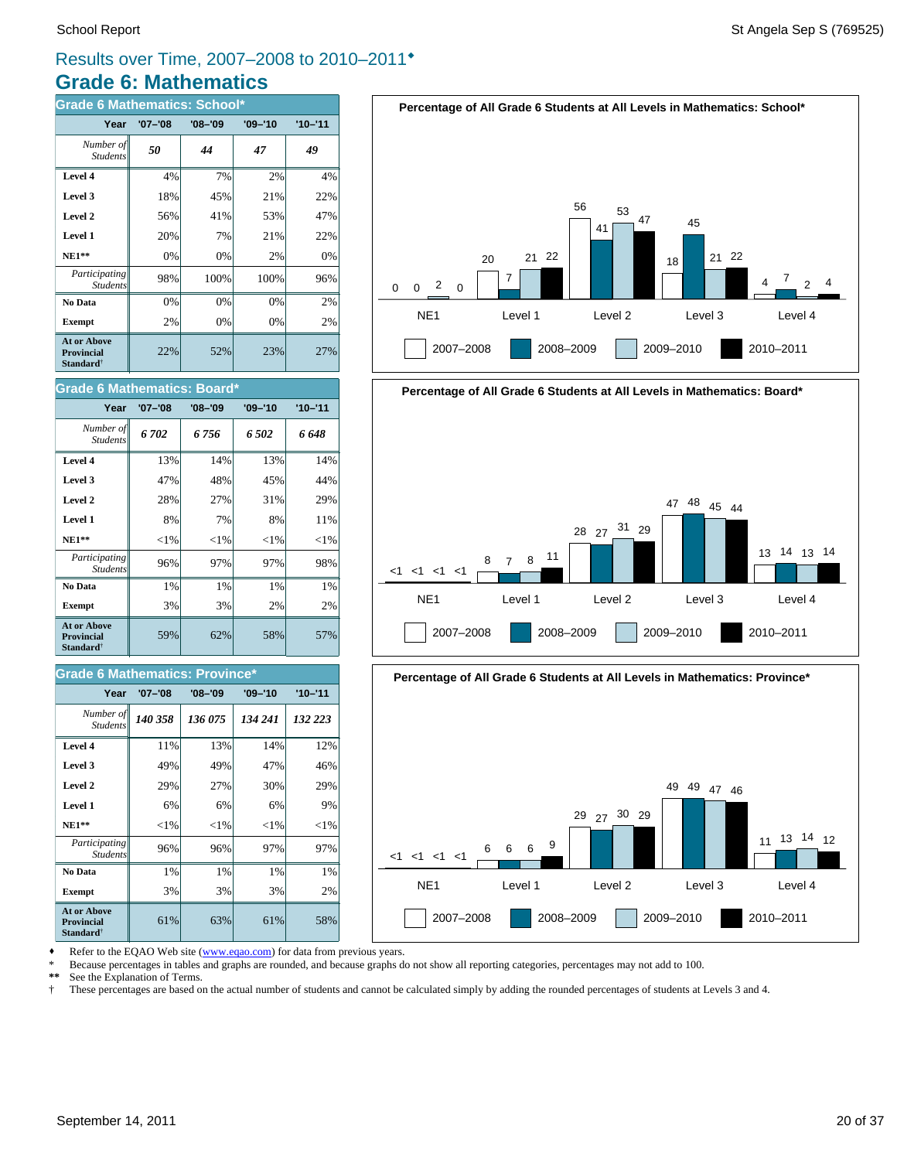## **Grade 6: Mathematics** Results over Time, 2007–2008 to 2010–2011®

| <b>Grade 6 Mathematics: School*</b>                                     |             |             |             |             |  |  |  |  |  |  |
|-------------------------------------------------------------------------|-------------|-------------|-------------|-------------|--|--|--|--|--|--|
| Year                                                                    | $'07 - '08$ | $'08 - '09$ | $'09 - '10$ | $'10 - '11$ |  |  |  |  |  |  |
| Number of<br><b>Students</b>                                            | 50          | 44          | 47          | 49          |  |  |  |  |  |  |
| Level 4                                                                 | 4%          | 7%          | 2%          | 4%          |  |  |  |  |  |  |
| Level 3                                                                 | 18%         | 45%         | 21%         | 22%         |  |  |  |  |  |  |
| Level 2                                                                 | 56%         | 41%         | 53%         | 47%         |  |  |  |  |  |  |
| Level 1                                                                 | 20%         | 7%          | 21%         | 22%         |  |  |  |  |  |  |
| <b>NE1**</b>                                                            | 0%          | 0%          | 2%          | 0%          |  |  |  |  |  |  |
| Participating<br><b>Students</b>                                        | 98%         | 100%        | 100%        | 96%         |  |  |  |  |  |  |
| No Data                                                                 | 0%          | 0%          | 0%          | 2%          |  |  |  |  |  |  |
| <b>Exempt</b>                                                           | 2%          | $0\%$       | 0%          | 2%          |  |  |  |  |  |  |
| <b>At or Above</b><br><b>Provincial</b><br><b>Standard</b> <sup>†</sup> | 22%         | 52%         | 23%         | 27%         |  |  |  |  |  |  |

#### **Grade 6 Mathematics: Board\***

| Year                                                                    | '07-'08  | $'08 - '09$ | $'09 - '10$ | $'10 - '11$ |
|-------------------------------------------------------------------------|----------|-------------|-------------|-------------|
| Number of<br><b>Students</b>                                            | 6702     | 6 756       | 6502        | 6 648       |
| Level 4                                                                 | 13%      | 14%         | 13%         | 14%         |
| Level 3                                                                 | 47%      | 48%         | 45%         | 44%         |
| Level 2                                                                 | 28%      | 27%         | 31%         | 29%         |
| Level 1                                                                 | 8%       | 7%          | 8%          | 11%         |
| $NE1**$                                                                 | ${<}1\%$ | ${<}1\%$    | ${<}1\%$    | ${<}1\%$    |
| Participating<br><b>Students</b>                                        | 96%      | 97%         | 97%         | 98%         |
| No Data                                                                 | 1%       | $1\%$       | $1\%$       | 1%          |
| <b>Exempt</b>                                                           | 3%       | 3%          | 2%          | 2%          |
| <b>At or Above</b><br><b>Provincial</b><br><b>Standard</b> <sup>†</sup> | 59%      | 62%         | 58%         | 57%         |

#### **Grade 6 Mathematics: Province**

| Year                                                                    | $'07 - '08$ | $'08 - '09$ | $'09 - '10$ | $'10 - '11$ |
|-------------------------------------------------------------------------|-------------|-------------|-------------|-------------|
| Number of<br><b>Students</b>                                            | 140 358     | 136 075     | 134 241     | 132 223     |
| Level 4                                                                 | 11%         | 13%         | 14%         | 12%         |
| Level 3                                                                 | 49%         | 49%         | 47%         | 46%         |
| Level 2                                                                 | 29%         | 27%         | 30%         | 29%         |
| Level 1                                                                 | 6%          | 6%          | 6%          | 9%          |
| <b>NE1**</b>                                                            | ${<}1\%$    | ${<}1\%$    | ${<}1\%$    | ${<}1\%$    |
| <i>Participating</i><br><b>Students</b>                                 | 96%         | 96%         | 97%         | 97%         |
| No Data                                                                 | 1%          | 1%          | 1%          | 1%          |
| <b>Exempt</b>                                                           | 3%          | 3%          | 3%          | 2%          |
| <b>At or Above</b><br><b>Provincial</b><br><b>Standard</b> <sup>†</sup> | 61%         | 63%         | 61%         | 58%         |







Refer to the EQAO Web site (www.eqao.com) for data from previous years.

\* Because percentages in tables and graphs are rounded, and because graphs do not show all reporting categories, percentages may not add to 100.

**\*\*** See the Explanation of Terms.

† These percentages are based on the actual number of students and cannot be calculated simply by adding the rounded percentages of students at Levels 3 and 4.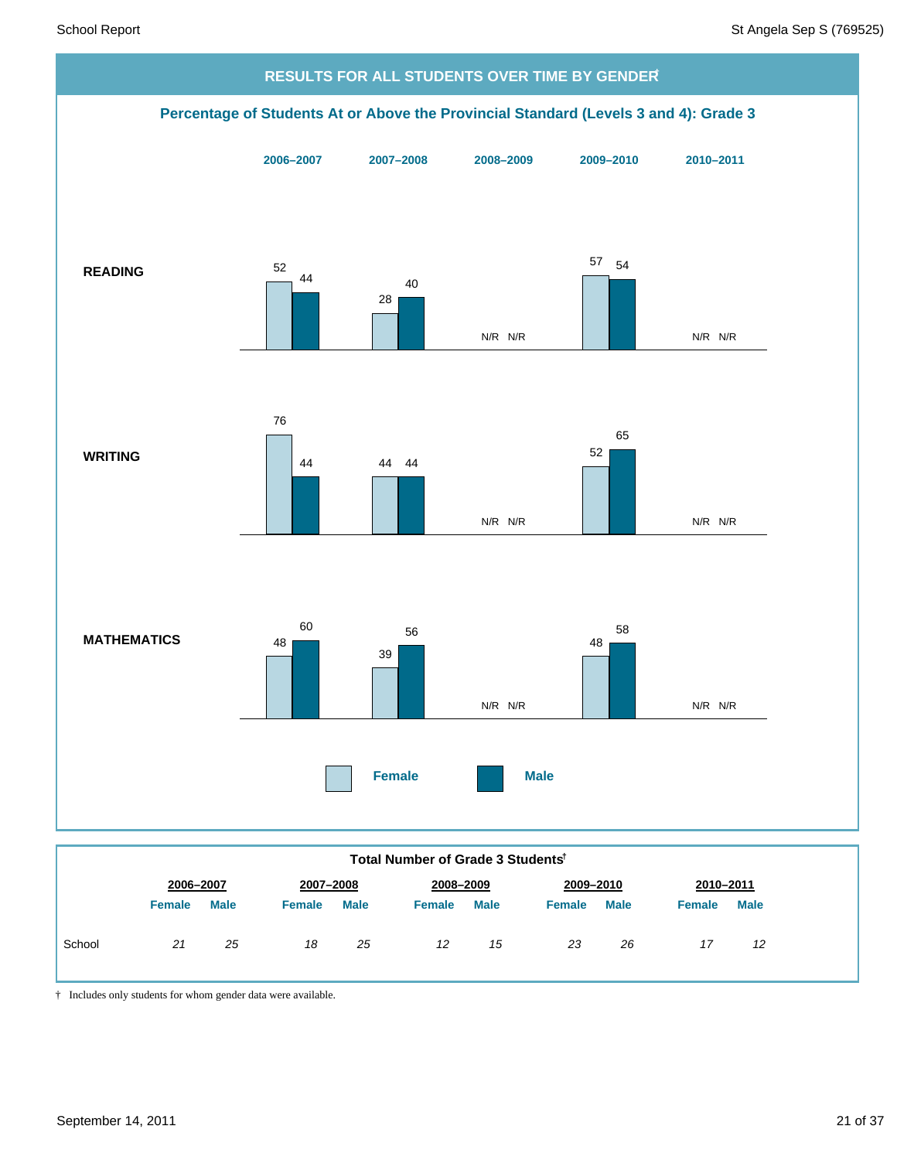

|  |  | Total Number of Grade 3 Students <sup>t</sup> |
|--|--|-----------------------------------------------|
|  |  |                                               |

† Includes only students for whom gender data were available.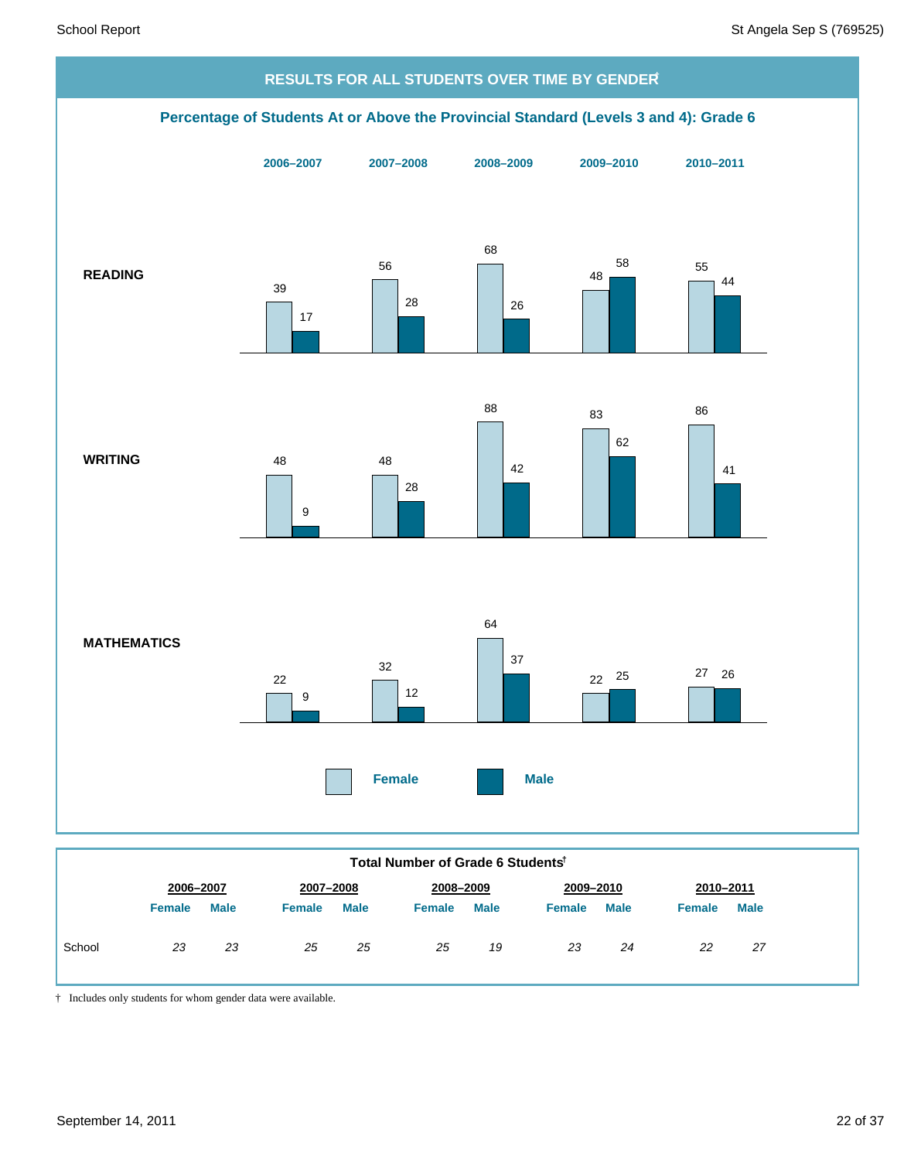

|        | יטועו וזעווואט ויט ושטווואט וי |             |               |             |               |             |           |             |               |             |
|--------|--------------------------------|-------------|---------------|-------------|---------------|-------------|-----------|-------------|---------------|-------------|
|        | 2006-2007                      |             | 2007-2008     |             | 2008-2009     |             | 2009-2010 |             | 2010-2011     |             |
|        | <b>Female</b>                  | <b>Male</b> | <b>Female</b> | <b>Male</b> | <b>Female</b> | <b>Male</b> | Female    | <b>Male</b> | <b>Female</b> | <b>Male</b> |
| School | 23                             | 23          | 25            | 25          | 25            | 19          | 23        | 24          | 22            | 27          |

† Includes only students for whom gender data were available.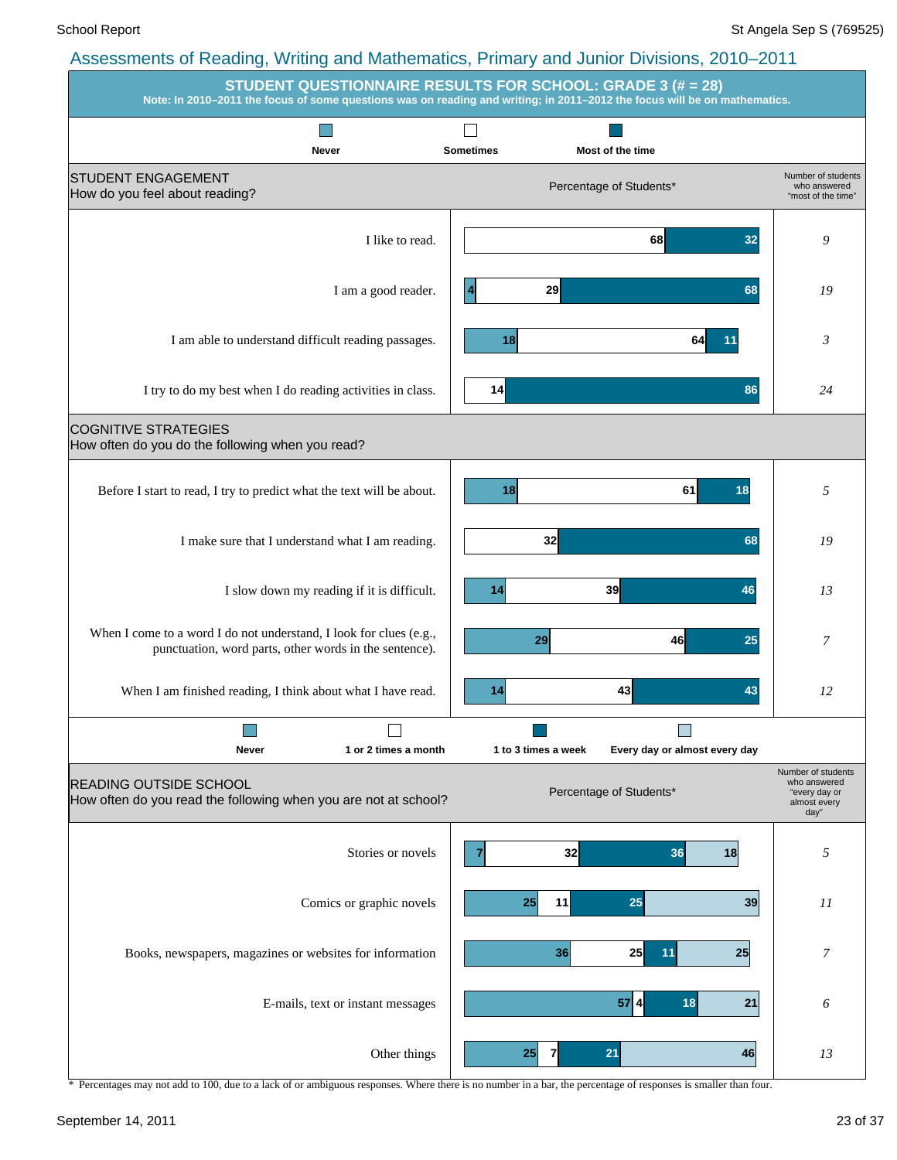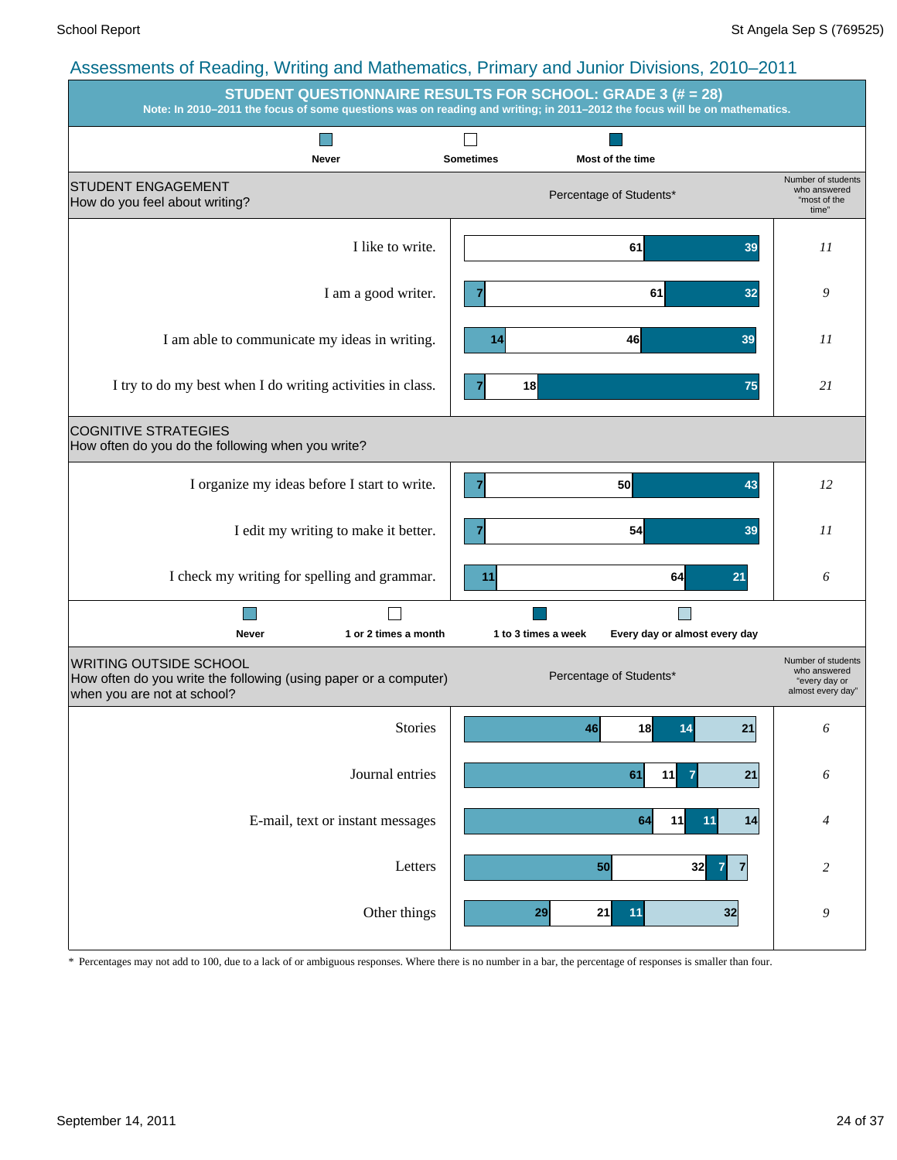|                                                                                                                           | <b>STUDENT QUESTIONNAIRE RESULTS FOR SCHOOL: GRADE 3 (# = 28)</b><br>Note: In 2010-2011 the focus of some questions was on reading and writing; in 2011-2012 the focus will be on mathematics. |                                                                          |
|---------------------------------------------------------------------------------------------------------------------------|------------------------------------------------------------------------------------------------------------------------------------------------------------------------------------------------|--------------------------------------------------------------------------|
| <b>Never</b>                                                                                                              | <b>Sometimes</b><br>Most of the time                                                                                                                                                           |                                                                          |
| <b>STUDENT ENGAGEMENT</b><br>How do you feel about writing?                                                               | Percentage of Students*                                                                                                                                                                        | Number of students<br>who answered<br>"most of the<br>time"              |
| I like to write.                                                                                                          | 61<br>39                                                                                                                                                                                       | 11                                                                       |
| I am a good writer.                                                                                                       | 61<br>32<br>7                                                                                                                                                                                  | 9                                                                        |
| I am able to communicate my ideas in writing.                                                                             | 46<br>39<br>14                                                                                                                                                                                 | 11                                                                       |
| I try to do my best when I do writing activities in class.                                                                | 18<br>75                                                                                                                                                                                       | 21                                                                       |
| <b>COGNITIVE STRATEGIES</b><br>How often do you do the following when you write?                                          |                                                                                                                                                                                                |                                                                          |
| I organize my ideas before I start to write.                                                                              | $\overline{7}$<br><b>50</b><br>43                                                                                                                                                              | 12                                                                       |
| I edit my writing to make it better.                                                                                      | 54<br>39<br>7                                                                                                                                                                                  | 11                                                                       |
| I check my writing for spelling and grammar.                                                                              | 64<br>11<br>21                                                                                                                                                                                 | 6                                                                        |
| 1 or 2 times a month<br><b>Never</b>                                                                                      | Every day or almost every day<br>1 to 3 times a week                                                                                                                                           |                                                                          |
| WRITING OUTSIDE SCHOOL<br>How often do you write the following (using paper or a computer)<br>when you are not at school? | Percentage of Students*                                                                                                                                                                        | Number of students<br>who answered<br>"every day or<br>almost every day" |
| <b>Stories</b>                                                                                                            | 18<br>21<br>46<br>14                                                                                                                                                                           | 6                                                                        |
| Journal entries                                                                                                           | 11<br>21<br>61<br>$\overline{7}$                                                                                                                                                               | 6                                                                        |
| E-mail, text or instant messages                                                                                          | 14<br>64<br>11<br>11                                                                                                                                                                           | 4                                                                        |
| Letters                                                                                                                   | 50<br>32<br>7<br>7                                                                                                                                                                             | $\overline{c}$                                                           |
| Other things                                                                                                              | 29<br>21<br>11<br>32                                                                                                                                                                           | 9                                                                        |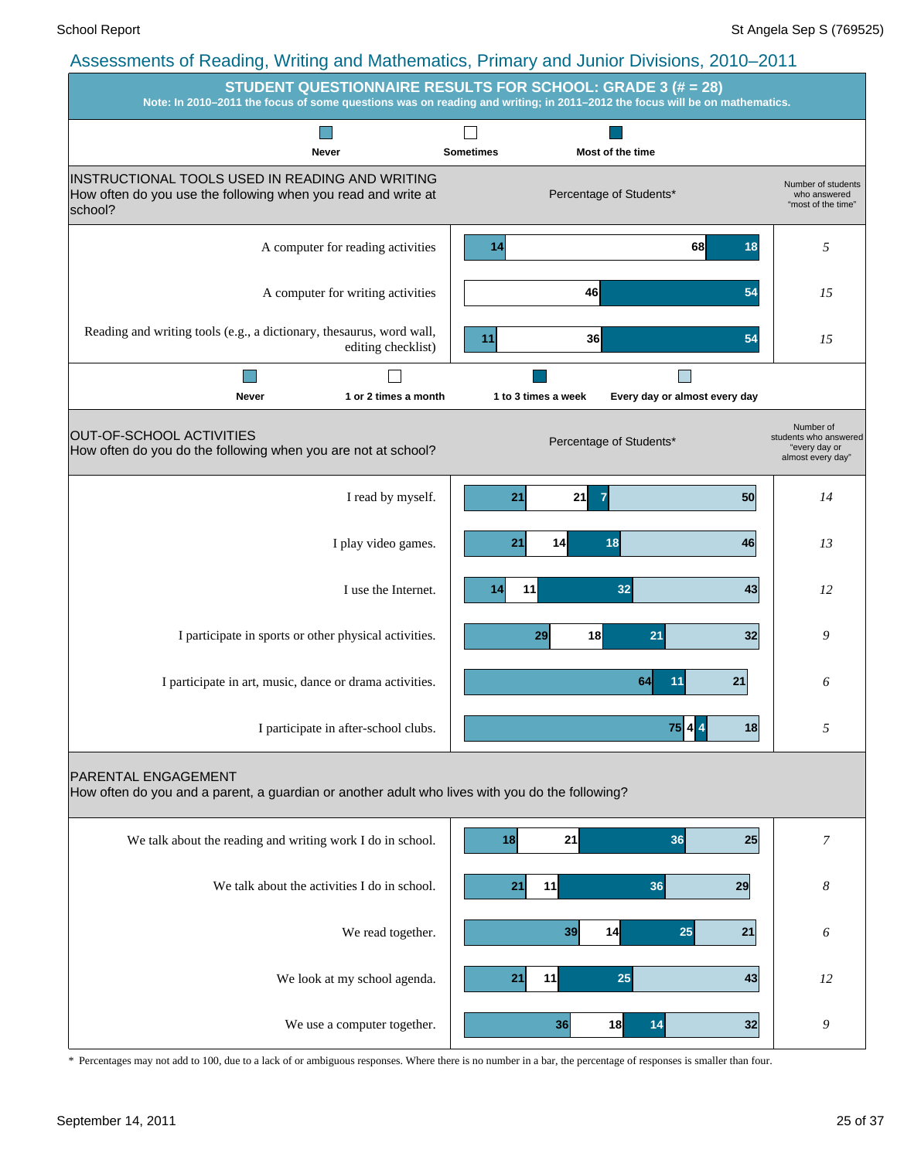|                                                                                                                             | STUDENT QUESTIONNAIRE RESULTS FOR SCHOOL: GRADE 3 (# = 28)<br>Note: In 2010-2011 the focus of some questions was on reading and writing; in 2011-2012 the focus will be on mathematics. |                                                                          |
|-----------------------------------------------------------------------------------------------------------------------------|-----------------------------------------------------------------------------------------------------------------------------------------------------------------------------------------|--------------------------------------------------------------------------|
| Never                                                                                                                       | <b>Sometimes</b><br>Most of the time                                                                                                                                                    |                                                                          |
| INSTRUCTIONAL TOOLS USED IN READING AND WRITING<br>How often do you use the following when you read and write at<br>school? | Percentage of Students*                                                                                                                                                                 | Number of students<br>who answered<br>"most of the time"                 |
| A computer for reading activities                                                                                           | 68<br>18<br>14                                                                                                                                                                          | 5                                                                        |
| A computer for writing activities                                                                                           | 54<br>46                                                                                                                                                                                | 15                                                                       |
| Reading and writing tools (e.g., a dictionary, thesaurus, word wall,<br>editing checklist)                                  | 54<br>36<br>11                                                                                                                                                                          | 15                                                                       |
| 1 or 2 times a month<br>Never                                                                                               | 1 to 3 times a week<br>Every day or almost every day                                                                                                                                    |                                                                          |
| OUT-OF-SCHOOL ACTIVITIES<br>How often do you do the following when you are not at school?                                   | Percentage of Students*                                                                                                                                                                 | Number of<br>students who answered<br>"every day or<br>almost every day" |
| I read by myself.                                                                                                           | 21<br>21<br>50<br>$\overline{7}$                                                                                                                                                        | 14                                                                       |
| I play video games.                                                                                                         | 46<br>21<br>18<br>14                                                                                                                                                                    | 13                                                                       |
| I use the Internet.                                                                                                         | 11<br>32<br>43<br>14                                                                                                                                                                    | 12                                                                       |
| I participate in sports or other physical activities.                                                                       | 18<br>29<br>21<br>32                                                                                                                                                                    | 9                                                                        |
| I participate in art, music, dance or drama activities.                                                                     | 64<br>21                                                                                                                                                                                | 6                                                                        |
| I participate in after-school clubs.                                                                                        | 75 A<br> 18                                                                                                                                                                             |                                                                          |
| PARENTAL ENGAGEMENT<br>How often do you and a parent, a guardian or another adult who lives with you do the following?      |                                                                                                                                                                                         |                                                                          |
| We talk about the reading and writing work I do in school.                                                                  | 21<br>36<br>18<br>25                                                                                                                                                                    | 7                                                                        |
| We talk about the activities I do in school.                                                                                | 11<br>36<br>21<br>29                                                                                                                                                                    | 8                                                                        |
| We read together.                                                                                                           | 14<br>39<br>25<br>21                                                                                                                                                                    | 6                                                                        |
| We look at my school agenda.                                                                                                | 11<br>25<br>21<br>43                                                                                                                                                                    | 12                                                                       |
| We use a computer together.                                                                                                 | 36<br>18<br>32<br>14                                                                                                                                                                    | 9                                                                        |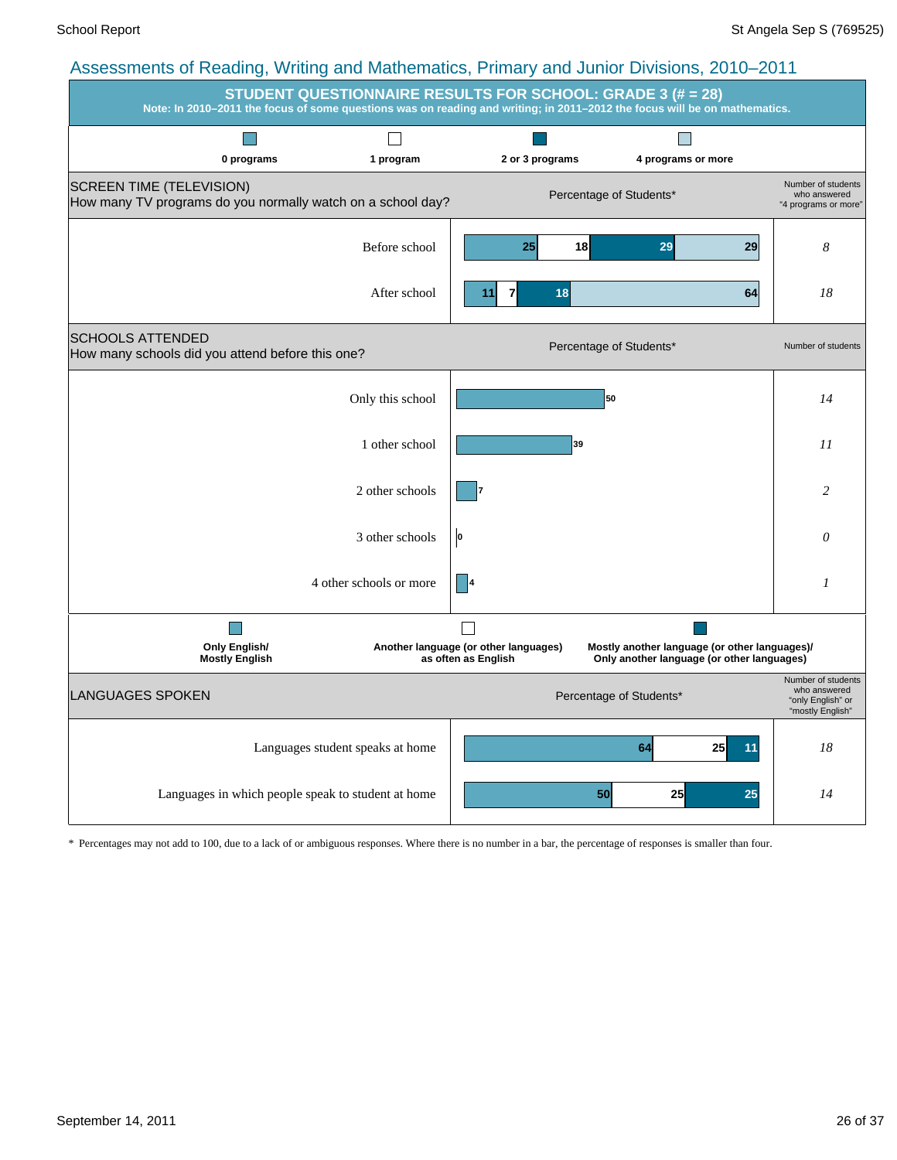|                                                                                                |                                                                                                                           | $\frac{1}{2}$ to coordinate of reduing, writing and mathematics, i mindig and cumor Dividions, Lore Lore |                                                              | <b>STUDENT QUESTIONNAIRE RESULTS FOR SCHOOL: GRADE 3 (# = 28)</b>                           |          |                                                                             |
|------------------------------------------------------------------------------------------------|---------------------------------------------------------------------------------------------------------------------------|----------------------------------------------------------------------------------------------------------|--------------------------------------------------------------|---------------------------------------------------------------------------------------------|----------|-----------------------------------------------------------------------------|
|                                                                                                | Note: In 2010-2011 the focus of some questions was on reading and writing; in 2011-2012 the focus will be on mathematics. |                                                                                                          |                                                              |                                                                                             |          |                                                                             |
|                                                                                                |                                                                                                                           | $\Box$                                                                                                   |                                                              | $\overline{\phantom{a}}$                                                                    |          |                                                                             |
|                                                                                                | 0 programs                                                                                                                | 1 program                                                                                                | 2 or 3 programs                                              | 4 programs or more                                                                          |          |                                                                             |
| <b>SCREEN TIME (TELEVISION)</b><br>How many TV programs do you normally watch on a school day? |                                                                                                                           |                                                                                                          |                                                              | Percentage of Students*                                                                     |          | Number of students<br>who answered<br>"4 programs or more"                  |
|                                                                                                |                                                                                                                           | Before school                                                                                            | 25 <sub>l</sub>                                              | 18<br>29                                                                                    | 29       | 8                                                                           |
|                                                                                                |                                                                                                                           | After school                                                                                             | 7<br>11                                                      | 18                                                                                          | 64       | 18                                                                          |
| <b>SCHOOLS ATTENDED</b><br>How many schools did you attend before this one?                    |                                                                                                                           |                                                                                                          |                                                              | Percentage of Students*                                                                     |          | Number of students                                                          |
|                                                                                                |                                                                                                                           | Only this school                                                                                         |                                                              | 50                                                                                          |          | 14                                                                          |
|                                                                                                |                                                                                                                           | 1 other school                                                                                           |                                                              | 39                                                                                          |          | 11                                                                          |
|                                                                                                |                                                                                                                           | 2 other schools                                                                                          |                                                              |                                                                                             |          | 2                                                                           |
|                                                                                                |                                                                                                                           | 3 other schools                                                                                          | o                                                            |                                                                                             |          | 0                                                                           |
|                                                                                                |                                                                                                                           | 4 other schools or more                                                                                  | 4                                                            |                                                                                             |          | 1                                                                           |
|                                                                                                | <b>Only English/</b><br><b>Mostly English</b>                                                                             |                                                                                                          | Another language (or other languages)<br>as often as English | Mostly another language (or other languages)/<br>Only another language (or other languages) |          |                                                                             |
| <b>LANGUAGES SPOKEN</b>                                                                        |                                                                                                                           |                                                                                                          |                                                              | Percentage of Students*                                                                     |          | Number of students<br>who answered<br>"only English" or<br>"mostly English" |
|                                                                                                |                                                                                                                           | Languages student speaks at home                                                                         |                                                              | 64                                                                                          | 25<br>11 | 18                                                                          |
|                                                                                                | Languages in which people speak to student at home                                                                        |                                                                                                          |                                                              | 25<br>50                                                                                    | 25       | 14                                                                          |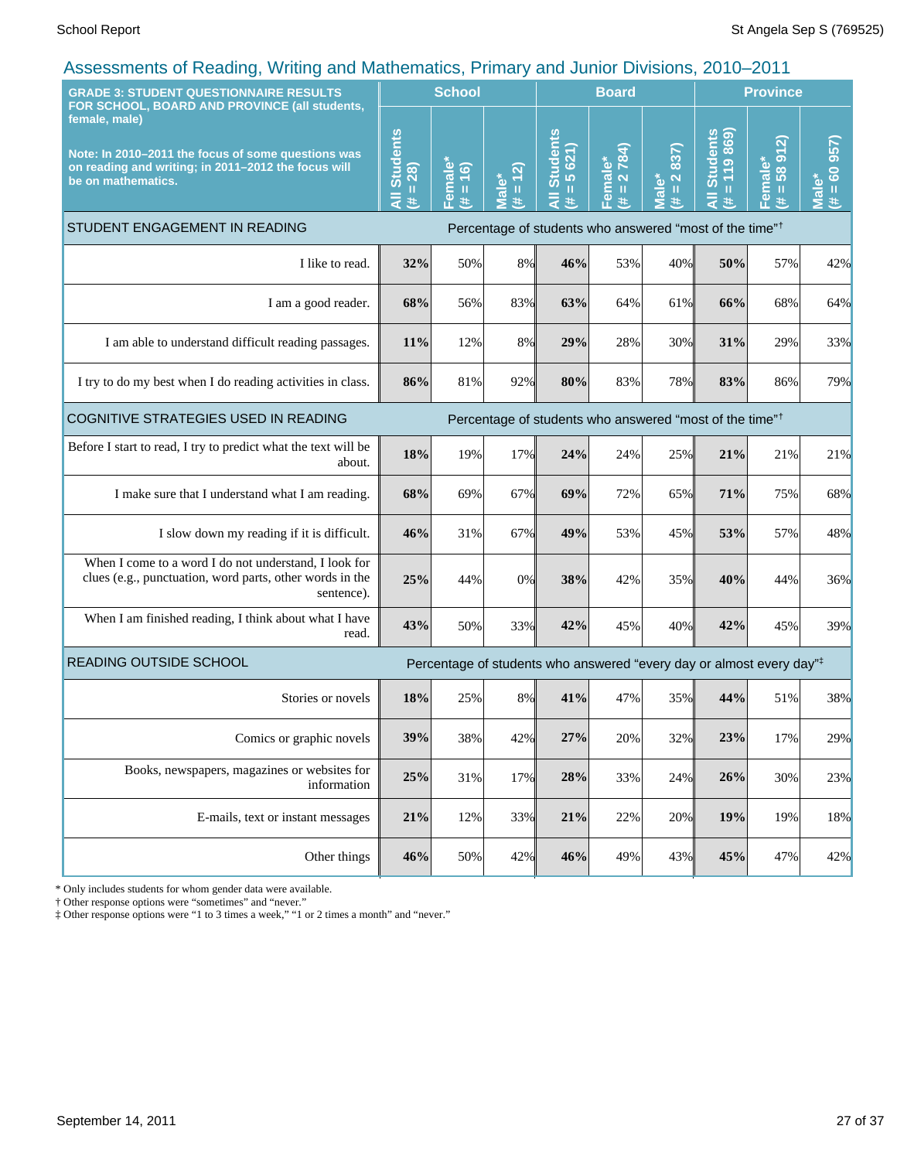| <b>GRADE 3: STUDENT QUESTIONNAIRE RESULTS</b>                                                                                                                                                     | <b>School</b>                                     |                                         |                              | <b>Board</b>                                                                     |                                  |                                                                                                  | <b>Province</b>                                                                                                                             |                                 |                                   |
|---------------------------------------------------------------------------------------------------------------------------------------------------------------------------------------------------|---------------------------------------------------|-----------------------------------------|------------------------------|----------------------------------------------------------------------------------|----------------------------------|--------------------------------------------------------------------------------------------------|---------------------------------------------------------------------------------------------------------------------------------------------|---------------------------------|-----------------------------------|
| FOR SCHOOL, BOARD AND PROVINCE (all students,<br>female, male)<br>Note: In 2010-2011 the focus of some questions was<br>on reading and writing; in 2011-2012 the focus will<br>be on mathematics. | <b>Students</b><br>$= 28$<br>$\overline{a}$<br>¥. | emale <sup>®</sup><br>$= 16$<br>共<br>т. | $= 12$<br><b>Male*</b><br>¥. | <b>Students</b><br>$\overline{5}$ 621)<br>$\mathbf{I}$<br>共                      | 2784)<br>Female*<br>$\rm H$<br>共 | 837)<br>$\mathbf{\tilde{z}}$<br>$\mathbf{\check{o}}$<br>$\rm H$<br>$\bar{\bar{\mathbf{c}}}$<br># | <b>Students</b><br>119869<br>$\mathbf{H}% _{0}\left( \mathbf{1}\right) =\mathbf{H}_{0}\left( \mathbf{1}\right) , \label{eq-qt:}%$<br>$\ast$ | 912)<br>Female*<br>58<br>Ш<br>共 | 957)<br>$= 60$<br><u>Jal</u><br>进 |
| STUDENT ENGAGEMENT IN READING                                                                                                                                                                     |                                                   |                                         |                              | Percentage of students who answered "most of the time" <sup>†</sup>              |                                  |                                                                                                  |                                                                                                                                             |                                 |                                   |
| I like to read.                                                                                                                                                                                   | 32%                                               | 50%                                     | 8%                           | 46%                                                                              | 53%                              | 40%                                                                                              | 50%                                                                                                                                         | 57%                             | 42%                               |
| I am a good reader.                                                                                                                                                                               | 68%                                               | 56%                                     | 83%                          | 63%                                                                              | 64%                              | 61%                                                                                              | 66%                                                                                                                                         | 68%                             | 64%                               |
| I am able to understand difficult reading passages.                                                                                                                                               | 11%                                               | 12%                                     | 8%                           | 29%                                                                              | 28%                              | 30%                                                                                              | 31%                                                                                                                                         | 29%                             | 33%                               |
| I try to do my best when I do reading activities in class.                                                                                                                                        | 86%                                               | 81%                                     | 92%                          | 80%                                                                              | 83%                              | 78%                                                                                              | 83%                                                                                                                                         | 86%                             | 79%                               |
| COGNITIVE STRATEGIES USED IN READING                                                                                                                                                              |                                                   |                                         |                              | Percentage of students who answered "most of the time" <sup>†</sup>              |                                  |                                                                                                  |                                                                                                                                             |                                 |                                   |
| Before I start to read, I try to predict what the text will be<br>about.                                                                                                                          | 18%                                               | 19%                                     | 17%                          | 24%                                                                              | 24%                              | 25%                                                                                              | 21%                                                                                                                                         | 21%                             | 21%                               |
| I make sure that I understand what I am reading.                                                                                                                                                  | 68%                                               | 69%                                     | 67%                          | 69%                                                                              | 72%                              | 65%                                                                                              | 71%                                                                                                                                         | 75%                             | 68%                               |
| I slow down my reading if it is difficult.                                                                                                                                                        | 46%                                               | 31%                                     | 67%                          | 49%                                                                              | 53%                              | 45%                                                                                              | 53%                                                                                                                                         | 57%                             | 48%                               |
| When I come to a word I do not understand, I look for<br>clues (e.g., punctuation, word parts, other words in the<br>sentence).                                                                   | 25%                                               | 44%                                     | 0%                           | 38%                                                                              | 42%                              | 35%                                                                                              | 40%                                                                                                                                         | 44%                             | 36%                               |
| When I am finished reading, I think about what I have<br>read.                                                                                                                                    | 43%                                               | 50%                                     | 33%                          | 42%                                                                              | 45%                              | 40%                                                                                              | 42%                                                                                                                                         | 45%                             | 39%                               |
| READING OUTSIDE SCHOOL                                                                                                                                                                            |                                                   |                                         |                              | Percentage of students who answered "every day or almost every day" <sup>‡</sup> |                                  |                                                                                                  |                                                                                                                                             |                                 |                                   |
| Stories or novels                                                                                                                                                                                 | 18%                                               | 25%                                     | 8%                           | 41%                                                                              | 47%                              | 35%                                                                                              | 44%                                                                                                                                         | 51%                             | 38%                               |
| Comics or graphic novels                                                                                                                                                                          | 39%                                               | 38%                                     | 42%                          | 27%                                                                              | 20%                              | 32%                                                                                              | 23%                                                                                                                                         | 17%                             | 29%                               |
| Books, newspapers, magazines or websites for<br>information                                                                                                                                       | 25%                                               | 31%                                     | 17%                          | 28%                                                                              | 33%                              | 24%                                                                                              | 26%                                                                                                                                         | 30%                             | 23%                               |
| E-mails, text or instant messages                                                                                                                                                                 | 21%                                               | 12%                                     | 33%                          | 21%                                                                              | 22%                              | 20%                                                                                              | 19%                                                                                                                                         | 19%                             | 18%                               |
| Other things                                                                                                                                                                                      | 46%                                               | 50%                                     | 42%                          | 46%                                                                              | 49%                              | 43%                                                                                              | 45%                                                                                                                                         | 47%                             | 42%                               |

\* Only includes students for whom gender data were available.

† Other response options were "sometimes" and "never."

‡ Other response options were "1 to 3 times a week," "1 or 2 times a month" and "never."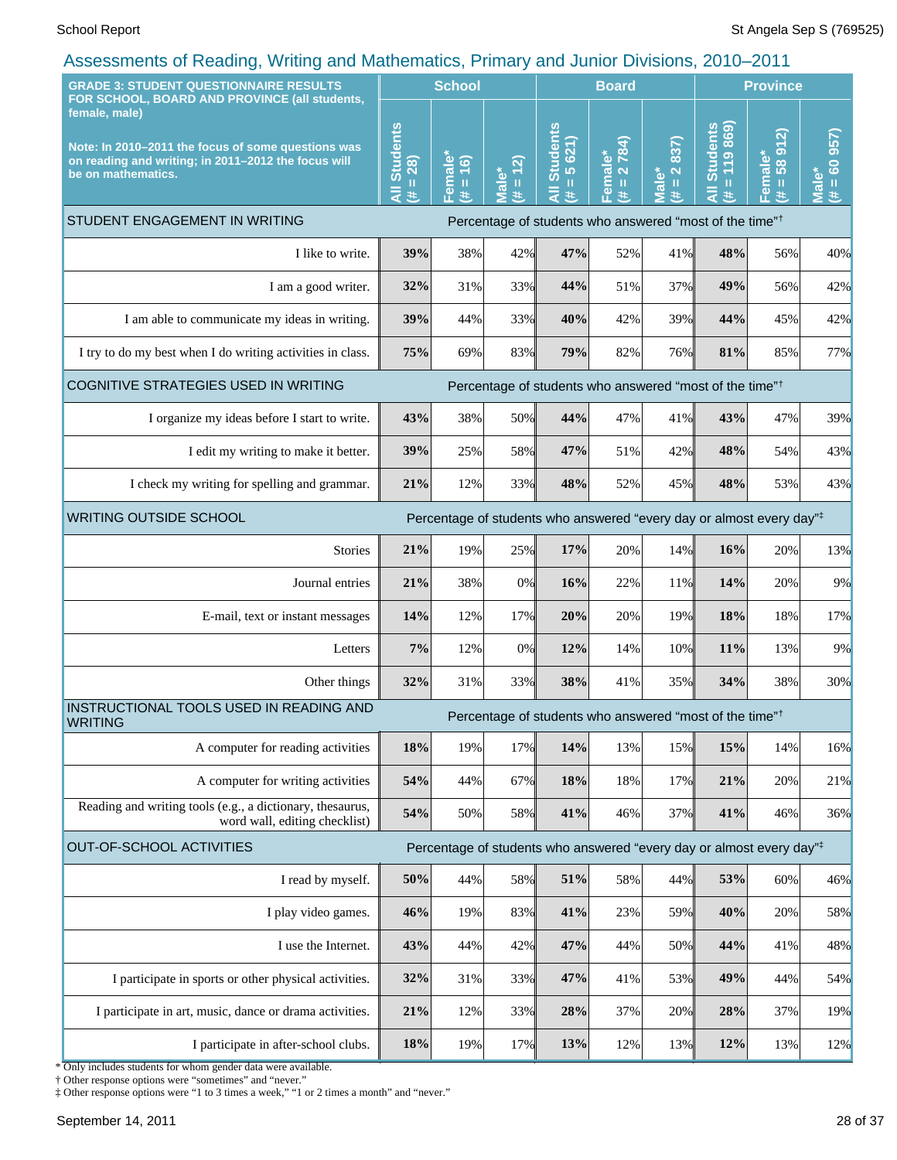| <u>.</u> ,<br><b>GRADE 3: STUDENT QUESTIONNAIRE RESULTS</b><br>FOR SCHOOL, BOARD AND PROVINCE (all students,                                     |                                                 | <b>School</b>                                         |                                         | <b>Board</b>                                      |                                       |                                                                | <b>Province</b>                                                                  |                                                      |                                             |
|--------------------------------------------------------------------------------------------------------------------------------------------------|-------------------------------------------------|-------------------------------------------------------|-----------------------------------------|---------------------------------------------------|---------------------------------------|----------------------------------------------------------------|----------------------------------------------------------------------------------|------------------------------------------------------|---------------------------------------------|
| female, male)<br>Note: In 2010-2011 the focus of some questions was<br>on reading and writing; in 2011-2012 the focus will<br>be on mathematics. | <b>Students</b><br>28)<br>$\mathbf H$<br>₹<br>共 | emale <sup>®</sup><br>(91)<br>$\mathbf{H}$<br>共<br>n. | (2)<br><b>Male*</b><br>$\mathbf u$<br>共 | <b>All Students</b><br>5 621)<br>$\mathbf I$<br>巷 | 2784)<br>Female*<br>$\mathbf{H}$<br>进 | 837)<br>$\mathbf{\tilde{N}}$<br>ale*<br>$\mathbf{u}$<br>$\ast$ | 119869<br><b>Students</b><br>$\mathbf{I}$<br>$\ast$                              | $\widehat{\mathbf{z}}$<br>58 91<br>Female*<br>Ш<br>违 | 957)<br>$\frac{1}{100}$<br><b>Male</b><br>进 |
| STUDENT ENGAGEMENT IN WRITING                                                                                                                    |                                                 |                                                       |                                         |                                                   |                                       |                                                                | Percentage of students who answered "most of the time" <sup>†</sup>              |                                                      |                                             |
| I like to write.                                                                                                                                 | 39%                                             | 38%                                                   | 42%                                     | 47%                                               | 52%                                   | 41%                                                            | 48%                                                                              | 56%                                                  | 40%                                         |
| I am a good writer.                                                                                                                              | 32%                                             | 31%                                                   | 33%                                     | 44%                                               | 51%                                   | 37%                                                            | 49%                                                                              | 56%                                                  | 42%                                         |
| I am able to communicate my ideas in writing.                                                                                                    | 39%                                             | 44%                                                   | 33%                                     | 40%                                               | 42%                                   | 39%                                                            | 44%                                                                              | 45%                                                  | 42%                                         |
| I try to do my best when I do writing activities in class.                                                                                       | 75%                                             | 69%                                                   | 83%                                     | 79%                                               | 82%                                   | 76%                                                            | 81%                                                                              | 85%                                                  | 77%                                         |
| COGNITIVE STRATEGIES USED IN WRITING                                                                                                             |                                                 |                                                       |                                         |                                                   |                                       |                                                                | Percentage of students who answered "most of the time" <sup>†</sup>              |                                                      |                                             |
| I organize my ideas before I start to write.                                                                                                     | 43%                                             | 38%                                                   | 50%                                     | 44%                                               | 47%                                   | 41%                                                            | 43%                                                                              | 47%                                                  | 39%                                         |
| I edit my writing to make it better.                                                                                                             | 39%                                             | 25%                                                   | 58%                                     | 47%                                               | 51%                                   | 42%                                                            | 48%                                                                              | 54%                                                  | 43%                                         |
| I check my writing for spelling and grammar.                                                                                                     | 21%                                             | 12%                                                   | 33%                                     | 48%                                               | 52%                                   | 45%                                                            | 48%                                                                              | 53%                                                  | 43%                                         |
| <b>WRITING OUTSIDE SCHOOL</b>                                                                                                                    |                                                 |                                                       |                                         |                                                   |                                       |                                                                | Percentage of students who answered "every day or almost every day"#             |                                                      |                                             |
| <b>Stories</b>                                                                                                                                   | 21%                                             | 19%                                                   | 25%                                     | 17%                                               | 20%                                   | 14%                                                            | 16%                                                                              | 20%                                                  | 13%                                         |
| Journal entries                                                                                                                                  | 21%                                             | 38%                                                   | 0%                                      | 16%                                               | 22%                                   | 11%                                                            | 14%                                                                              | 20%                                                  | 9%                                          |
| E-mail, text or instant messages                                                                                                                 | 14%                                             | 12%                                                   | 17%                                     | 20%                                               | 20%                                   | 19%                                                            | 18%                                                                              | 18%                                                  | 17%                                         |
| Letters                                                                                                                                          | 7%                                              | 12%                                                   | 0%                                      | 12%                                               | 14%                                   | 10%                                                            | 11%                                                                              | 13%                                                  | 9%                                          |
| Other things                                                                                                                                     | 32%                                             | 31%                                                   | 33%                                     | 38%                                               | 41%                                   | 35%                                                            | 34%                                                                              | 38%                                                  | 30%                                         |
| INSTRUCTIONAL TOOLS USED IN READING AND<br><b>WRITING</b>                                                                                        |                                                 |                                                       |                                         |                                                   |                                       |                                                                | Percentage of students who answered "most of the time" <sup>†</sup>              |                                                      |                                             |
| A computer for reading activities                                                                                                                | 18%                                             | 19%                                                   | 17%                                     | 14%                                               | 13%                                   | 15%                                                            | 15%                                                                              | 14%                                                  | 16%                                         |
| A computer for writing activities                                                                                                                | 54%                                             | 44%                                                   | 67%                                     | 18%                                               | 18%                                   | 17%                                                            | 21%                                                                              | 20%                                                  | 21%                                         |
| Reading and writing tools (e.g., a dictionary, thesaurus,<br>word wall, editing checklist)                                                       | 54%                                             | 50%                                                   | 58%                                     | 41%                                               | 46%                                   | 37%                                                            | 41%                                                                              | 46%                                                  | 36%                                         |
| <b>OUT-OF-SCHOOL ACTIVITIES</b>                                                                                                                  |                                                 |                                                       |                                         |                                                   |                                       |                                                                | Percentage of students who answered "every day or almost every day" <sup>‡</sup> |                                                      |                                             |
| I read by myself.                                                                                                                                | 50%                                             | 44%                                                   | 58%                                     | 51%                                               | 58%                                   | 44%                                                            | 53%                                                                              | 60%                                                  | 46%                                         |
| I play video games.                                                                                                                              | 46%                                             | 19%                                                   | 83%                                     | 41%                                               | 23%                                   | 59%                                                            | 40%                                                                              | 20%                                                  | 58%                                         |
| I use the Internet.                                                                                                                              | 43%                                             | 44%                                                   | 42%                                     | 47%                                               | 44%                                   | 50%                                                            | 44%                                                                              | 41%                                                  | 48%                                         |
| I participate in sports or other physical activities.                                                                                            | 32%                                             | 31%                                                   | 33%                                     | 47%                                               | 41%                                   | 53%                                                            | 49%                                                                              | 44%                                                  | 54%                                         |
| I participate in art, music, dance or drama activities.                                                                                          | 21%                                             | 12%                                                   | 33%                                     | 28%                                               | 37%                                   | 20%                                                            | 28%                                                                              | 37%                                                  | 19%                                         |
| I participate in after-school clubs.                                                                                                             | 18%                                             | 19%                                                   | 17%                                     | 13%                                               | 12%                                   | 13%                                                            | 12%                                                                              | 13%                                                  | 12%                                         |
|                                                                                                                                                  |                                                 |                                                       |                                         |                                                   |                                       |                                                                |                                                                                  |                                                      |                                             |

\* Only includes students for whom gender data were available. † Other response options were "sometimes" and "never."

‡ Other response options were "1 to 3 times a week," "1 or 2 times a month" and "never."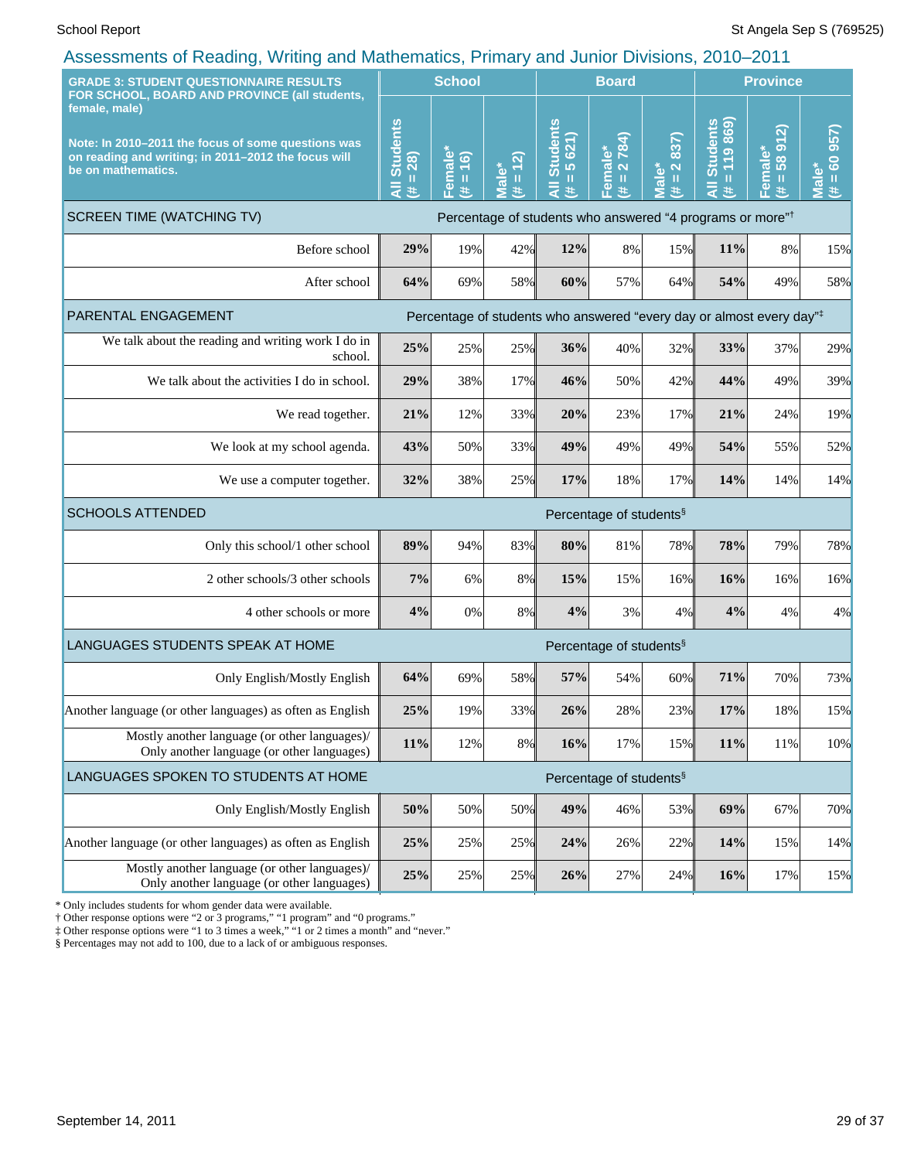| <b>GRADE 3: STUDENT QUESTIONNAIRE RESULTS</b><br>FOR SCHOOL, BOARD AND PROVINCE (all students,<br>female, male)<br>Note: In 2010-2011 the focus of some questions was<br>on reading and writing; in 2011-2012 the focus will<br>be on mathematics. |                                     | <b>School</b>                      |                                         |                                                                       | <b>Board</b>                                 |                                                                                |                                 | <b>Province</b>             |                                             |  |  |
|----------------------------------------------------------------------------------------------------------------------------------------------------------------------------------------------------------------------------------------------------|-------------------------------------|------------------------------------|-----------------------------------------|-----------------------------------------------------------------------|----------------------------------------------|--------------------------------------------------------------------------------|---------------------------------|-----------------------------|---------------------------------------------|--|--|
|                                                                                                                                                                                                                                                    |                                     | Female*<br>(6)<br>$\mathbf H$<br>进 | (2)<br><b>Male*</b><br>$\mathbf u$<br>违 | <b>Students</b><br>5621)<br>Ш<br>Ę<br>违                               | 2784)<br>Female*<br>$\, \, \mathrm{II}$<br>主 | 837)<br>$\overline{\mathbf{N}}$<br>lale <sup>*</sup><br>$\mathbf{I}$<br>美<br>Ξ | $= 119860$<br>All Students<br>共 | 912<br>Female*<br>(# = 58 9 | 60957<br><b>Male</b> *<br>$\mathbf{u}$<br>违 |  |  |
| <b>SCREEN TIME (WATCHING TV)</b>                                                                                                                                                                                                                   |                                     |                                    |                                         | Percentage of students who answered "4 programs or more" <sup>†</sup> |                                              |                                                                                |                                 |                             |                                             |  |  |
| Before school                                                                                                                                                                                                                                      | 29%                                 | 19%                                | 42%                                     | 12%                                                                   | 8%                                           | 15%                                                                            | 11%                             | 8%                          | 15%                                         |  |  |
| After school                                                                                                                                                                                                                                       | 64%                                 | 69%                                | 58%                                     | 60%                                                                   | 57%                                          | 64%                                                                            | 54%                             | 49%                         | 58%                                         |  |  |
| PARENTAL ENGAGEMENT                                                                                                                                                                                                                                |                                     |                                    |                                         | Percentage of students who answered "every day or almost every day"#  |                                              |                                                                                |                                 |                             |                                             |  |  |
| We talk about the reading and writing work $\overline{I}$ do in<br>school.                                                                                                                                                                         | 25%                                 | 25%                                | 25%                                     | 36%                                                                   | 40%                                          | 32%                                                                            | 33%                             | 37%                         | 29%                                         |  |  |
| We talk about the activities I do in school.                                                                                                                                                                                                       | 29%                                 | 38%                                | 17%                                     | 46%                                                                   | 50%                                          | 42%                                                                            | 44%                             | 49%                         | 39%                                         |  |  |
| We read together.                                                                                                                                                                                                                                  | 21%                                 | 12%                                | 33%                                     | 20%                                                                   | 23%                                          | 17%                                                                            | 21%                             | 24%                         | 19%                                         |  |  |
| We look at my school agenda.                                                                                                                                                                                                                       | 43%                                 | 50%                                | 33%                                     | 49%                                                                   | 49%                                          | 49%                                                                            | 54%                             | 55%                         | 52%                                         |  |  |
| We use a computer together.                                                                                                                                                                                                                        | 32%                                 | 38%                                | 25%                                     | 17%                                                                   | 18%                                          | 17%                                                                            | 14%                             | 14%                         | 14%                                         |  |  |
| <b>SCHOOLS ATTENDED</b>                                                                                                                                                                                                                            | Percentage of students <sup>§</sup> |                                    |                                         |                                                                       |                                              |                                                                                |                                 |                             |                                             |  |  |
| Only this school/1 other school                                                                                                                                                                                                                    | 89%                                 | 94%                                | 83%                                     | 80%                                                                   | 81%                                          | 78%                                                                            | 78%                             | 79%                         | 78%                                         |  |  |
| 2 other schools/3 other schools                                                                                                                                                                                                                    | 7%                                  | 6%                                 | 8%                                      | 15%                                                                   | 15%                                          | 16%                                                                            | 16%                             | 16%                         | 16%                                         |  |  |
| 4 other schools or more                                                                                                                                                                                                                            | 4%                                  | 0%                                 | 8%                                      | 4%                                                                    | 3%                                           | 4%                                                                             | 4%                              | 4%                          | 4%                                          |  |  |
| LANGUAGES STUDENTS SPEAK AT HOME                                                                                                                                                                                                                   |                                     |                                    |                                         |                                                                       | Percentage of students <sup>§</sup>          |                                                                                |                                 |                             |                                             |  |  |
| Only English/Mostly English                                                                                                                                                                                                                        | 64%                                 | 69%                                | 58%                                     | 57%                                                                   | 54%                                          | 60%                                                                            | 71%                             | 70%                         | 73%                                         |  |  |
| Another language (or other languages) as often as English                                                                                                                                                                                          | 25%                                 | 19%                                | 33%                                     | 26%                                                                   | 28%                                          | 23%                                                                            | 17%                             | 18%                         | 15%                                         |  |  |
| Mostly another language (or other languages)/<br>Only another language (or other languages)                                                                                                                                                        | 11%                                 | 12%                                | 8%                                      | 16%                                                                   | 17%                                          | 15%                                                                            | 11%                             | $11\%$                      | 10%                                         |  |  |
| LANGUAGES SPOKEN TO STUDENTS AT HOME                                                                                                                                                                                                               |                                     |                                    |                                         |                                                                       | Percentage of students <sup>§</sup>          |                                                                                |                                 |                             |                                             |  |  |
| Only English/Mostly English                                                                                                                                                                                                                        | 50%                                 | 50%                                | 50%                                     | 49%                                                                   | 46%                                          | 53%                                                                            | 69%                             | 67%                         | 70%                                         |  |  |
| Another language (or other languages) as often as English                                                                                                                                                                                          | 25%                                 | 25%                                | 25%                                     | 24%                                                                   | 26%                                          | 22%                                                                            | 14%                             | 15%                         | 14%                                         |  |  |
| Mostly another language (or other languages)/<br>Only another language (or other languages)                                                                                                                                                        | 25%                                 | 25%                                | 25%                                     | 26%                                                                   | 27%                                          | 24%                                                                            | 16%                             | 17%                         | 15%                                         |  |  |

\* Only includes students for whom gender data were available.

† Other response options were "2 or 3 programs," "1 program" and "0 programs."

‡ Other response options were "1 to 3 times a week," "1 or 2 times a month" and "never."

§ Percentages may not add to 100, due to a lack of or ambiguous responses.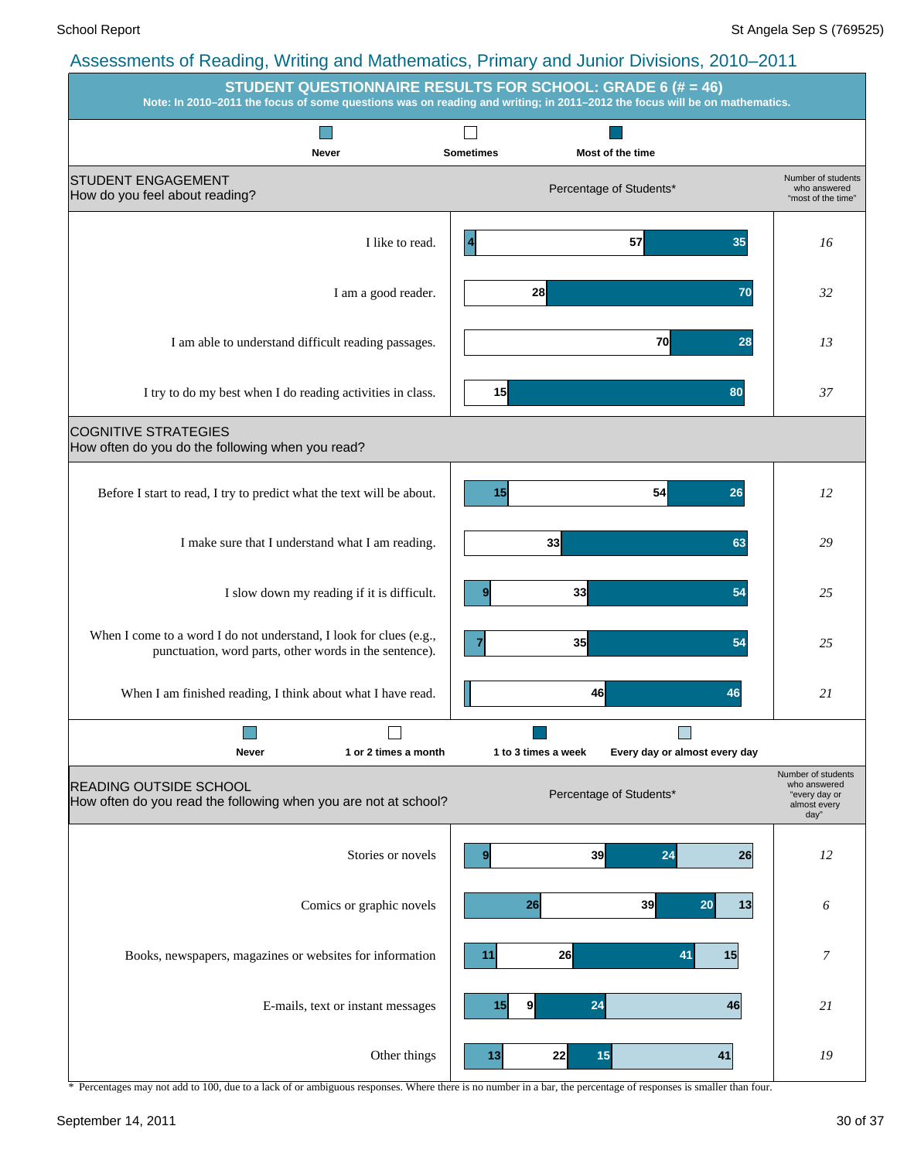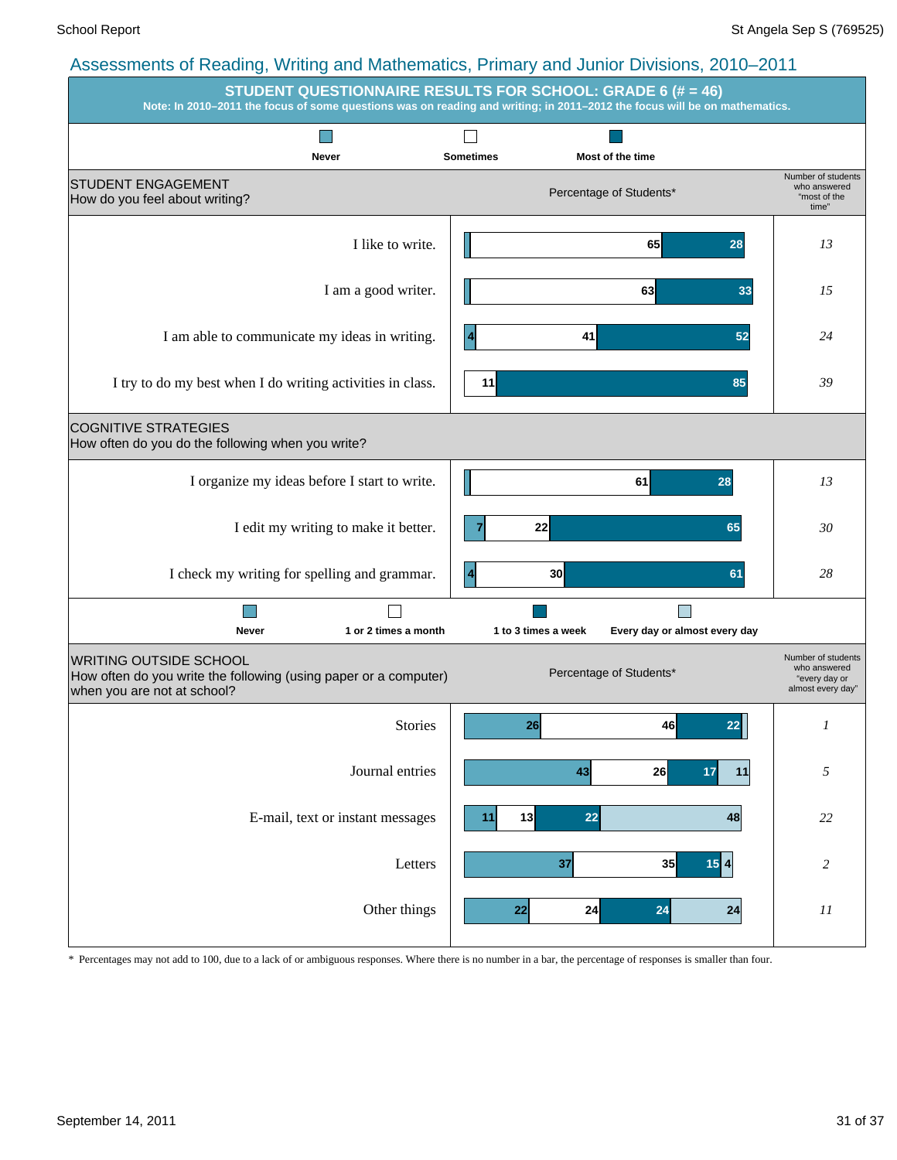|                                                                                                                                  | <b>STUDENT QUESTIONNAIRE RESULTS FOR SCHOOL: GRADE 6 (# = 46)</b><br>Note: In 2010-2011 the focus of some questions was on reading and writing; in 2011-2012 the focus will be on mathematics. |                                                                          |
|----------------------------------------------------------------------------------------------------------------------------------|------------------------------------------------------------------------------------------------------------------------------------------------------------------------------------------------|--------------------------------------------------------------------------|
|                                                                                                                                  |                                                                                                                                                                                                |                                                                          |
| Never<br><b>STUDENT ENGAGEMENT</b><br>How do you feel about writing?                                                             | <b>Sometimes</b><br>Most of the time<br>Percentage of Students*                                                                                                                                | Number of students<br>who answered<br>"most of the<br>time"              |
| I like to write.                                                                                                                 | 65<br>28                                                                                                                                                                                       | 13                                                                       |
| I am a good writer.                                                                                                              | 63<br>33                                                                                                                                                                                       | 15                                                                       |
| I am able to communicate my ideas in writing.                                                                                    | 41<br>52                                                                                                                                                                                       | 24                                                                       |
| I try to do my best when I do writing activities in class.                                                                       | 11<br>85                                                                                                                                                                                       | 39                                                                       |
| <b>COGNITIVE STRATEGIES</b><br>How often do you do the following when you write?                                                 |                                                                                                                                                                                                |                                                                          |
| I organize my ideas before I start to write.                                                                                     | 61<br>28                                                                                                                                                                                       | 13                                                                       |
| I edit my writing to make it better.                                                                                             | 22<br>65                                                                                                                                                                                       | 30                                                                       |
| I check my writing for spelling and grammar.                                                                                     | 30<br>61                                                                                                                                                                                       | 28                                                                       |
| 1 or 2 times a month<br>Never                                                                                                    | 1 to 3 times a week<br>Every day or almost every day                                                                                                                                           |                                                                          |
| <b>WRITING OUTSIDE SCHOOL</b><br>How often do you write the following (using paper or a computer)<br>when you are not at school? | Percentage of Students*                                                                                                                                                                        | Number of students<br>who answered<br>"every day or<br>almost every day" |
| <b>Stories</b>                                                                                                                   | 26<br>46<br>22                                                                                                                                                                                 |                                                                          |
| Journal entries                                                                                                                  | 26<br>43<br>17<br>$11$                                                                                                                                                                         | $\sqrt{2}$                                                               |
| E-mail, text or instant messages                                                                                                 | 13<br>22<br>48<br>11                                                                                                                                                                           | $22\,$                                                                   |
| Letters                                                                                                                          | 37<br>35<br>$15$ 4                                                                                                                                                                             | $\sqrt{2}$                                                               |
| Other things                                                                                                                     | 24<br>24<br>22<br>24                                                                                                                                                                           | $II$                                                                     |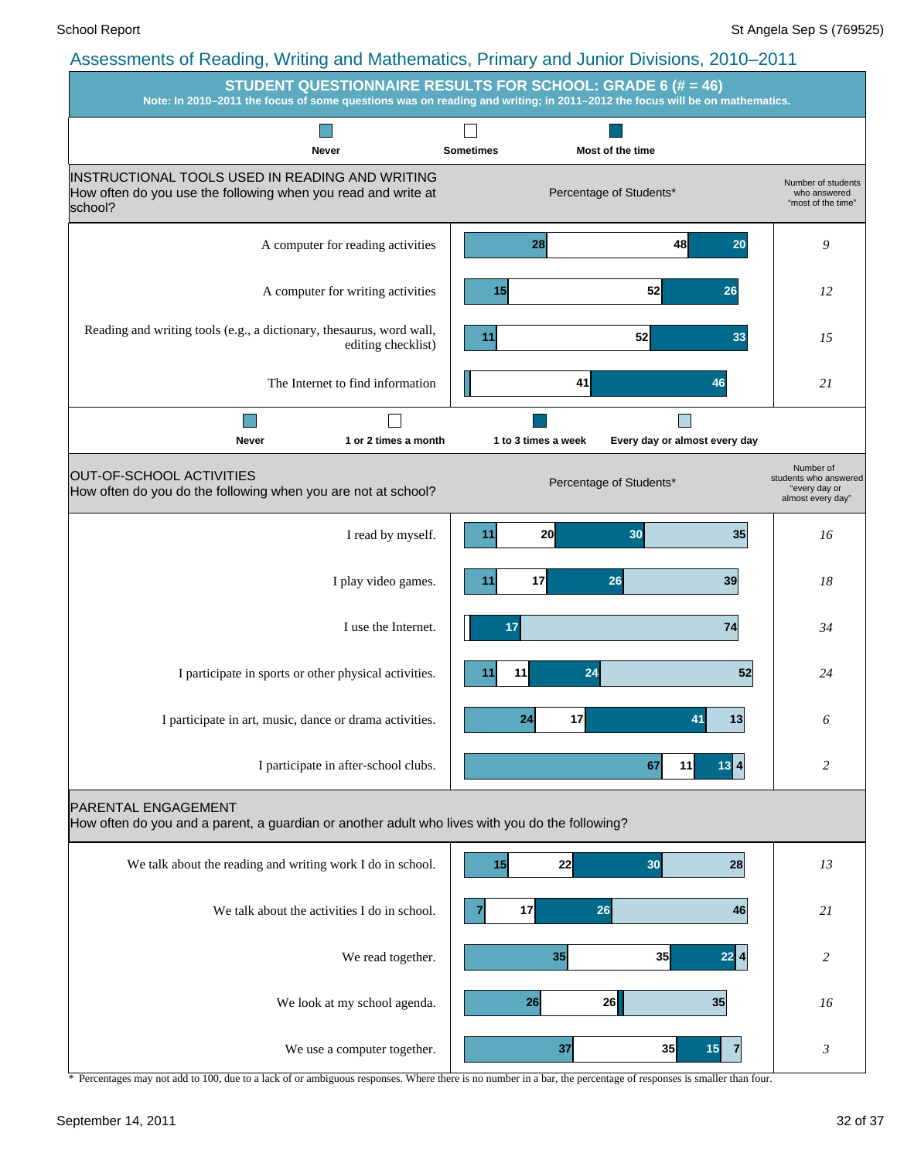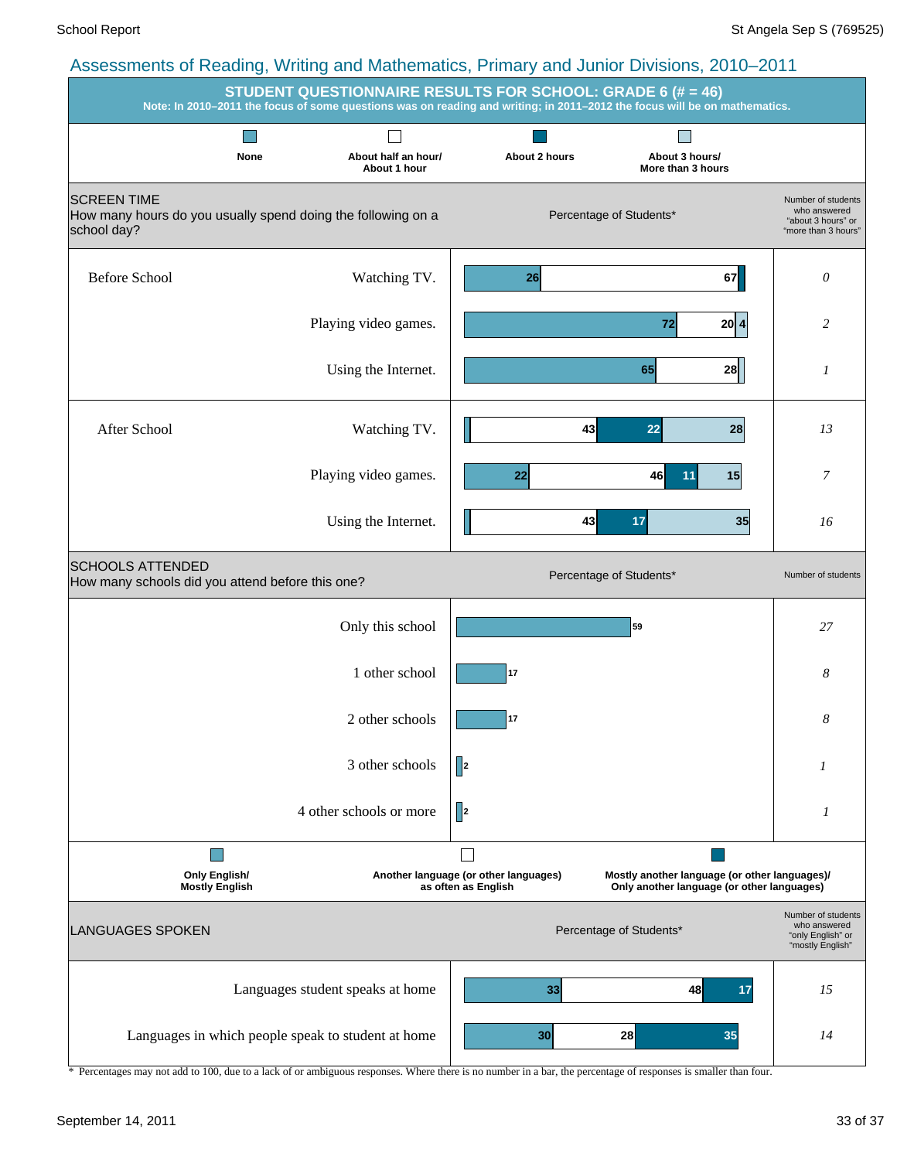|                                                                                                   | <b>STUDENT QUESTIONNAIRE RESULTS FOR SCHOOL: GRADE 6 (# = 46)</b><br>Note: In 2010-2011 the focus of some questions was on reading and writing; in 2011-2012 the focus will be on mathematics. |                                                              |                         |                                                                                             |                                                                                 |
|---------------------------------------------------------------------------------------------------|------------------------------------------------------------------------------------------------------------------------------------------------------------------------------------------------|--------------------------------------------------------------|-------------------------|---------------------------------------------------------------------------------------------|---------------------------------------------------------------------------------|
| None                                                                                              | About half an hour/<br>About 1 hour                                                                                                                                                            | About 2 hours                                                |                         | About 3 hours/<br>More than 3 hours                                                         |                                                                                 |
| <b>SCREEN TIME</b><br>How many hours do you usually spend doing the following on a<br>school day? |                                                                                                                                                                                                |                                                              | Percentage of Students* |                                                                                             | Number of students<br>who answered<br>"about 3 hours" or<br>"more than 3 hours" |
| <b>Before School</b>                                                                              | Watching TV.                                                                                                                                                                                   | 26                                                           |                         | 67                                                                                          | 0                                                                               |
|                                                                                                   | Playing video games.                                                                                                                                                                           |                                                              | 72                      | 20 4                                                                                        | 2                                                                               |
|                                                                                                   | Using the Internet.                                                                                                                                                                            |                                                              | 65                      | 28                                                                                          | 1                                                                               |
| After School                                                                                      | Watching TV.                                                                                                                                                                                   |                                                              | 43<br>22                | 28                                                                                          | 13                                                                              |
|                                                                                                   | Playing video games.                                                                                                                                                                           | 22                                                           | 46                      | 15<br>11                                                                                    | 7                                                                               |
|                                                                                                   | Using the Internet.                                                                                                                                                                            |                                                              | 17<br>43                | 35                                                                                          | 16                                                                              |
| <b>SCHOOLS ATTENDED</b><br>How many schools did you attend before this one?                       |                                                                                                                                                                                                |                                                              | Percentage of Students* |                                                                                             | Number of students                                                              |
|                                                                                                   | Only this school                                                                                                                                                                               |                                                              | 59                      |                                                                                             | 27                                                                              |
|                                                                                                   | 1 other school                                                                                                                                                                                 | 17                                                           |                         |                                                                                             | 8                                                                               |
|                                                                                                   | 2 other schools                                                                                                                                                                                | 17                                                           |                         |                                                                                             | 8                                                                               |
|                                                                                                   | 3 other schools                                                                                                                                                                                | $\parallel$                                                  |                         |                                                                                             | 1                                                                               |
|                                                                                                   | 4 other schools or more                                                                                                                                                                        | $\ $ <sup>2</sup>                                            |                         |                                                                                             | 1                                                                               |
| <b>Only English/</b><br><b>Mostly English</b>                                                     |                                                                                                                                                                                                | Another language (or other languages)<br>as often as English |                         | Mostly another language (or other languages)/<br>Only another language (or other languages) |                                                                                 |
| <b>LANGUAGES SPOKEN</b>                                                                           |                                                                                                                                                                                                |                                                              | Percentage of Students* |                                                                                             | Number of students<br>who answered<br>"only English" or<br>"mostly English"     |
|                                                                                                   | Languages student speaks at home                                                                                                                                                               | 33                                                           |                         | 48<br>17                                                                                    | 15                                                                              |
|                                                                                                   | Languages in which people speak to student at home                                                                                                                                             | 30                                                           | 28                      | 35                                                                                          | 14                                                                              |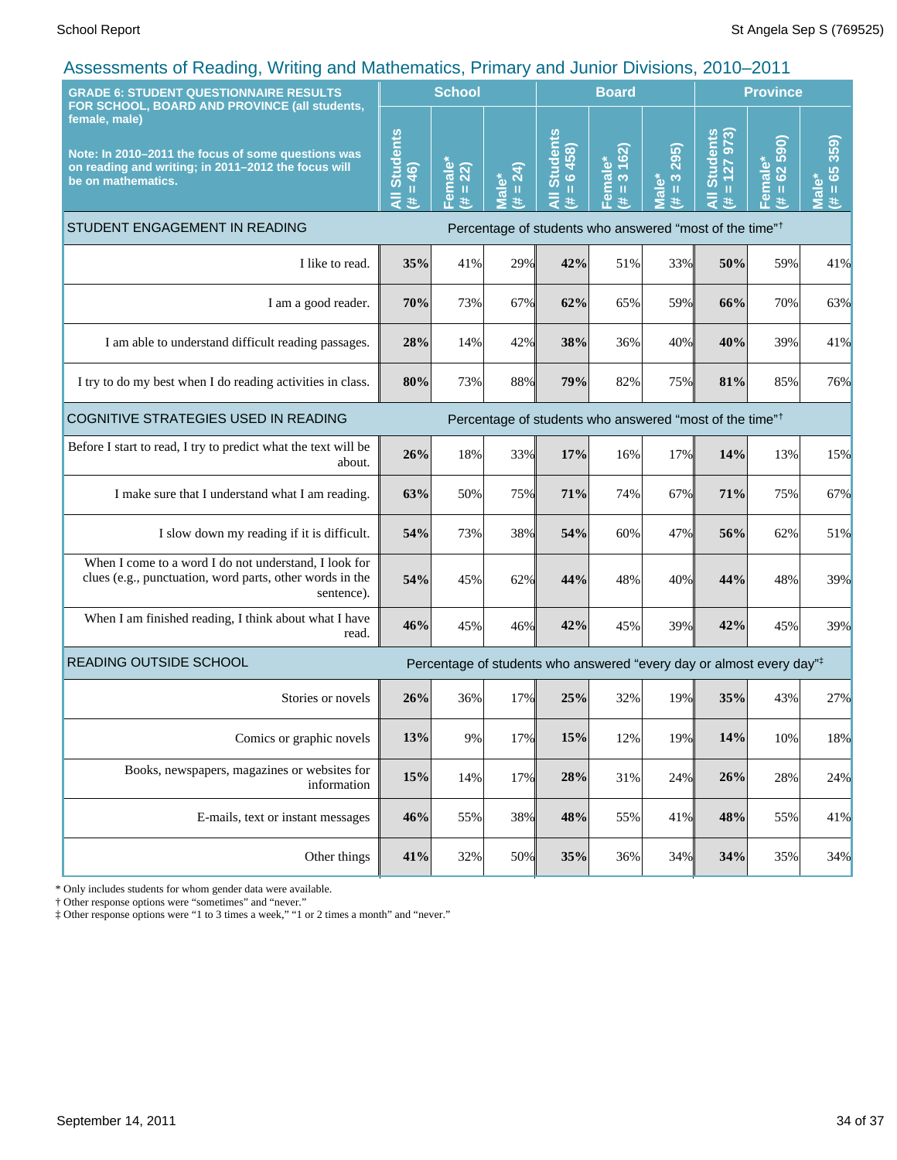| <b>GRADE 6: STUDENT QUESTIONNAIRE RESULTS</b>                                                                                                                                                     |                                    | <b>School</b>                                         |                       | <b>Board</b>                                                                     |                                                  |                                                                    | <b>Province</b>                                 |                                            |                                                |
|---------------------------------------------------------------------------------------------------------------------------------------------------------------------------------------------------|------------------------------------|-------------------------------------------------------|-----------------------|----------------------------------------------------------------------------------|--------------------------------------------------|--------------------------------------------------------------------|-------------------------------------------------|--------------------------------------------|------------------------------------------------|
| FOR SCHOOL, BOARD AND PROVINCE (all students,<br>female, male)<br>Note: In 2010-2011 the focus of some questions was<br>on reading and writing; in 2011-2012 the focus will<br>be on mathematics. | <b>All Students</b><br>$= 46$<br># | emale <sup>*</sup><br>(22)<br>$\mathbf{0}$<br>进<br>т. | $= 24$<br>Male*<br>¥. | <b>Students</b><br>$= 6458$<br>Ę<br>y.                                           | 162)<br>Female*<br>$\infty$<br>$\mathbf{I}$<br>巷 | 295)<br>$\infty$<br>ؙۜ۫ۜۜڡ<br>$\rm{II}$<br>$\bar{\mathbf{c}}$<br>共 | <b>Students</b><br>127973)<br>$\mathbf{H}$<br>共 | 590)<br>Female*<br>62<br>$\mathbf{u}$<br>巷 | 359)<br>$= 65$<br>$\overline{\mathbf{a}}$<br>进 |
| STUDENT ENGAGEMENT IN READING                                                                                                                                                                     |                                    |                                                       |                       | Percentage of students who answered "most of the time" <sup>†</sup>              |                                                  |                                                                    |                                                 |                                            |                                                |
| I like to read.                                                                                                                                                                                   | 35%                                | 41%                                                   | 29%                   | 42%                                                                              | 51%                                              | 33%                                                                | 50%                                             | 59%                                        | 41%                                            |
| I am a good reader.                                                                                                                                                                               | 70%                                | 73%                                                   | 67%                   | 62%                                                                              | 65%                                              | 59%                                                                | 66%                                             | 70%                                        | 63%                                            |
| I am able to understand difficult reading passages.                                                                                                                                               | 28%                                | 14%                                                   | 42%                   | 38%                                                                              | 36%                                              | 40%                                                                | 40%                                             | 39%                                        | 41%                                            |
| I try to do my best when I do reading activities in class.                                                                                                                                        | 80%                                | 73%                                                   | 88%                   | 79%                                                                              | 82%                                              | 75%                                                                | 81%                                             | 85%                                        | 76%                                            |
| COGNITIVE STRATEGIES USED IN READING<br>Percentage of students who answered "most of the time" <sup>†</sup>                                                                                       |                                    |                                                       |                       |                                                                                  |                                                  |                                                                    |                                                 |                                            |                                                |
| Before I start to read, I try to predict what the text will be<br>about.                                                                                                                          | 26%                                | 18%                                                   | 33%                   | 17%                                                                              | 16%                                              | 17%                                                                | 14%                                             | 13%                                        | 15%                                            |
| I make sure that I understand what I am reading.                                                                                                                                                  | 63%                                | 50%                                                   | 75%                   | 71%                                                                              | 74%                                              | 67%                                                                | 71%                                             | 75%                                        | 67%                                            |
| I slow down my reading if it is difficult.                                                                                                                                                        | 54%                                | 73%                                                   | 38%                   | 54%                                                                              | 60%                                              | 47%                                                                | 56%                                             | 62%                                        | 51%                                            |
| When I come to a word I do not understand, I look for<br>clues (e.g., punctuation, word parts, other words in the<br>sentence).                                                                   | 54%                                | 45%                                                   | 62%                   | 44%                                                                              | 48%                                              | 40%                                                                | 44%                                             | 48%                                        | 39%                                            |
| When I am finished reading, I think about what I have<br>read.                                                                                                                                    | 46%                                | 45%                                                   | 46%                   | 42%                                                                              | 45%                                              | 39%                                                                | 42%                                             | 45%                                        | 39%                                            |
| READING OUTSIDE SCHOOL                                                                                                                                                                            |                                    |                                                       |                       | Percentage of students who answered "every day or almost every day" <sup>‡</sup> |                                                  |                                                                    |                                                 |                                            |                                                |
| Stories or novels                                                                                                                                                                                 | 26%                                | 36%                                                   | 17%                   | 25%                                                                              | 32%                                              | 19%                                                                | 35%                                             | 43%                                        | 27%                                            |
| Comics or graphic novels                                                                                                                                                                          | 13%                                | 9%                                                    | 17%                   | 15%                                                                              | 12%                                              | 19%                                                                | 14%                                             | 10%                                        | 18%                                            |
| Books, newspapers, magazines or websites for<br>information                                                                                                                                       | 15%                                | 14%                                                   | 17%                   | 28%                                                                              | 31%                                              | 24%                                                                | 26%                                             | 28%                                        | 24%                                            |
| E-mails, text or instant messages                                                                                                                                                                 | 46%                                | 55%                                                   | 38%                   | 48%                                                                              | 55%                                              | 41%                                                                | 48%                                             | 55%                                        | 41%                                            |
| Other things                                                                                                                                                                                      | 41%                                | 32%                                                   | 50%                   | 35%                                                                              | 36%                                              | 34%                                                                | 34%                                             | 35%                                        | 34%                                            |

\* Only includes students for whom gender data were available.

† Other response options were "sometimes" and "never."

‡ Other response options were "1 to 3 times a week," "1 or 2 times a month" and "never."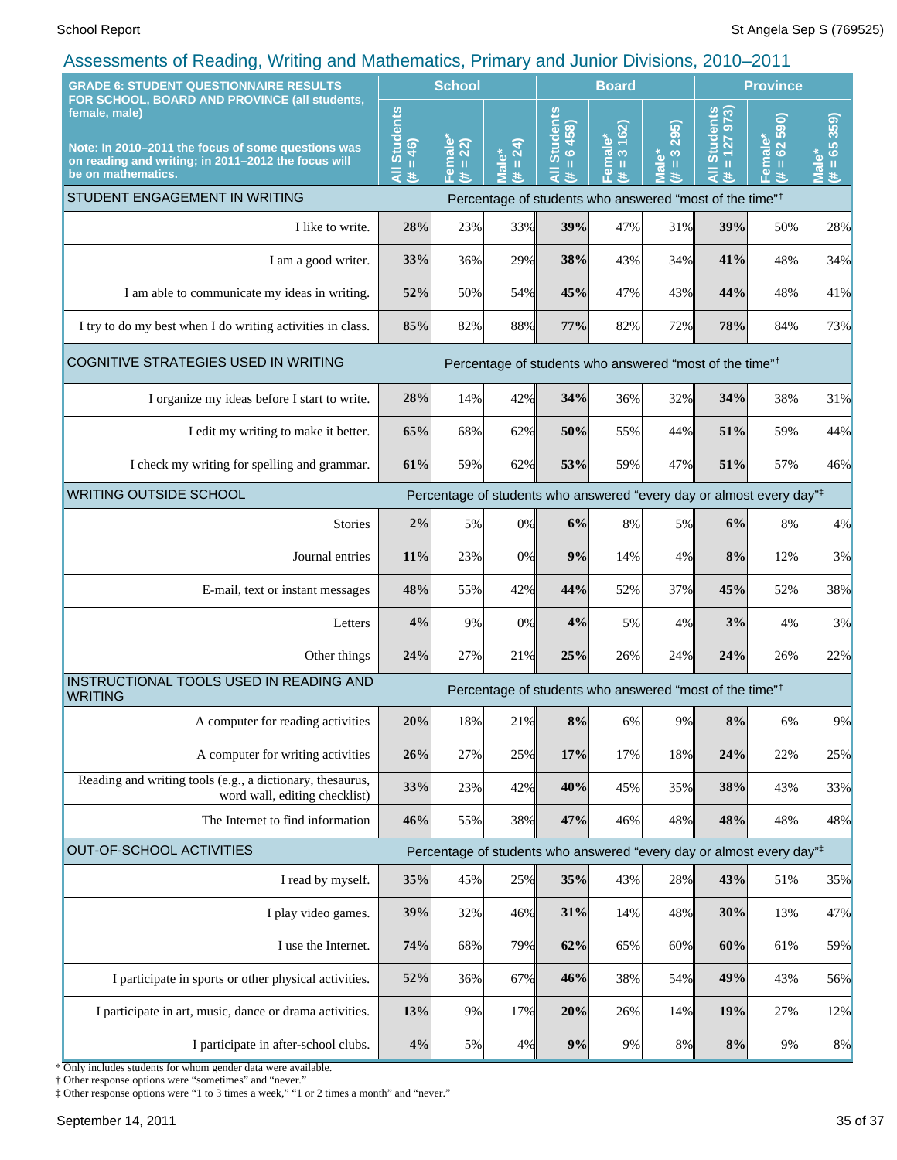| <b>School</b>                                                                                                     |        |                                     | <b>Board</b>                                              |                                                                                                                                                       |                                            | <b>Province</b>                                     |         |                                                                                                                                                                                                                                                                                                                                                                                                                                             |
|-------------------------------------------------------------------------------------------------------------------|--------|-------------------------------------|-----------------------------------------------------------|-------------------------------------------------------------------------------------------------------------------------------------------------------|--------------------------------------------|-----------------------------------------------------|---------|---------------------------------------------------------------------------------------------------------------------------------------------------------------------------------------------------------------------------------------------------------------------------------------------------------------------------------------------------------------------------------------------------------------------------------------------|
| <b>All Students</b><br>$= 46$<br>医                                                                                |        | 24)<br><b>Male*</b><br>$\rm H$<br>艺 | <b>Students</b><br>6458<br>$\mathbf{u}$<br>$\bar{a}$<br>违 | 3 162)                                                                                                                                                | 295)<br>$\frac{3}{2}$<br><b>Male*</b><br># | <b>Students</b><br>973<br>$= 127$<br>$\bar{a}$<br>巷 | 62 590) | $= 65359$<br><b>Male</b><br>进                                                                                                                                                                                                                                                                                                                                                                                                               |
|                                                                                                                   |        |                                     |                                                           |                                                                                                                                                       |                                            |                                                     |         |                                                                                                                                                                                                                                                                                                                                                                                                                                             |
| 28%                                                                                                               | 23%    |                                     | 39%                                                       | 47%                                                                                                                                                   | 31%                                        | 39%                                                 | 50%     | 28%                                                                                                                                                                                                                                                                                                                                                                                                                                         |
| 33%                                                                                                               | 36%    |                                     | 38%                                                       | 43%                                                                                                                                                   | 34%                                        | 41%                                                 | 48%     | 34%                                                                                                                                                                                                                                                                                                                                                                                                                                         |
| 52%                                                                                                               | 50%    |                                     | 45%                                                       | 47%                                                                                                                                                   | 43%                                        |                                                     | 48%     | 41%                                                                                                                                                                                                                                                                                                                                                                                                                                         |
| 85%                                                                                                               | 82%    |                                     | 77%                                                       | 82%                                                                                                                                                   | 72%                                        |                                                     | 84%     | 73%                                                                                                                                                                                                                                                                                                                                                                                                                                         |
|                                                                                                                   |        |                                     |                                                           |                                                                                                                                                       |                                            |                                                     |         |                                                                                                                                                                                                                                                                                                                                                                                                                                             |
| 28%                                                                                                               | 14%    |                                     | 34%                                                       | 36%                                                                                                                                                   | 32%                                        |                                                     | 38%     | 31%                                                                                                                                                                                                                                                                                                                                                                                                                                         |
| 65%                                                                                                               | 68%    |                                     | 50%                                                       | 55%                                                                                                                                                   | 44%                                        |                                                     | 59%     | 44%                                                                                                                                                                                                                                                                                                                                                                                                                                         |
| 61%                                                                                                               | 59%    |                                     | 53%                                                       | 59%                                                                                                                                                   | 47%                                        |                                                     | 57%     | 46%                                                                                                                                                                                                                                                                                                                                                                                                                                         |
| <b>WRITING OUTSIDE SCHOOL</b><br>Percentage of students who answered "every day or almost every day" <sup>‡</sup> |        |                                     |                                                           |                                                                                                                                                       |                                            |                                                     |         |                                                                                                                                                                                                                                                                                                                                                                                                                                             |
| 2%                                                                                                                | 5%     |                                     | 6%                                                        | 8%                                                                                                                                                    | 5%                                         | 6%                                                  | 8%      | 4%                                                                                                                                                                                                                                                                                                                                                                                                                                          |
| 11%                                                                                                               | 23%    |                                     | 9%                                                        | 14%                                                                                                                                                   | 4%                                         |                                                     | 12%     | 3%                                                                                                                                                                                                                                                                                                                                                                                                                                          |
| 48%                                                                                                               | 55%    |                                     | 44%                                                       | 52%                                                                                                                                                   | 37%                                        |                                                     | 52%     | 38%                                                                                                                                                                                                                                                                                                                                                                                                                                         |
| 4%                                                                                                                | 9%     |                                     | 4%                                                        | 5%                                                                                                                                                    | 4%                                         |                                                     | 4%      | 3%                                                                                                                                                                                                                                                                                                                                                                                                                                          |
| 24%                                                                                                               | 27%    |                                     | 25%                                                       | 26%                                                                                                                                                   | 24%                                        | 24%                                                 | 26%     | 22%                                                                                                                                                                                                                                                                                                                                                                                                                                         |
|                                                                                                                   |        |                                     |                                                           |                                                                                                                                                       |                                            |                                                     |         |                                                                                                                                                                                                                                                                                                                                                                                                                                             |
| 20%                                                                                                               | $18\%$ |                                     | $8\%$                                                     | 6%                                                                                                                                                    | 9%                                         | 8%                                                  | 6%      | 9%                                                                                                                                                                                                                                                                                                                                                                                                                                          |
| 26%                                                                                                               | 27%    |                                     | 17%                                                       | 17%                                                                                                                                                   | 18%                                        | 24%                                                 | 22%     | 25%                                                                                                                                                                                                                                                                                                                                                                                                                                         |
| 33%                                                                                                               | 23%    |                                     | 40%                                                       | 45%                                                                                                                                                   | 35%                                        |                                                     | 43%     | 33%                                                                                                                                                                                                                                                                                                                                                                                                                                         |
| 46%                                                                                                               | 55%    |                                     | 47%                                                       | 46%                                                                                                                                                   | 48%                                        |                                                     | 48%     | 48%                                                                                                                                                                                                                                                                                                                                                                                                                                         |
|                                                                                                                   |        |                                     |                                                           |                                                                                                                                                       |                                            |                                                     |         |                                                                                                                                                                                                                                                                                                                                                                                                                                             |
| 35%                                                                                                               | 45%    |                                     | 35%                                                       | 43%                                                                                                                                                   | 28%                                        |                                                     | 51%     | 35%                                                                                                                                                                                                                                                                                                                                                                                                                                         |
| 39%                                                                                                               | 32%    |                                     | 31%                                                       | 14%                                                                                                                                                   | 48%                                        |                                                     | 13%     | 47%                                                                                                                                                                                                                                                                                                                                                                                                                                         |
| 74%                                                                                                               | 68%    |                                     | 62%                                                       | 65%                                                                                                                                                   | 60%                                        |                                                     | 61%     | 59%                                                                                                                                                                                                                                                                                                                                                                                                                                         |
| 52%                                                                                                               | 36%    |                                     | 46%                                                       | 38%                                                                                                                                                   | 54%                                        |                                                     | 43%     | 56%                                                                                                                                                                                                                                                                                                                                                                                                                                         |
| 13%                                                                                                               | 9%     |                                     | 20%                                                       | 26%                                                                                                                                                   | 14%                                        |                                                     | 27%     | 12%                                                                                                                                                                                                                                                                                                                                                                                                                                         |
| 4%                                                                                                                | 5%     |                                     | 9%                                                        | 9%                                                                                                                                                    | 8%                                         |                                                     | 9%      | 8%                                                                                                                                                                                                                                                                                                                                                                                                                                          |
|                                                                                                                   |        | Female*<br>(# = 22)                 |                                                           | 33%<br>29%<br>54%<br>88%<br>42%<br>62%<br>62%<br>0%<br>0%<br>42%<br>0%<br>21%<br>21%<br>25%<br>42%<br>38%<br>25%<br>46%<br>79%<br>67%<br>17%<br>$4\%$ | Female*<br>(# = 3 16:                      |                                                     |         | Female*<br>(# = 62 5;<br>Percentage of students who answered "most of the time" <sup>†</sup><br>44%<br>78%<br>Percentage of students who answered "most of the time" <sup>†</sup><br>34%<br>51%<br>51%<br>8%<br>45%<br>3%<br>Percentage of students who answered "most of the time" <sup>†</sup><br>38%<br>48%<br>Percentage of students who answered "every day or almost every day" <sup>‡</sup><br>43%<br>30%<br>60%<br>49%<br>19%<br>8% |

\* Only includes students for whom gender data were available. † Other response options were "sometimes" and "never."

‡ Other response options were "1 to 3 times a week," "1 or 2 times a month" and "never."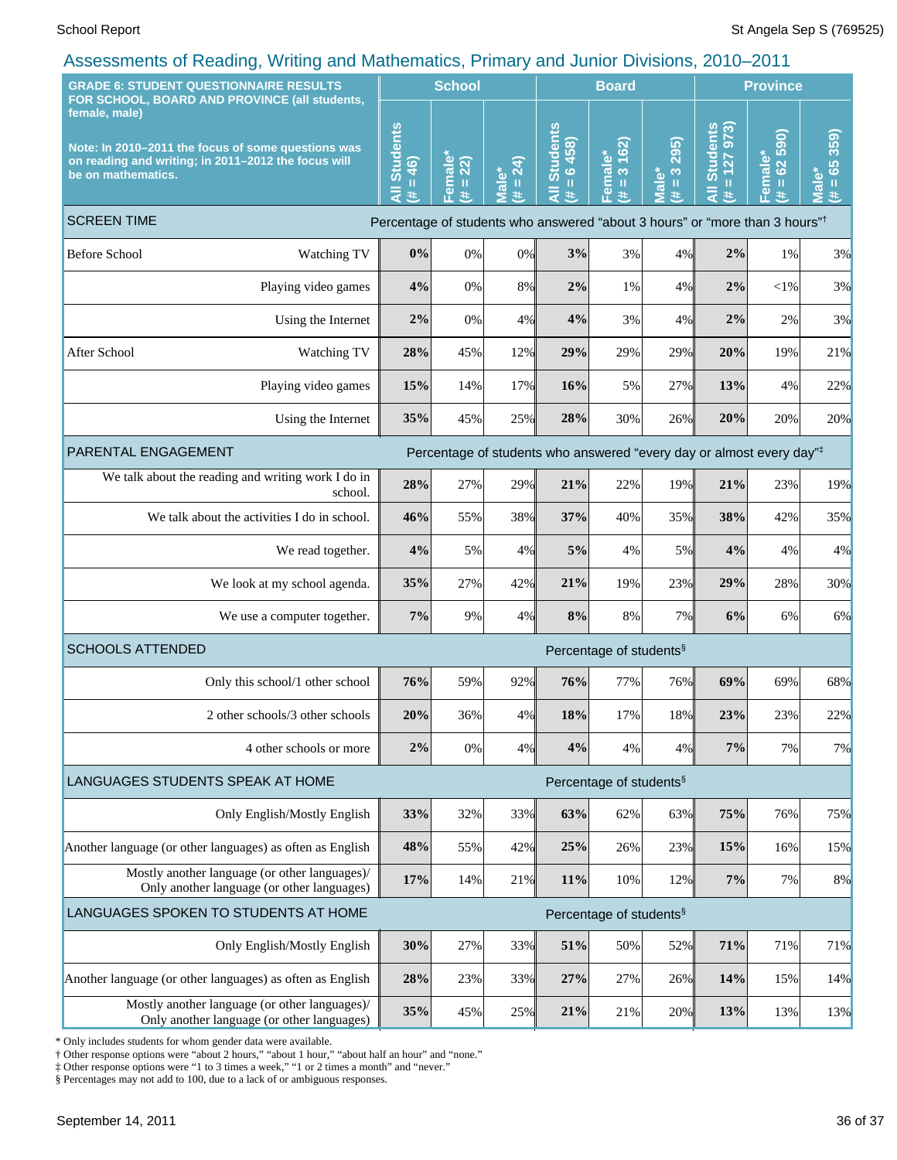| <b>GRADE 6: STUDENT QUESTIONNAIRE RESULTS</b><br>FOR SCHOOL, BOARD AND PROVINCE (all students,                                                   |                                                                                         | <b>School</b>                             | <b>Board</b>                        |                                               |                                                    |                                            | <b>Province</b>                                                                                                                                                                                                     |                                                    |                                                              |  |
|--------------------------------------------------------------------------------------------------------------------------------------------------|-----------------------------------------------------------------------------------------|-------------------------------------------|-------------------------------------|-----------------------------------------------|----------------------------------------------------|--------------------------------------------|---------------------------------------------------------------------------------------------------------------------------------------------------------------------------------------------------------------------|----------------------------------------------------|--------------------------------------------------------------|--|
| female, male)<br>Note: In 2010-2011 the focus of some questions was<br>on reading and writing; in 2011-2012 the focus will<br>be on mathematics. | <b>Students</b><br>46)<br>$\mathbf{H}$<br>Ę<br>进                                        | Female <sup>*</sup><br>22)<br>$\,$ H<br>巷 | $= 24$ )<br><b>Male*</b><br>进       | <b>Students</b><br>$= 6458$<br>$\bar{a}$<br>违 | 162)<br>Female*<br>$\infty$<br>$\, \parallel$<br>主 | 295)<br>$\frac{3}{2}$<br><b>Male*</b><br>主 | 127 973)<br><b>Students</b><br>$\mathbf{H}% =\mathbf{H}^{T}\mathbf{v}^{T}\mathbf{v}^{T}\mathbf{v}^{T}+\mathbf{H}^{T}\mathbf{v}^{T}\mathbf{v}^{T}+\mathbf{H}^{T}\mathbf{v}^{T}\mathbf{v}^{T}$<br>$\overline{a}$<br>进 | 590)<br>Female*<br>$\overline{62}$<br>$\,$ II<br>主 | 359)<br>$= 65$<br><u>ّه</u><br>$\bar{\bar{\mathbf{z}}}$<br>违 |  |
| <b>SCREEN TIME</b>                                                                                                                               | Percentage of students who answered "about 3 hours" or "more than 3 hours" <sup>†</sup> |                                           |                                     |                                               |                                                    |                                            |                                                                                                                                                                                                                     |                                                    |                                                              |  |
| <b>Before School</b><br>Watching TV                                                                                                              | 0%                                                                                      | 0%                                        | 0%                                  | 3%                                            | 3%                                                 | 4%                                         | 2%                                                                                                                                                                                                                  | 1%                                                 | 3%                                                           |  |
| Playing video games                                                                                                                              | 4%                                                                                      | 0%                                        | 8%                                  | 2%                                            | 1%                                                 | 4%                                         | 2%                                                                                                                                                                                                                  | $<$ l%                                             | 3%                                                           |  |
| Using the Internet                                                                                                                               | 2%                                                                                      | $0\%$                                     | 4%                                  | 4%                                            | 3%                                                 | 4%                                         | 2%                                                                                                                                                                                                                  | 2%                                                 | 3%                                                           |  |
| After School<br>Watching TV                                                                                                                      | 28%                                                                                     | 45%                                       | 12%                                 | 29%                                           | 29%                                                | 29%                                        | 20%                                                                                                                                                                                                                 | 19%                                                | 21%                                                          |  |
| Playing video games                                                                                                                              | 15%                                                                                     | 14%                                       | 17%                                 | 16%                                           | 5%                                                 | 27%                                        | 13%                                                                                                                                                                                                                 | 4%                                                 | 22%                                                          |  |
| Using the Internet                                                                                                                               | 35%                                                                                     | 45%                                       | 25%                                 | 28%                                           | 30%                                                | 26%                                        | 20%                                                                                                                                                                                                                 | 20%                                                | 20%                                                          |  |
| PARENTAL ENGAGEMENT<br>Percentage of students who answered "every day or almost every day" <sup>‡</sup>                                          |                                                                                         |                                           |                                     |                                               |                                                    |                                            |                                                                                                                                                                                                                     |                                                    |                                                              |  |
| We talk about the reading and writing work I do in<br>school.                                                                                    | 28%                                                                                     | 27%                                       | 29%                                 | 21%                                           | 22%                                                | 19%                                        | 21%                                                                                                                                                                                                                 | 23%                                                | 19%                                                          |  |
| We talk about the activities I do in school.                                                                                                     | 46%                                                                                     | 55%                                       | 38%                                 | 37%                                           | 40%                                                | 35%                                        | 38%                                                                                                                                                                                                                 | 42%                                                | 35%                                                          |  |
| We read together.                                                                                                                                | 4%                                                                                      | 5%                                        | 4%                                  | 5%                                            | 4%                                                 | 5%                                         | 4%                                                                                                                                                                                                                  | 4%                                                 | 4%                                                           |  |
| We look at my school agenda.                                                                                                                     | 35%                                                                                     | 27%                                       | 42%                                 | 21%                                           | 19%                                                | 23%                                        | 29%                                                                                                                                                                                                                 | 28%                                                | 30%                                                          |  |
| We use a computer together.                                                                                                                      | 7%                                                                                      | 9%                                        | 4%                                  | 8%                                            | 8%                                                 | 7%                                         | 6%                                                                                                                                                                                                                  | 6%                                                 | 6%                                                           |  |
| <b>SCHOOLS ATTENDED</b>                                                                                                                          |                                                                                         |                                           | Percentage of students <sup>§</sup> |                                               |                                                    |                                            |                                                                                                                                                                                                                     |                                                    |                                                              |  |
| Only this school/1 other school                                                                                                                  | 76%                                                                                     | 59%                                       | 92%                                 | 76%                                           | 77%                                                | 76%                                        | 69%                                                                                                                                                                                                                 | 69%                                                | 68%                                                          |  |
| 2 other schools/3 other schools                                                                                                                  | 20%                                                                                     | 36%                                       | 4%                                  | 18%                                           | 17%                                                | 18%                                        | 23%                                                                                                                                                                                                                 | 23%                                                | 22%                                                          |  |
| 4 other schools or more                                                                                                                          | 2%                                                                                      | 0%                                        | 4%                                  | 4%                                            | 4%                                                 | 4%                                         | 7%                                                                                                                                                                                                                  | 7%                                                 | 7%                                                           |  |
| LANGUAGES STUDENTS SPEAK AT HOME                                                                                                                 |                                                                                         |                                           |                                     |                                               | Percentage of students <sup>§</sup>                |                                            |                                                                                                                                                                                                                     |                                                    |                                                              |  |
| Only English/Mostly English                                                                                                                      | 33%                                                                                     | 32%                                       | 33%                                 | 63%                                           | 62%                                                | 63%                                        | 75%                                                                                                                                                                                                                 | 76%                                                | 75%                                                          |  |
| Another language (or other languages) as often as English                                                                                        | 48%                                                                                     | 55%                                       | 42%                                 | 25%                                           | 26%                                                | 23%                                        | 15%                                                                                                                                                                                                                 | 16%                                                | 15%                                                          |  |
| Mostly another language (or other languages)/<br>Only another language (or other languages)                                                      | 17%                                                                                     | 14%                                       | 21%                                 | 11%                                           | 10%                                                | 12%                                        | $7\%$                                                                                                                                                                                                               | 7%                                                 | 8%                                                           |  |
| LANGUAGES SPOKEN TO STUDENTS AT HOME                                                                                                             |                                                                                         |                                           |                                     |                                               | Percentage of students <sup>§</sup>                |                                            |                                                                                                                                                                                                                     |                                                    |                                                              |  |
| Only English/Mostly English                                                                                                                      | 30%                                                                                     | 27%                                       | 33%                                 | 51%                                           | 50%                                                | 52%                                        | 71%                                                                                                                                                                                                                 | 71%                                                | 71%                                                          |  |
| Another language (or other languages) as often as English                                                                                        | 28%                                                                                     | 23%                                       | 33%                                 | 27%                                           | 27%                                                | 26%                                        | 14%                                                                                                                                                                                                                 | 15%                                                | 14%                                                          |  |
| Mostly another language (or other languages)/<br>Only another language (or other languages)                                                      | 35%                                                                                     | 45%                                       | 25%                                 | 21%                                           | 21%                                                | 20%                                        | 13%                                                                                                                                                                                                                 | 13%                                                | 13%                                                          |  |

\* Only includes students for whom gender data were available.

† Other response options were "about 2 hours," "about 1 hour," "about half an hour" and "none."

‡ Other response options were "1 to 3 times a week," "1 or 2 times a month" and "never."

§ Percentages may not add to 100, due to a lack of or ambiguous responses.